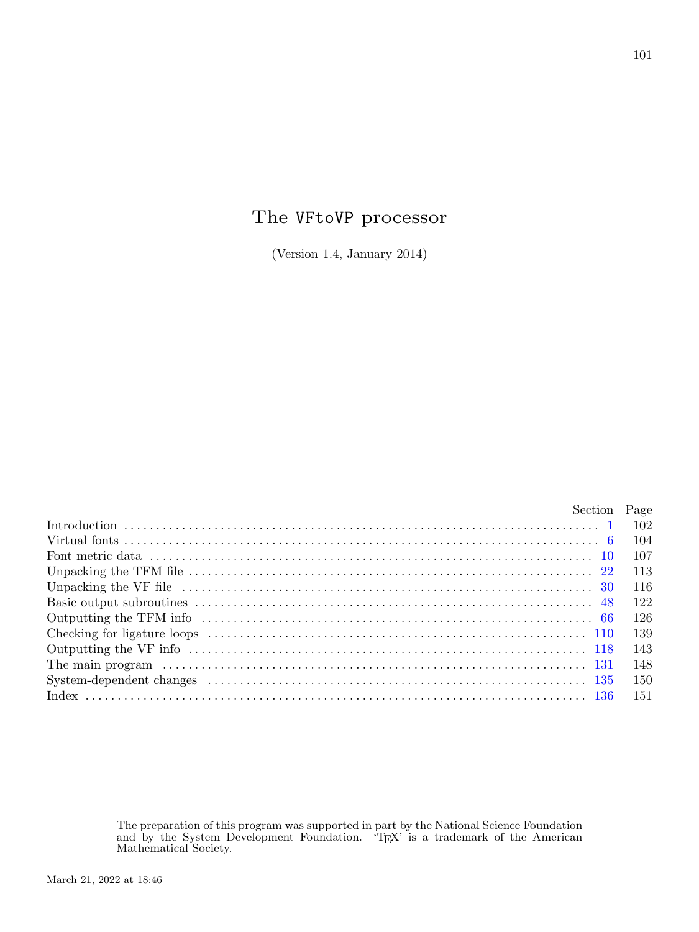# The VFtoVP processor

(Version 1.4, January 2014)

| Section Page |       |
|--------------|-------|
|              |       |
|              |       |
|              |       |
|              |       |
|              | - 116 |
|              |       |
|              |       |
|              | - 139 |
|              | 143   |
|              | -148  |
|              | - 150 |
|              | - 151 |

The preparation of this program was supported in part by the National Science Foundation and by the System Development Foundation. 'T<sub>E</sub>X' is a trademark of the American Mathematical Society.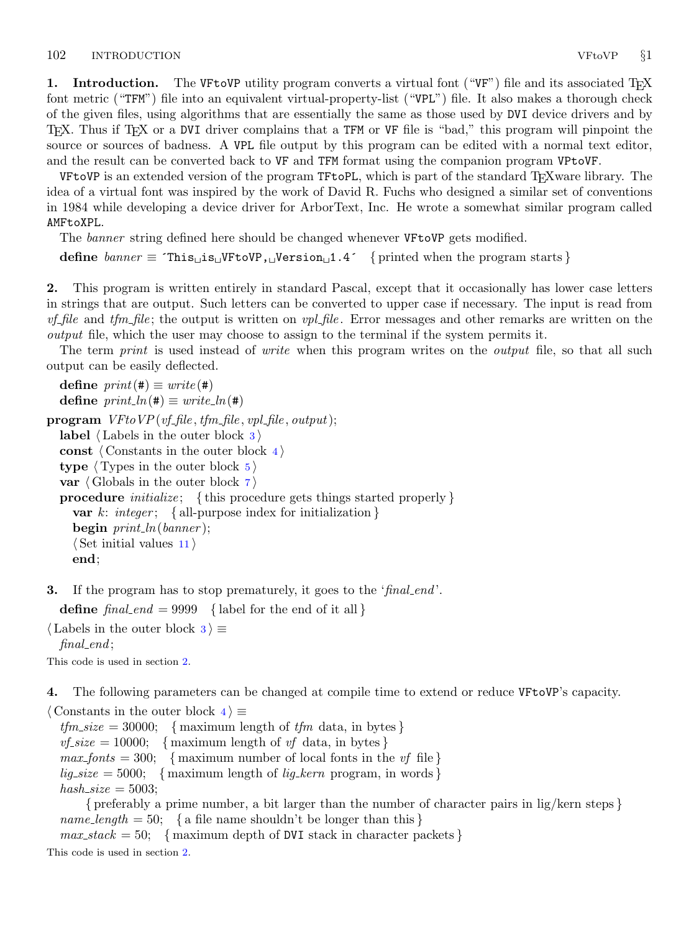<span id="page-1-0"></span>**1.** Introduction. The VFtoVP utility program converts a virtual font ("VF") file and its associated T<sub>E</sub>X font metric ("TFM") file into an equivalent virtual-property-list ("VPL") file. It also makes a thorough check of the given files, using algorithms that are essentially the same as those used by DVI device drivers and by TEX. Thus if TEX or a DVI driver complains that a TFM or VF file is "bad," this program will pinpoint the source or sources of badness. A VPL file output by this program can be edited with a normal text editor, and the result can be converted back to VF and TFM format using the companion program VPtoVF.

VFtoVP is an extended version of the program TFtoPL, which is part of the standard TEXware library. The idea of a virtual font was inspired by the work of David R. Fuchs who designed a similar set of conventions in 1984 while developing a device driver for ArborText, Inc. He wrote a somewhat similar program called AMFtoXPL.

The banner string defined here should be changed whenever VFtoVP gets modified.

define banner ≡ ´This is VFtoVP, Version 1.4´ { printed when the program starts }

2. This program is written entirely in standard Pascal, except that it occasionally has lower case letters in strings that are output. Such letters can be converted to upper case if necessary. The input is read from *vf* file and tfm file; the output is written on *vpl* file. Error messages and other remarks are written on the output file, which the user may choose to assign to the terminal if the system permits it.

The term *print* is used instead of *write* when this program writes on the *output* file, so that all such output can be easily deflected.

define  $print(\textbf{\#}) \equiv write(\textbf{\#})$ define  $print\_ln(F) \equiv write\_ln(F)$ program  $VFto VP (vf_{\textit{-}}file, tfm_{\textit{-}}file, vpl_{\textit{-}}file, output);$ label  $\langle$  Labels in the outer block 3 $\rangle$ const  $\langle$  Constants in the outer block 4 $\rangle$ type  $\langle$  Types in the outer block  $5 \rangle$  $5 \rangle$ var  $\langle$  Globals in the outer block  $\langle$  [7](#page-3-0)  $\rangle$ **procedure** *initialize*; {this procedure gets things started properly } var k: integer; { all-purpose index for initialization } begin  $print\_ln(banner)$ ;  $\langle$  Set initial values [11](#page-6-0)  $\rangle$ end;

**3.** If the program has to stop prematurely, it goes to the 'final\_end'.

define  $\text{final\_end} = 9999$  { label for the end of it all }

 $\langle$  Labels in the outer block  $3 \rangle \equiv$  $final$ . $end;$ 

This code is used in section 2.

4. The following parameters can be changed at compile time to extend or reduce VFtoVP's capacity.

 $\langle$  Constants in the outer block  $4 \rangle \equiv$ 

 $tfm_size = 30000;$  {maximum length of  $tfm$  data, in bytes}  $\textit{vf\_size} = 10000;$  {maximum length of  $\textit{vf}$  data, in bytes}  $max\_ fonts = 300;$  {maximum number of local fonts in the vf file}  $lig\_size = 5000; \{$  maximum length of  $lig\_kern$  program, in words {}  $hash\_size = 5003;$ 

{ preferably a prime number, a bit larger than the number of character pairs in lig/kern steps } name\_length = 50; { a file name shouldn't be longer than this }

 $max\_stack = 50;$  { maximum depth of DVI stack in character packets } This code is used in section 2.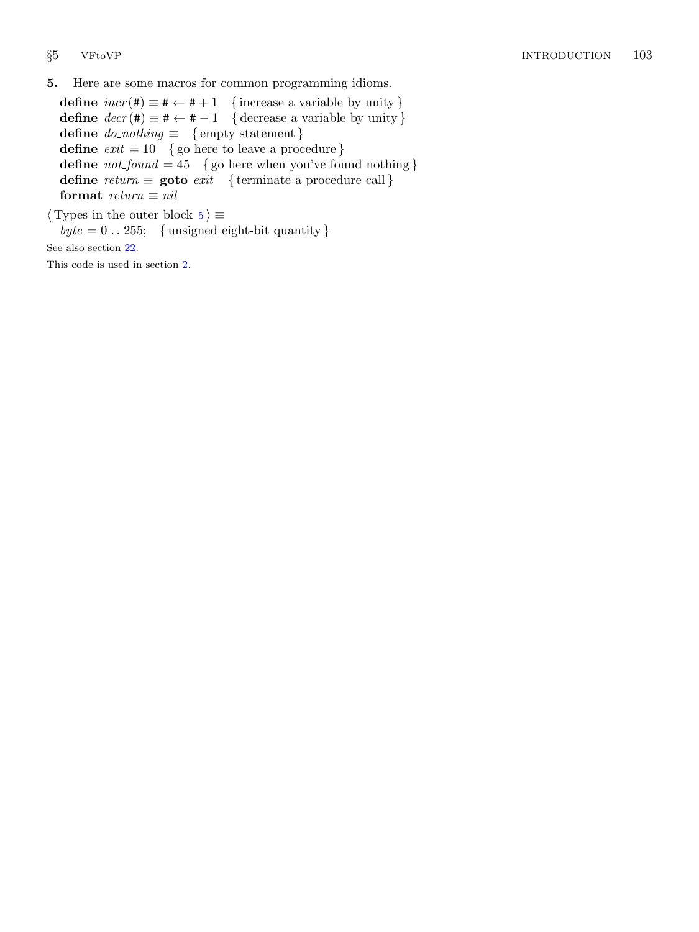<span id="page-2-0"></span>5. Here are some macros for common programming idioms.

define  $\text{incr}(\texttt{\#}) \equiv \texttt{\#} \leftarrow \texttt{\#} + 1$  {increase a variable by unity } define  $decr(\textbf{\#}) \equiv \textbf{\#} \leftarrow \textbf{\#} - 1$  { decrease a variable by unity } define  $do\_nothing \equiv \{$  empty statement  $\}$ define  $exit = 10$  {go here to leave a procedure} **define**  $not\_found = 45$  { go here when you've found nothing } define  $return \equiv$  goto  $exit \{ terminate a procedure call \}$ format  $return \equiv nil$ 

 $\langle$  Types in the outer block 5 $\rangle \equiv$  $byte = 0$ ... 255; {unsigned eight-bit quantity} See also section [22.](#page-12-0)

This code is used in section [2](#page-1-0).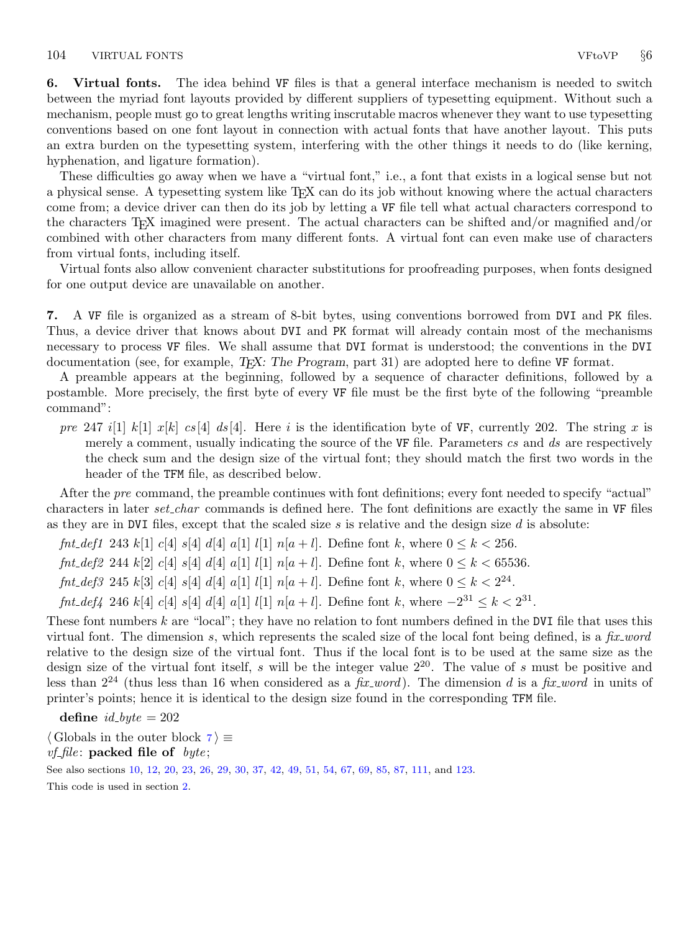<span id="page-3-0"></span>6. Virtual fonts. The idea behind VF files is that a general interface mechanism is needed to switch between the myriad font layouts provided by different suppliers of typesetting equipment. Without such a mechanism, people must go to great lengths writing inscrutable macros whenever they want to use typesetting conventions based on one font layout in connection with actual fonts that have another layout. This puts an extra burden on the typesetting system, interfering with the other things it needs to do (like kerning, hyphenation, and ligature formation).

These difficulties go away when we have a "virtual font," i.e., a font that exists in a logical sense but not a physical sense. A typesetting system like TEX can do its job without knowing where the actual characters come from; a device driver can then do its job by letting a VF file tell what actual characters correspond to the characters TEX imagined were present. The actual characters can be shifted and/or magnified and/or combined with other characters from many different fonts. A virtual font can even make use of characters from virtual fonts, including itself.

Virtual fonts also allow convenient character substitutions for proofreading purposes, when fonts designed for one output device are unavailable on another.

7. A VF file is organized as a stream of 8-bit bytes, using conventions borrowed from DVI and PK files. Thus, a device driver that knows about DVI and PK format will already contain most of the mechanisms necessary to process VF files. We shall assume that DVI format is understood; the conventions in the DVI documentation (see, for example,  $T_F X$ : The Program, part 31) are adopted here to define VF format.

A preamble appears at the beginning, followed by a sequence of character definitions, followed by a postamble. More precisely, the first byte of every VF file must be the first byte of the following "preamble command":

pre 247 i[1] k[1]  $x[k]$  cs [4] ds [4]. Here i is the identification byte of VF, currently 202. The string x is merely a comment, usually indicating the source of the VF file. Parameters  $cs$  and  $ds$  are respectively the check sum and the design size of the virtual font; they should match the first two words in the header of the TFM file, as described below.

After the pre command, the preamble continues with font definitions; every font needed to specify "actual" characters in later set char commands is defined here. The font definitions are exactly the same in VF files as they are in DVI files, except that the scaled size s is relative and the design size  $d$  is absolute:

fnt def1 243 k[1] c[4] s[4] d[4] a[1] l[1]  $n[a+l]$ . Define font k, where  $0 \le k < 256$ .

fnt def2 244 k[2] c[4] s[4] d[4] a[1] l[1] n[a + l]. Define font k, where  $0 \le k < 65536$ .

fnt\_def3 245 k[3] c[4] s[4] d[4] a[1] l[1] n[a + l]. Define font k, where  $0 \le k < 2^{24}$ .

 $fnt\_def4$  246 k[4] c[4] s[4] d[4] a[1] l[1]  $n[a+l]$ . Define font k, where  $-2^{31} \le k < 2^{31}$ .

These font numbers k are "local"; they have no relation to font numbers defined in the DVI file that uses this virtual font. The dimension s, which represents the scaled size of the local font being defined, is a fix word relative to the design size of the virtual font. Thus if the local font is to be used at the same size as the design size of the virtual font itself, s will be the integer value  $2^{20}$ . The value of s must be positive and less than  $2^{24}$  (thus less than 16 when considered as a fix word). The dimension d is a fix word in units of printer's points; hence it is identical to the design size found in the corresponding TFM file.

define  $id\_byte = 202$ 

 $\langle$  Globals in the outer block  $\langle$  7  $\rangle \equiv$ *vf*<sub>file</sub>: packed file of *byte*;

See also sections [10](#page-6-0), [12,](#page-6-0) [20](#page-11-0), [23](#page-12-0), [26,](#page-13-0) [29](#page-14-0), [30,](#page-15-0) [37,](#page-17-0) [42](#page-19-0), [49,](#page-21-0) [51,](#page-21-0) [54](#page-22-0), [67,](#page-25-0) [69](#page-25-0), [85](#page-30-0), [87,](#page-30-0) [111,](#page-38-0) and [123.](#page-43-0)

This code is used in section [2](#page-1-0).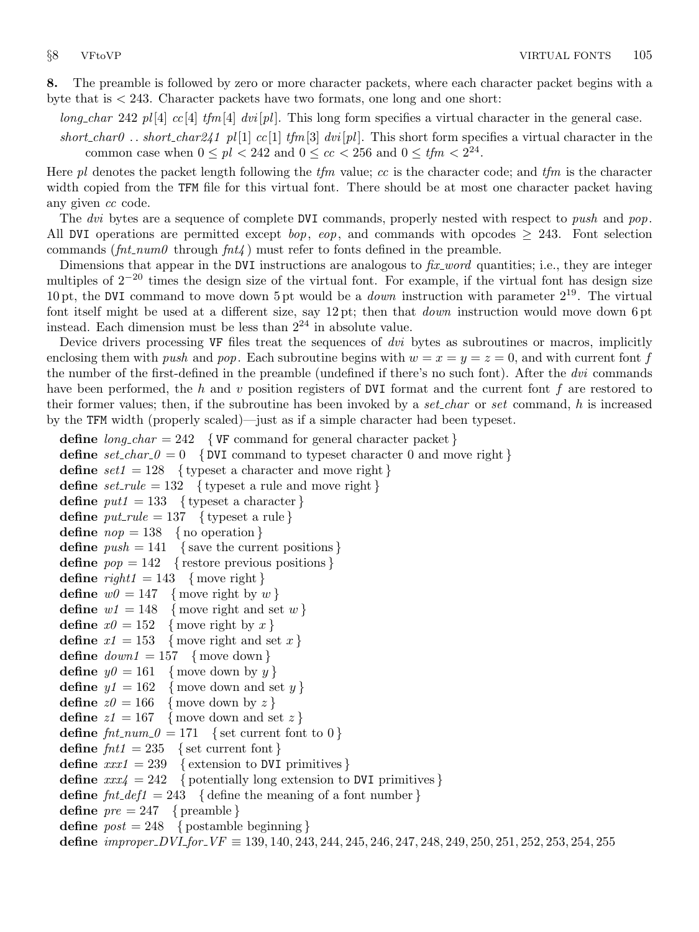<span id="page-4-0"></span>8. The preamble is followed by zero or more character packets, where each character packet begins with a byte that is  $\langle 243.$  Character packets have two formats, one long and one short:

long char 242 pl [4] cc [4] tfm [4] dvi [pl]. This long form specifies a virtual character in the general case.

short\_char0 .. short\_char241 pl[1] cc[1] tfm[3] dvi[pl]. This short form specifies a virtual character in the common case when  $0 \leq pl < 242$  and  $0 \leq cc < 256$  and  $0 \leq t/m < 2^{24}$ .

Here pl denotes the packet length following the  $tfm$  value; cc is the character code; and  $tfm$  is the character width copied from the TFM file for this virtual font. There should be at most one character packet having any given cc code.

The dvi bytes are a sequence of complete DVI commands, properly nested with respect to push and pop. All DVI operations are permitted except bop, eop, and commands with opcodes  $\geq$  243. Font selection commands ( $\int f$ nt num $\theta$  through  $\int f$ nt  $\mu$ ) must refer to fonts defined in the preamble.

Dimensions that appear in the DVI instructions are analogous to  $fix\_word$  quantities; i.e., they are integer multiples of  $2^{-20}$  times the design size of the virtual font. For example, if the virtual font has design size 10 pt, the DVI command to move down 5 pt would be a *down* instruction with parameter  $2^{19}$ . The virtual font itself might be used at a different size, say 12 pt; then that *down* instruction would move down 6 pt instead. Each dimension must be less than  $2^{24}$  in absolute value.

Device drivers processing VF files treat the sequences of *dvi* bytes as subroutines or macros, implicitly enclosing them with push and pop. Each subroutine begins with  $w = x = y = z = 0$ , and with current font f the number of the first-defined in the preamble (undefined if there's no such font). After the *dvi* commands have been performed, the h and v position registers of DVI format and the current font f are restored to their former values; then, if the subroutine has been invoked by a set-char or set command, h is increased by the TFM width (properly scaled)—just as if a simple character had been typeset.

**define**  $\text{long\_char} = 242$  { VF command for general character packet } define  $set_{char_0} = 0$  {DVI command to typeset character 0 and move right} define  $set1 = 128$  { typeset a character and move right } define  $set_{\text{rule}} = 132$  { typeset a rule and move right } define  $put1 = 133$  { typeset a character } define  $put\_rule = 137$  { typeset a rule } define  $nop = 138$  { no operation } define  $push = 141$  { save the current positions } define  $pop = 142$  { restore previous positions } define  $right1 = 143$  {move right} define  $w\theta = 147$  {move right by w} define  $w1 = 148$  {move right and set w } define  $x\theta = 152$  {move right by x} define  $x_1 = 153$  {move right and set x} define  $down1 = 157$  {move down } define  $y\theta = 161$  {move down by y} define  $y1 = 162$  {move down and set y} define  $z\theta = 166$  {move down by z} define  $z_1 = 167$  {move down and set z} define  $\text{Int}_\text{num\_0} = 171$  { set current font to 0 } define  $fnt1 = 235$  { set current font } define  $xxx1 = 239$  { extension to DVI primitives } define  $xxx_4 = 242$  { potentially long extension to DVI primitives } define  $fnt\_def1 = 243$  { define the meaning of a font number } define  $pre = 247$  { preamble } define  $post = 248$  { postamble beginning } define  $improper_DVI$  for  $VF \equiv 139, 140, 243, 244, 245, 246, 247, 248, 249, 250, 251, 252, 253, 254, 255$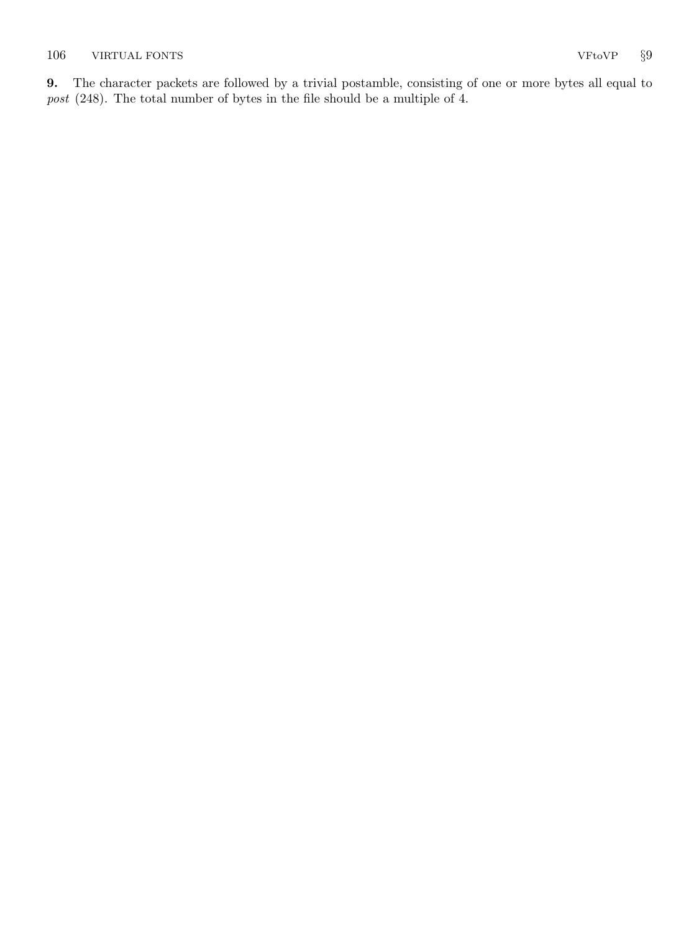## <span id="page-5-0"></span>106 VIRTUAL FONTS VFtoVP  $\S 9$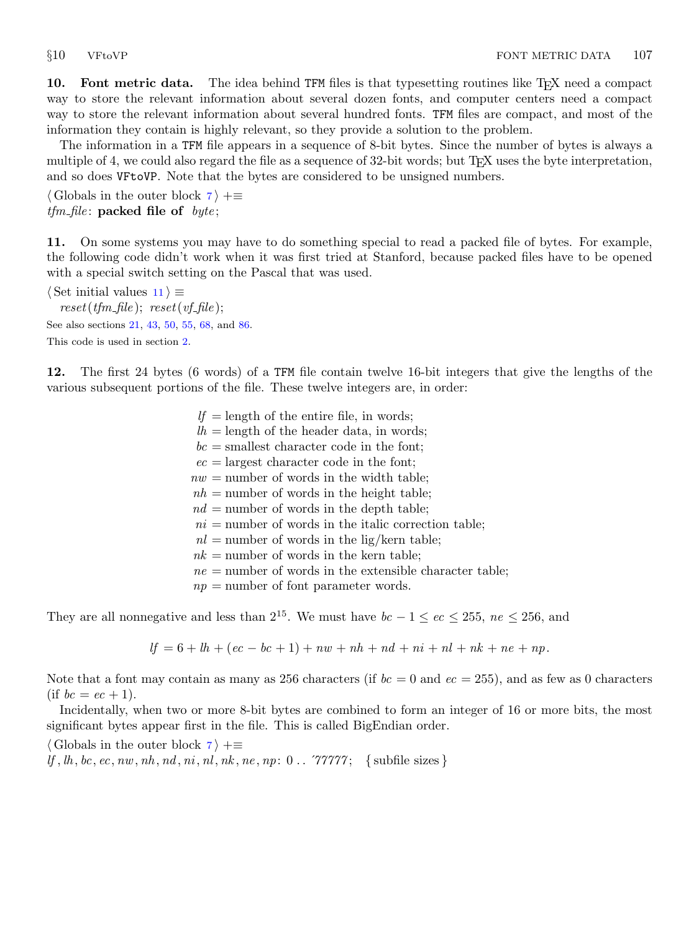<span id="page-6-0"></span>10. Font metric data. The idea behind TFM files is that typesetting routines like T<sub>F</sub>X need a compact way to store the relevant information about several dozen fonts, and computer centers need a compact way to store the relevant information about several hundred fonts. TFM files are compact, and most of the information they contain is highly relevant, so they provide a solution to the problem.

The information in a TFM file appears in a sequence of 8-bit bytes. Since the number of bytes is always a multiple of 4, we could also regard the file as a sequence of 32-bit words; but T<sub>E</sub>X uses the byte interpretation, and so does VFtoVP. Note that the bytes are considered to be unsigned numbers.

 $\langle$  Globals in the outer block  $\langle$  [7](#page-3-0)  $\rangle$  +=  $tfm$ -file: packed file of  $byte;$ 

11. On some systems you may have to do something special to read a packed file of bytes. For example, the following code didn't work when it was first tried at Stanford, because packed files have to be opened with a special switch setting on the Pascal that was used.

 $\langle$  Set initial values 11  $\rangle \equiv$  $reset(tfm\_file); reset(vf\_file);$ See also sections [21](#page-11-0), [43,](#page-19-0) [50](#page-21-0), [55](#page-22-0), [68,](#page-25-0) and [86.](#page-30-0) This code is used in section [2](#page-1-0).

12. The first 24 bytes (6 words) of a TFM file contain twelve 16-bit integers that give the lengths of the various subsequent portions of the file. These twelve integers are, in order:

> $lf =$  length of the entire file, in words;  $lh = \text{length of the header data}, \text{ in words};$  $bc =$  smallest character code in the font;  $ec =$  largest character code in the font;  $nw =$  number of words in the width table;  $nh =$  number of words in the height table;  $nd =$  number of words in the depth table;  $ni =$  number of words in the italic correction table;  $nl$  = number of words in the lig/kern table;  $nk =$  number of words in the kern table;  $ne =$  number of words in the extensible character table;  $np =$  number of font parameter words.

They are all nonnegative and less than  $2^{15}$ . We must have  $bc - 1 \leq ec \leq 255$ ,  $ne \leq 256$ , and

 $lf = 6 + lh + (ec - bc + 1) + nw + nh + nd + ni + nl + nk + ne + np.$ 

Note that a font may contain as many as 256 characters (if  $bc = 0$  and  $ec = 255$ ), and as few as 0 characters (if  $bc = ec + 1$ ).

Incidentally, when two or more 8-bit bytes are combined to form an integer of 16 or more bits, the most significant bytes appear first in the file. This is called BigEndian order.

 $\langle$  Globals in the outer block  $\langle$  [7](#page-3-0)  $\rangle$  +=

If,  $\mathit{lh}, \mathit{bc}, \mathit{ec}, \mathit{nw}, \mathit{nh}, \mathit{nd}, \mathit{ni}, \mathit{nl}, \mathit{nk}, \mathit{ne}, \mathit{np}: 0 \ldots \text{'}77777$ ; { subfile sizes }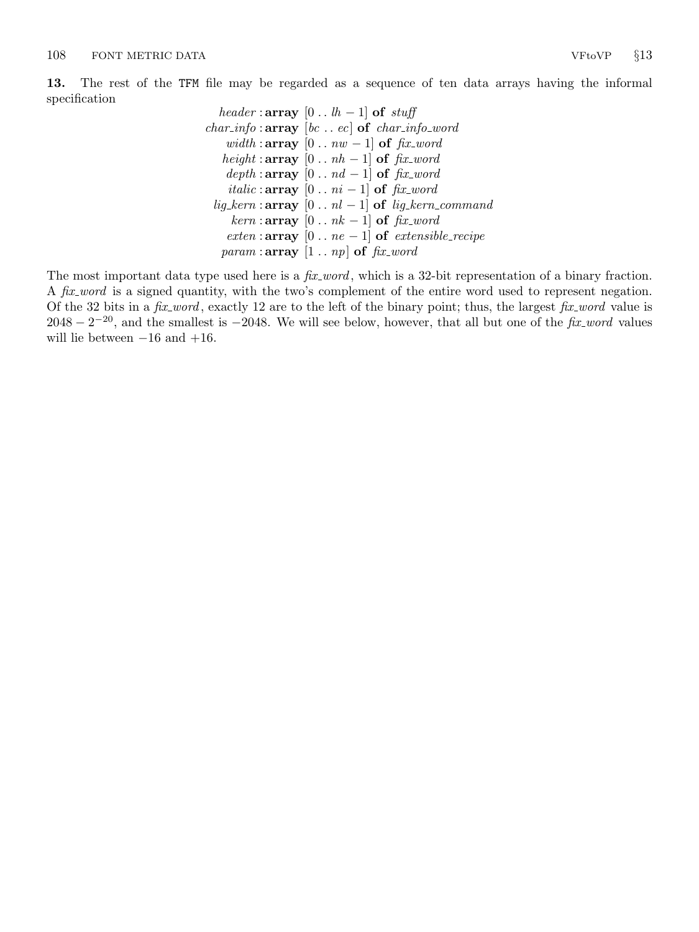<span id="page-7-0"></span>13. The rest of the TFM file may be regarded as a sequence of ten data arrays having the informal specification

\n- header: array 
$$
[0..th-1]
$$
 of stuff
\n- char.info: array  $[bc..ec]$  of char.info-word
\n- width: array  $[0..nw-1]$  of fix-word
\n- height: array  $[0..nh-1]$  of fix-word
\n- depth: array  $[0..nd-1]$  of fix-word
\n- title: array  $[0..ni-1]$  of fix-word
\n- itadic: array  $[0..ni-1]$  of fix-word
\n- big\_kern: array  $[0..nk-1]$  of fix-word
\n- extra: array  $[0..nk-1]$  of fix-word
\n- extra: array  $[0..ne-1]$  of extensible- recipe
\n- param: array  $[1..np]$  of fix-word
\n

The most important data type used here is a fix-word, which is a 32-bit representation of a binary fraction. A fix-word is a signed quantity, with the two's complement of the entire word used to represent negation. Of the 32 bits in a fix word, exactly 12 are to the left of the binary point; thus, the largest fix word value is  $2048 - 2^{-20}$ , and the smallest is  $-2048$ . We will see below, however, that all but one of the fix-word values will lie between −16 and +16.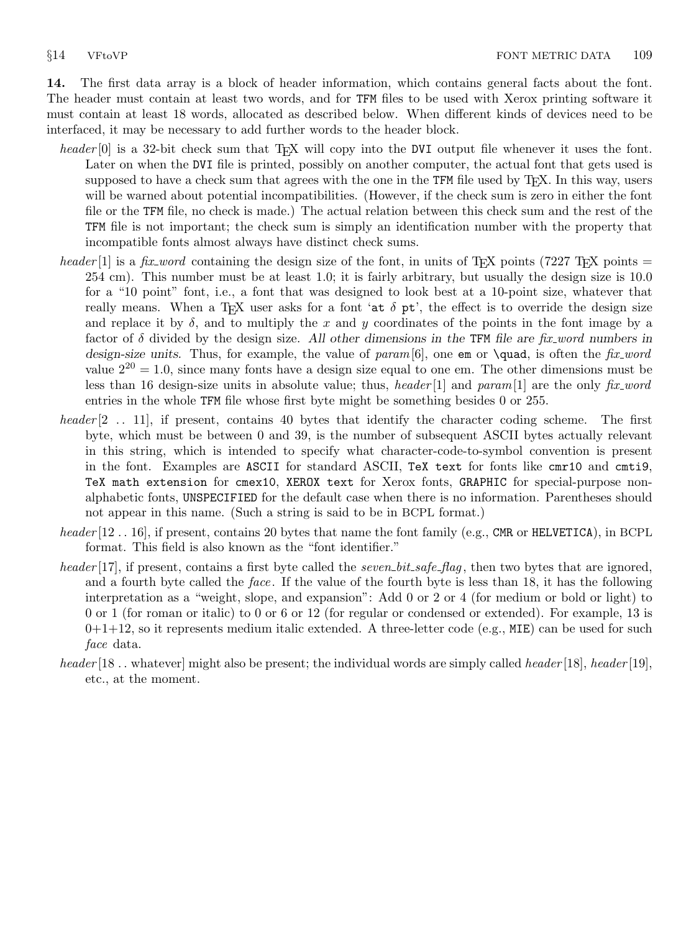<span id="page-8-0"></span>14. The first data array is a block of header information, which contains general facts about the font. The header must contain at least two words, and for TFM files to be used with Xerox printing software it must contain at least 18 words, allocated as described below. When different kinds of devices need to be interfaced, it may be necessary to add further words to the header block.

- header [0] is a 32-bit check sum that TEX will copy into the DVI output file whenever it uses the font. Later on when the DVI file is printed, possibly on another computer, the actual font that gets used is supposed to have a check sum that agrees with the one in the TFM file used by T<sub>F</sub>X. In this way, users will be warned about potential incompatibilities. (However, if the check sum is zero in either the font file or the TFM file, no check is made.) The actual relation between this check sum and the rest of the TFM file is not important; the check sum is simply an identification number with the property that incompatible fonts almost always have distinct check sums.
- header [1] is a fix-word containing the design size of the font, in units of T<sub>E</sub>X points (7227 T<sub>E</sub>X points = 254 cm). This number must be at least 1.0; it is fairly arbitrary, but usually the design size is 10.0 for a "10 point" font, i.e., a font that was designed to look best at a 10-point size, whatever that really means. When a T<sub>E</sub>X user asks for a font 'at  $\delta$  pt', the effect is to override the design size and replace it by  $\delta$ , and to multiply the x and y coordinates of the points in the font image by a factor of  $\delta$  divided by the design size. All other dimensions in the TFM file are fix word numbers in design-size units. Thus, for example, the value of  $param[6]$ , one em or **\quad**, is often the  $fix\_word$ value  $2^{20} = 1.0$ , since many fonts have a design size equal to one em. The other dimensions must be less than 16 design-size units in absolute value; thus, header [1] and param [1] are the only fix word entries in the whole TFM file whose first byte might be something besides 0 or 255.
- header  $[2 \dots 11]$ , if present, contains 40 bytes that identify the character coding scheme. The first byte, which must be between 0 and 39, is the number of subsequent ASCII bytes actually relevant in this string, which is intended to specify what character-code-to-symbol convention is present in the font. Examples are ASCII for standard ASCII, TeX text for fonts like cmr10 and cmti9, TeX math extension for cmex10, XEROX text for Xerox fonts, GRAPHIC for special-purpose nonalphabetic fonts, UNSPECIFIED for the default case when there is no information. Parentheses should not appear in this name. (Such a string is said to be in BCPL format.)
- $header[12.. 16]$ , if present, contains 20 bytes that name the font family (e.g., CMR or HELVETICA), in BCPL format. This field is also known as the "font identifier."
- header [17], if present, contains a first byte called the *seven bit safe flag*, then two bytes that are ignored, and a fourth byte called the face . If the value of the fourth byte is less than 18, it has the following interpretation as a "weight, slope, and expansion": Add 0 or 2 or 4 (for medium or bold or light) to 0 or 1 (for roman or italic) to 0 or 6 or 12 (for regular or condensed or extended). For example, 13 is  $0+1+12$ , so it represents medium italic extended. A three-letter code (e.g., MIE) can be used for such face data.
- header [18]. whatever] might also be present; the individual words are simply called header [18], header [19], etc., at the moment.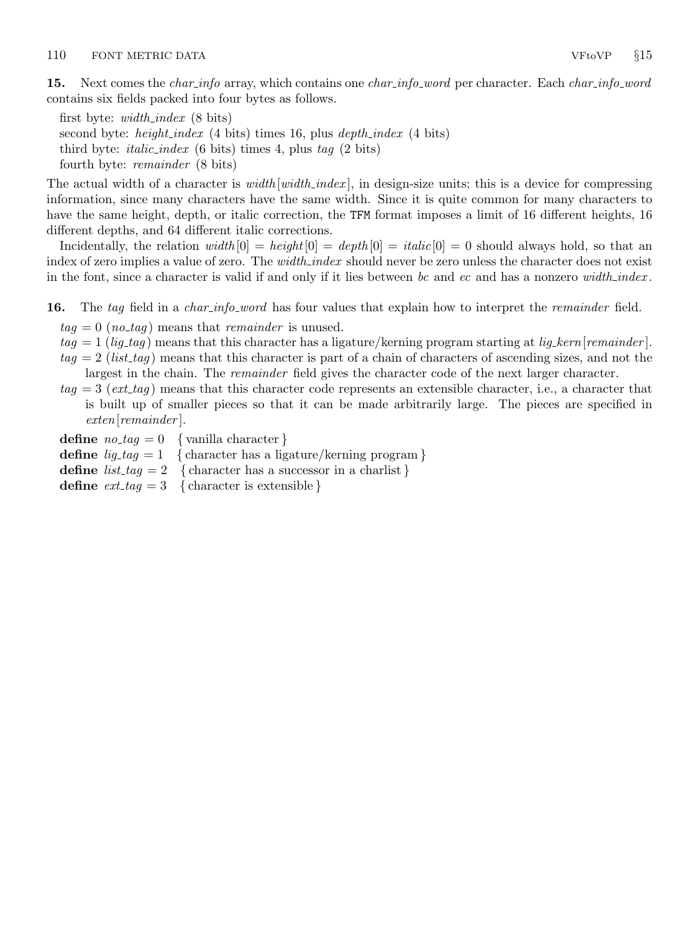<span id="page-9-0"></span>15. Next comes the *char-info* array, which contains one *char-info-word* per character. Each *char-info-word* contains six fields packed into four bytes as follows.

first byte:  $width\_index$  (8 bits) second byte: *height\_index* (4 bits) times 16, plus *depth\_index* (4 bits) third byte: *italic\_index* (6 bits) times 4, plus tag  $(2 \text{ bits})$ fourth byte: remainder (8 bits)

The actual width of a character is *width*  $[width\_index]$ , in design-size units; this is a device for compressing information, since many characters have the same width. Since it is quite common for many characters to have the same height, depth, or italic correction, the TFM format imposes a limit of 16 different heights, 16 different depths, and 64 different italic corrections.

Incidentally, the relation width  $[0] = height[0] = depth[0] = italic[0] = 0$  should always hold, so that an index of zero implies a value of zero. The *width index* should never be zero unless the character does not exist in the font, since a character is valid if and only if it lies between bc and ec and has a nonzero width-index.

16. The tag field in a *char-info-word* has four values that explain how to interpret the *remainder* field.

 $tag = 0$  (no\_tag) means that remainder is unused.

- $tag = 1$  (lig-tag) means that this character has a ligature/kerning program starting at lig-kern [remainder].
- $tag = 2$  (list\_tag) means that this character is part of a chain of characters of ascending sizes, and not the largest in the chain. The *remainder* field gives the character code of the next larger character.
- $tag = 3$  (ext\_tag) means that this character code represents an extensible character, i.e., a character that is built up of smaller pieces so that it can be made arbitrarily large. The pieces are specified in exten[remainder ].

**define**  $no\_tag = 0$  { vanilla character } define  $lig\_tag = 1$  { character has a ligature/kerning program } define  $list\_tag = 2$  { character has a successor in a charlist} define  $ext\_tag = 3$  { character is extensible }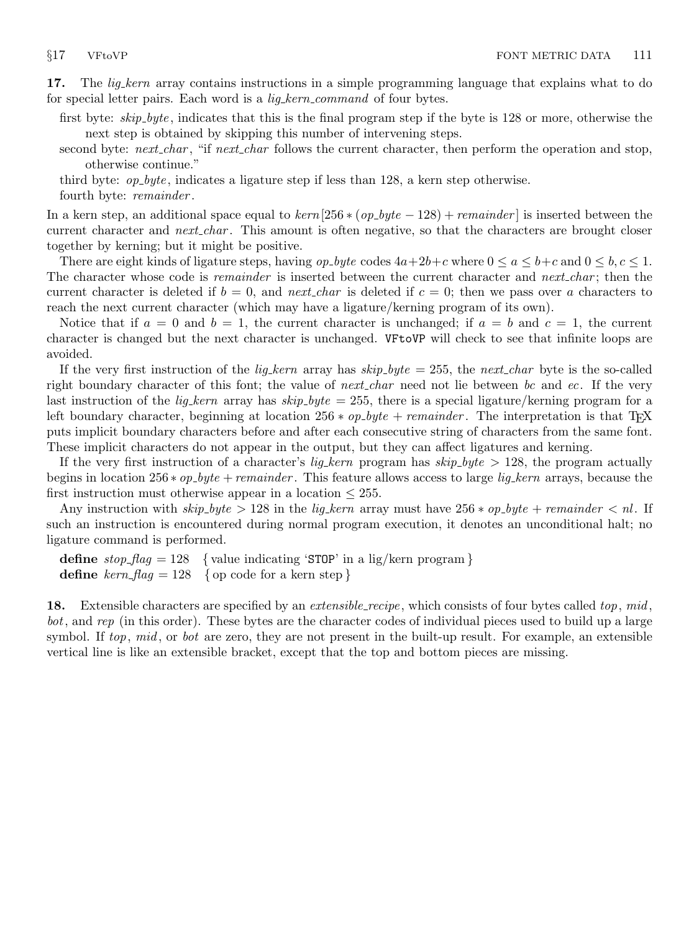<span id="page-10-0"></span>17. The *lig<sub>kern</sub>* array contains instructions in a simple programming language that explains what to do for special letter pairs. Each word is a *lig kern command* of four bytes.

first byte: *skip\_byte*, indicates that this is the final program step if the byte is 128 or more, otherwise the next step is obtained by skipping this number of intervening steps.

second byte: next char, "if next char follows the current character, then perform the operation and stop, otherwise continue."

third byte:  $op_bpt_e$ , indicates a ligature step if less than 128, a kern step otherwise.

fourth byte: *remainder*.

In a kern step, an additional space equal to  $\text{kern}[256 * (op\_byte - 128) + \text{remainder}]$  is inserted between the current character and *next char*. This amount is often negative, so that the characters are brought closer together by kerning; but it might be positive.

There are eight kinds of ligature steps, having  $op_b yte$  codes  $4a+2b+c$  where  $0 \le a \le b+c$  and  $0 \le b, c \le 1$ . The character whose code is *remainder* is inserted between the current character and *next* char; then the current character is deleted if  $b = 0$ , and next char is deleted if  $c = 0$ ; then we pass over a characters to reach the next current character (which may have a ligature/kerning program of its own).

Notice that if  $a = 0$  and  $b = 1$ , the current character is unchanged; if  $a = b$  and  $c = 1$ , the current character is changed but the next character is unchanged. VFtoVP will check to see that infinite loops are avoided.

If the very first instruction of the *lig<sub>kern</sub>* array has  $skip_b$  byte = 255, the next char byte is the so-called right boundary character of this font; the value of *next char* need not lie between bc and ec. If the very last instruction of the *lig<sub>kern</sub>* array has  $skip_b$  byte = 255, there is a special ligature/kerning program for a left boundary character, beginning at location 256 \*  $op\_byte + remainder$ . The interpretation is that T<sub>E</sub>X puts implicit boundary characters before and after each consecutive string of characters from the same font. These implicit characters do not appear in the output, but they can affect ligatures and kerning.

If the very first instruction of a character's *lig\_kern* program has  $skip_bpt \leq kp_b$  the program actually begins in location  $256 * op_{byte} + remainder$ . This feature allows access to large lig kern arrays, because the first instruction must otherwise appear in a location  $\leq$  255.

Any instruction with  $skip_bpt\ kip_byte > 128$  in the lig kern array must have  $256 * op_byte + remainder < n!$ . If such an instruction is encountered during normal program execution, it denotes an unconditional halt; no ligature command is performed.

**define**  $stop\_{flag} = 128$  { value indicating 'STOP' in a lig/kern program } **define** kern  $flag = 128$  { op code for a kern step }

18. Extensible characters are specified by an *extensible\_recipe*, which consists of four bytes called top,  $mid$ bot, and rep (in this order). These bytes are the character codes of individual pieces used to build up a large symbol. If  $top, mid, or bot are zero, they are not present in the built-up result. For example, an extensible$ vertical line is like an extensible bracket, except that the top and bottom pieces are missing.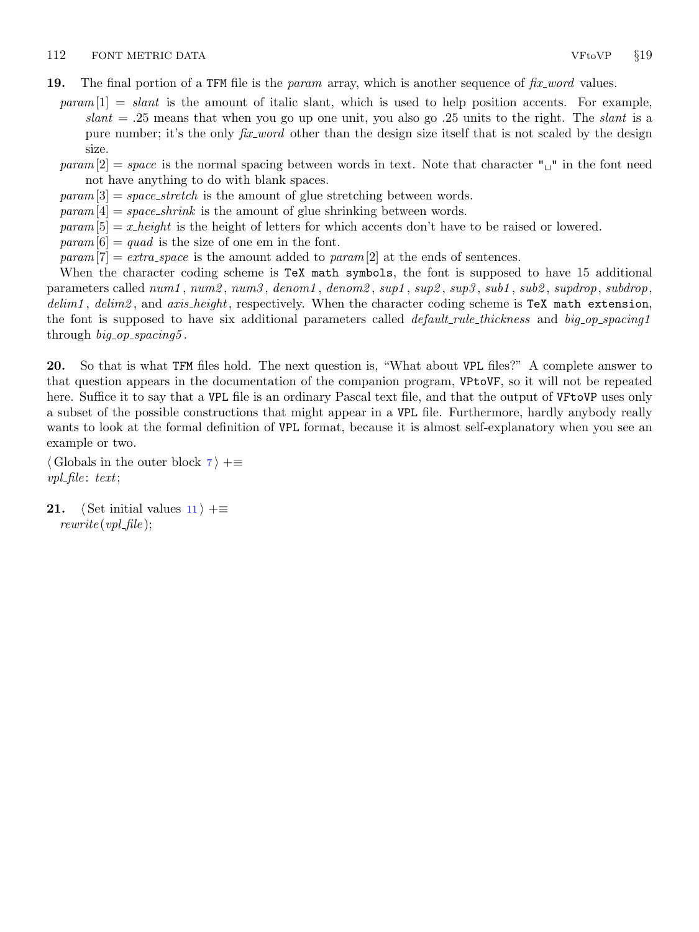- <span id="page-11-0"></span>19. The final portion of a TFM file is the *param* array, which is another sequence of  $fix\_word$  values.
	- $param[1] = slant$  is the amount of italic slant, which is used to help position accents. For example,  $slant = .25$  means that when you go up one unit, you also go  $.25$  units to the right. The slant is a pure number; it's the only *fix word* other than the design size itself that is not scaled by the design size.
	- param $[2] = space$  is the normal spacing between words in text. Note that character " $\Box$ " in the font need not have anything to do with blank spaces.
	- $param[3] = space\_stretch$  is the amount of glue stretching between words.
	- $param[4] = space\_shrink$  is the amount of glue shrinking between words.
	- $param[5] = x \nheight$  is the height of letters for which accents don't have to be raised or lowered.
	- $param[6] = quad$  is the size of one em in the font.
	- param $[7] = \text{extra-space}$  is the amount added to param $[2]$  at the ends of sentences.

When the character coding scheme is TeX math symbols, the font is supposed to have 15 additional parameters called num1, num2, num3, denom1, denom2, sup1, sup2, sup3, sub1, sub2, supdrop, subdrop,  $delim1$ ,  $delim2$ , and  $axis\_height$ , respectively. When the character coding scheme is TeX math extension, the font is supposed to have six additional parameters called *default\_rule\_thickness* and *big\_op\_spacing1* through  $big\_op\_spacing5$ .

20. So that is what TFM files hold. The next question is, "What about VPL files?" A complete answer to that question appears in the documentation of the companion program, VPtoVF, so it will not be repeated here. Suffice it to say that a VPL file is an ordinary Pascal text file, and that the output of VFtoVP uses only a subset of the possible constructions that might appear in a VPL file. Furthermore, hardly anybody really wants to look at the formal definition of VPL format, because it is almost self-explanatory when you see an example or two.

 $\langle$  Globals in the outer block  $\langle$  [7](#page-3-0)  $\rangle$  +=  $vpl$ -file: text;

21. (Set initial values  $11$ ) +≡  $rewrite(vpl\_file);$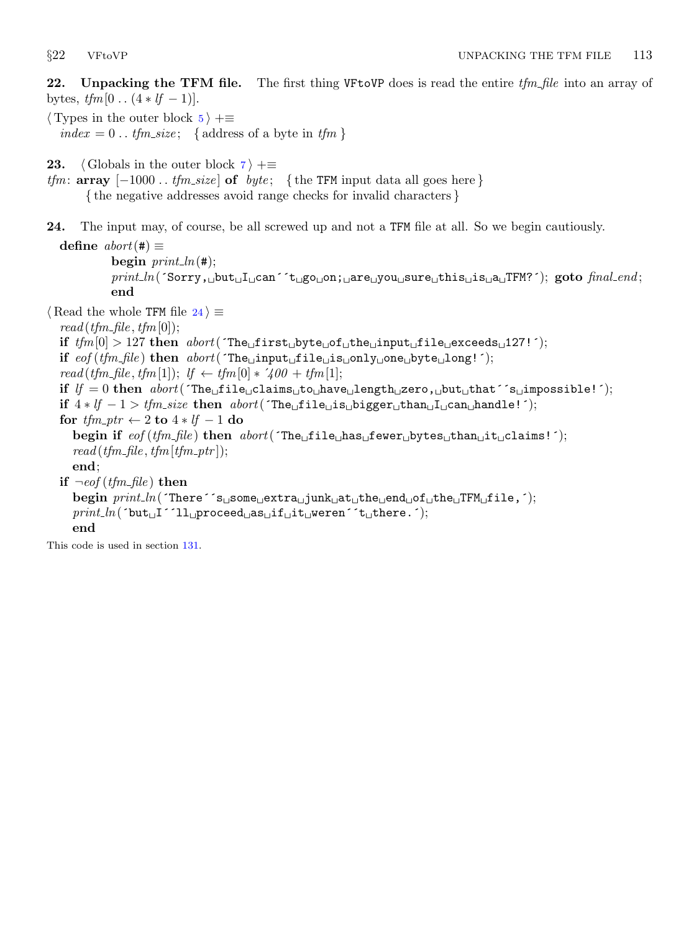<span id="page-12-0"></span>22. Unpacking the TFM file. The first thing VFtoVP does is read the entire  $tfm_{\perp}$  file into an array of bytes,  $tfm[0.. (4 * lf - 1)].$  $\langle$  Types in the outer block [5](#page-2-0)  $\rangle$  +≡  $index = 0$ ...  $tfm_size$ ; { address of a byte in  $tfm$  } 23.  $\langle$  Globals in the outer block [7](#page-3-0)  $\rangle$  +≡ tfm:  $array \ [-1000 \dots \text{tfm.size}]\$  of  $byte; \ \{the \text{TFM input data all goes here}\}\$ { the negative addresses avoid range checks for invalid characters } 24. The input may, of course, be all screwed up and not a TFM file at all. So we begin cautiously. define  $abort(\#) \equiv$ begin  $print\_ln(#);$  $print\_ln($  Sorry, but  $I_U$ can 't  $L_{Q}$ o on; are you sure this is a  $I$ FM?'); goto final end; end  $\langle$  Read the whole TFM file 24 $\rangle \equiv$  $read(tfm\_file, tfm[0]);$ if  $tfm[0] > 127$  then  $abort('The \text{ifirst\_byte\_of} \text{the\_input\_file\_exceeds\_127!'});$ if  $\text{eof}(tfm\text{-}file)$  then  $\text{abort}(\text{`The}\text{-}\text{input}\text{-}\text{file}\text{-}\text{is}\text{-}\text{only}\text{-}\text{one}\text{-}\text{byte}\text{-}\text{long!'});$ read (tfm\_file, tfm[1]);  $lf \leftarrow tfm[0] * 400 + tfm[1];$ if  $l f = 0$  then  $abort('The_U file_U claims_U to_U have_U length_U zero,_U but_U that 's_Uimpossible!');$ if  $4 * \{f - 1 > tfm\_size \text{ then } abort(\text{The\_file\_is\_bigger\_than\_I}\text{\_can\_handle}!');$ for  $tfm\_ptr \leftarrow 2$  to  $4 * If -1$  do begin if  $\text{eof}(t/m_{\text{th}})$  then  $\text{abort}($  The file  $\text{base}_\text{th}$  fewer bytes than it claims!  $\text{th}$ ;  $read(tfm_{\textit{m}}file, tfm_{\textit{m}}[tfm_{\textit{p}}tr]);$ end;

if  $\neg \textit{eof}$  (*tfm\_file*) then

```
begin <i>begining{}>1.5em\textwidth}{\textwidth} \begin{subarray}{c} \text{begin} \text{of} \end{subarray} \begin{subarray}{c} \text{of} \end{subarray} \begin{subarray}{c} \text{of} \end{subarray} \begin{subarray}{c} \text{of} \end{subarray} \begin{subarray}{c} \text{of} \end{subarray} \begin{subarray}{c} \text{of} \end{subarray} \begin{subarray}{c} \text{of} \end{subarray} \begin{subarray}{c} \text{of} \end{subarray} \begin{subarray}{c} \text{of} \end{subarray} \begin{subarray}{c} \text{of} \end{subarray} \begin{subarrayprint\_ln( 'but\_I' '11_{\cup}proceed_{\cup}as_{\cup}if_{\cup}it<sub>\cup</sub>weren' 't_{\cup}there. ');
end
```
This code is used in section [131.](#page-47-0)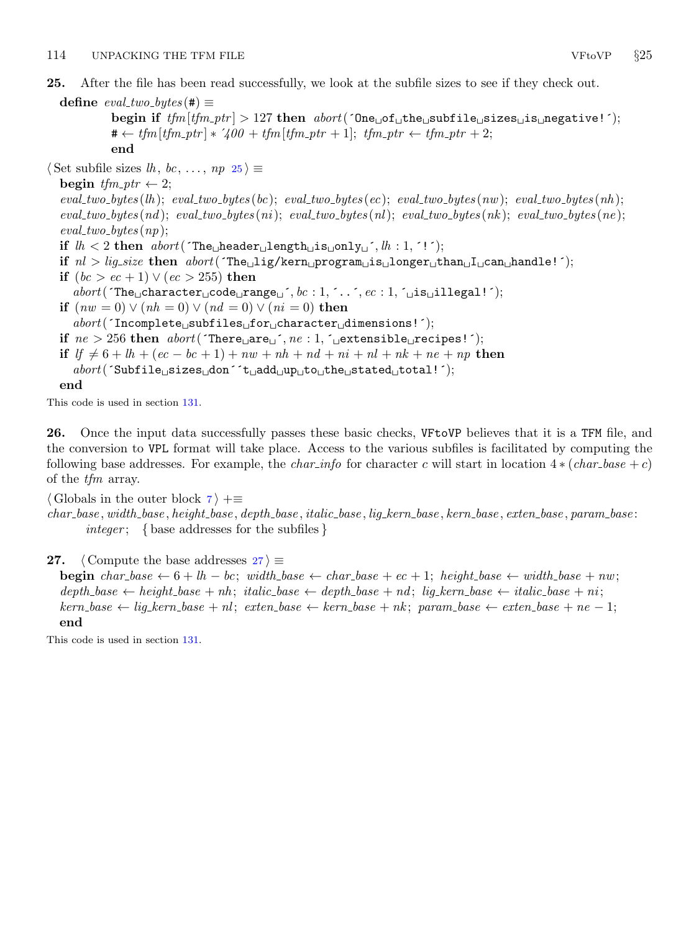<span id="page-13-0"></span>25. After the file has been read successfully, we look at the subfile sizes to see if they check out.

```
define eval\_two\_bytes (#) \equivbegin if tfm[fm\_ptr] > 127 then abort('One<sub>U</sub>of<sub>U</sub>the<sub>U</sub>subfile<sub>U</sub>size<sub>U</sub>is<sub>U</sub>negative!');\# \leftarrow \text{tfm}{[tfm\_ptr] * 400 + tfm}{[tfm\_ptr + 1]}; \text{tfm\_ptr} \leftarrow \text{tfm\_ptr + 2};end
```

```
\langle Set subfile sizes lh, bc, ..., np 25\rangle \equivbegin tfm\_ptr \leftarrow 2;eval\_two\_bytes(lh); \; eval\_two\_bytes(bc); \; eval\_two\_bytes(ec); \; eval\_two\_bytes(nh); \; eval\_two\_bytes(lh);eval\_two\_bytes(nd); \text{ } eval\_two\_bytes(ni); \text{ } eval\_two\_bytes(nl); \text{ } eval\_two\_bytes(nk); \text{ } eval\_two\_bytes(ne);eval\_two\_bytes(np);if lh < 2 then abort('The \text{[header] length} \text{[is} \text{[only]}, lh : 1, '!');if nl > lig\_size then abort('The\_lig/kern\_program\_is\_longer\_than\_I\_can\_handle'.if (bc > ec + 1) \vee (ec > 255) then
     abort('The <sub>U</sub> character <sub>U</sub>code<sub>U</sub>range<sub>U</sub>', bc : 1, ', . . , ec : 1, 'u is <sub>U</sub>illegal!');if (nw = 0) \vee (nh = 0) \vee (nd = 0) \vee (ni = 0) then
      abort('Incomplete\_\text{subfiles\_\text{f}or\_\text{c}character\_\text{d}imensions!');if ne > 256 then abort('There \sqcup are \sqcup', ne: 1, \sqcup \text{extension} \sqcup \text{recipes!'});if lf \neq 6 + lh + (ec - bc + 1) + nw + nh + nd + ni + nl + nk + ne + np then
     abort('Subfile\_sizes \_\text{don}^t_t_a, add \_\text{up\_to\_the\_stated \_\text{tot} \_\text{col}}');
  end
This code is used in section 131.
```
26. Once the input data successfully passes these basic checks, VFtoVP believes that it is a TFM file, and the conversion to VPL format will take place. Access to the various subfiles is facilitated by computing the following base addresses. For example, the *char-info* for character c will start in location  $4 * (char base + c)$ of the tfm array.

 $\langle$  Globals in the outer block [7](#page-3-0)  $\rangle$  +≡

```
char base , width base , height base , depth base , italic base , lig kern base , kern base , exten base , param base :
       integer; { base addresses for the subfiles }
```
27.  $\langle$  Compute the base addresses  $27 \rangle \equiv$ 

**begin** char base  $\leftarrow 6 + lh - bc$ ; width base  $\leftarrow char$  base + ec + 1; height base  $\leftarrow width$  base + nw; depth base ← height base + nh ; italic base ← depth base + nd ; lig kern base ← italic base + ni ;  $kern\_base \leftarrow lig\_kern\_base + nl; \text{ }exten\_base \leftarrow kern\_base + nk; \text{ }param\_base \leftarrow exten\_base + ne - 1;$ end

This code is used in section [131.](#page-47-0)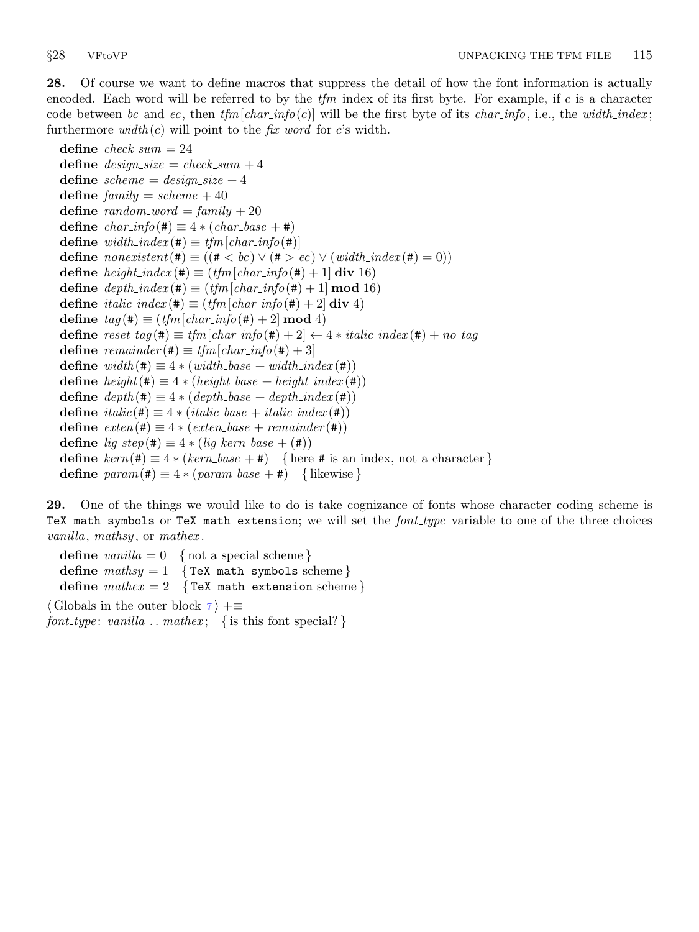<span id="page-14-0"></span>28. Of course we want to define macros that suppress the detail of how the font information is actually encoded. Each word will be referred to by the  $t/m$  index of its first byte. For example, if c is a character code between bc and ec, then  $tfm[char_info(c)]$  will be the first byte of its char info, i.e., the width index; furthermore width  $(c)$  will point to the fix-word for c's width.

```
define check\_sum = 24define design\_size = check\_sum + 4define scheme = design_size + 4define family = scheme + 40define random\_word = family + 20define char\_info(\#) \equiv 4 * (char\_base + \#)define width\_index (#) \equiv tfm[char\_info (#)]
define \text{nonexistent}(\textbf{\#}) \equiv ((\textbf{\#} < bc) \vee (\textbf{\#} > ec) \vee (\text{width}\_\text{index}(\textbf{\#}) = 0))define height\_index (#) \equiv (tfm[char\_info (#) + 1] div 16)
define depth\_index (#) \equiv (tfm[char\_info (#) + 1 mod 16)
define \text{ } italic\_index (\#) \equiv (\text{ } t\text{ }fn \text{ }[\text{ }char\_info(\#) + 2] \text{ div } 4)define tag (\#) \equiv (tfm[char\_info (\#) + 2] \mod 4)define reset\_tag (#) \equiv tfm \left[char\_info(\text{#}) + 2 \right] \leftarrow 4 * italic\_index(\text{#}) + no\_tagdefine remainder(\textbf{\#}) \equiv t/m[char\_info(\textbf{\#})+3]define width(\#) \equiv 4 * (width\_base + width\_index(\#))define height(\#) \equiv 4 * (height\_base + height\_index(\#))define depth(\#) \equiv 4 * (depth\_base + depth\_index(\#))define italic(\texttt{\#}) \equiv 4 * (italic\_base + italic\_index(\texttt{\#}))define exten(\textbf{\#}) \equiv 4 * (exten\_base + remainder(\textbf{\#}))define lig\_step(\#) \equiv 4 * (lig\_kern\_base + (\#))define \text{kern}(\textbf{\#}) \equiv 4 \cdot (\text{kern} - \text{base} + \textbf{\#}) { here # is an index, not a character }
define param(\#) \equiv 4 * (param\_base + \#) { likewise }
```
29. One of the things we would like to do is take cognizance of fonts whose character coding scheme is TeX math symbols or TeX math extension; we will set the  $font_type$  variable to one of the three choices vanilla, mathsy, or mathex.

define  $vanilla = 0$  { not a special scheme} define  $mathsy = 1$  {TeX math symbols scheme} define  $\textit{math} = 2$  {TeX math extension scheme}  $\langle$  Globals in the outer block [7](#page-3-0)  $\rangle$  +≡ font\_type: vanilla ... mathex; { is this font special? }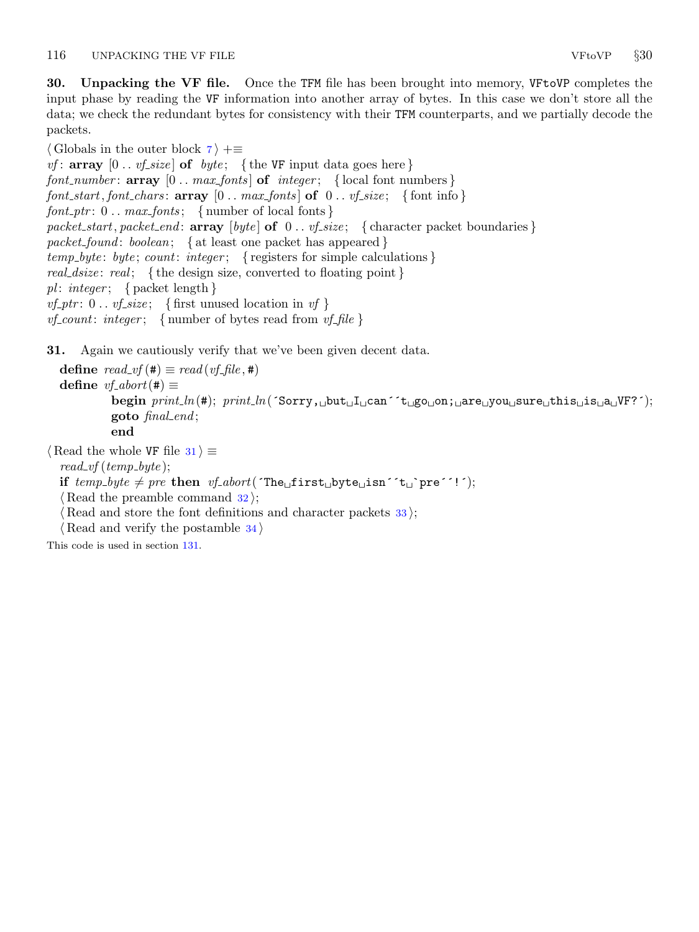<span id="page-15-0"></span>30. Unpacking the VF file. Once the TFM file has been brought into memory, VFtoVP completes the input phase by reading the VF information into another array of bytes. In this case we don't store all the data; we check the redundant bytes for consistency with their TFM counterparts, and we partially decode the packets.

 $\langle$  Globals in the outer block [7](#page-3-0)  $\rangle$  +≡ *vf* : **array**  $[0 \tcdot v \tcdot size]$  of *byte*; {the VF input data goes here } font\_number:  $array [0.. max_fonts]$  of  $integer; \{local font numbers\}$ font\_start, font\_chars:  $array$  [0 . max\_fonts] of 0 . vf\_size; {font info}  $font\_ptr: 0...max\_fonts; \{ number of local fonts\}$ packet\_start, packet\_end:  $array [byte]$  of  $0 \dots vf_size;$  {character packet boundaries} packet\_found: boolean; { at least one packet has appeared }  $temp\_byte: byte; count: integer;$  { registers for simple calculations } real dsize: real; { the design size, converted to floating point } pl: integer; { packet length } *vf\_ptr*:  $0 \ldots v$ *f\_size*; { first unused location in  $v f$  } *vf\_count: integer*; { number of bytes read from *vf\_file* }

31. Again we cautiously verify that we've been given decent data.

define  $read\_vf(\#) \equiv read(vf_{\neg}file, \#)$ define  $vf\_abort$ (#)  $\equiv$ begin  $\text{print\_ln}(\#); \text{ print\_ln}(\text{'Sory}, \text{but} \text{u} \text{u} \text{u} \text{c} \text{a}^*)$   $\text{true}_\text{u}$   $\text{true}_\text{u}$ this  $\text{u} \text{u} \text{u} \text{u} \text{v} \text{F}$ ?´);  $\gcd$  final\_end; end

 $\langle$  Read the whole VF file 31  $\rangle \equiv$ 

 $read\_vf$  (temp\_byte);

if  $temp\_byte \neq pre$  then  $vf\_abort(`The \bot first \bot byte \bot isn``t \bot `pre`':');$ 

 $\langle$  Read the preamble command [32](#page-16-0) $\rangle$ ;

 $\langle$  Read and store the font definitions and character packets  $33$ ;

 $\langle$  Read and verify the postamble [34](#page-17-0) $\rangle$ 

This code is used in section [131.](#page-47-0)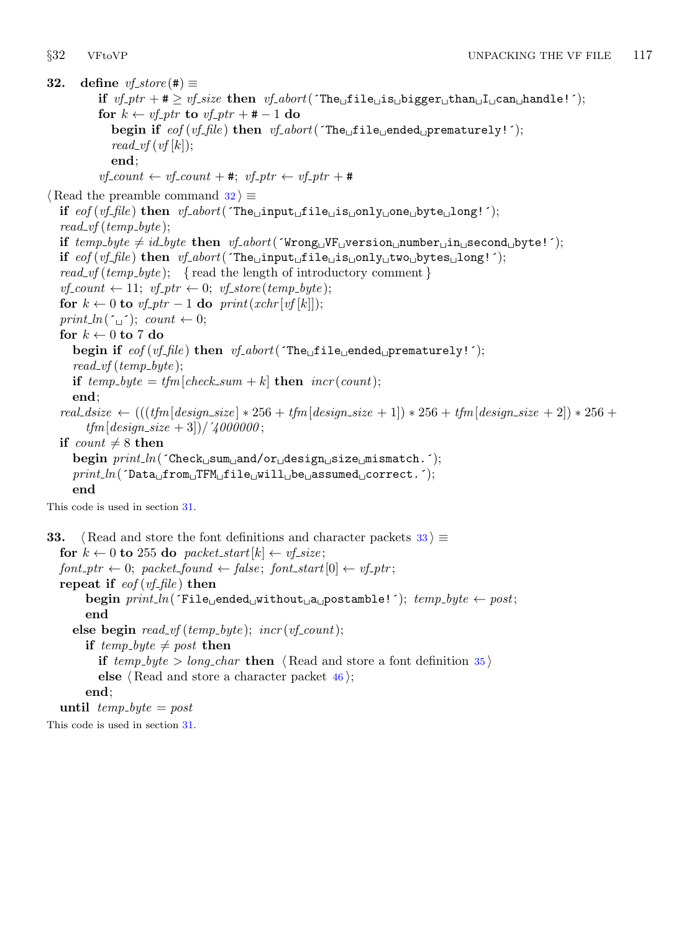<span id="page-16-0"></span>32. define  $vf\_store(\#) \equiv$ if  $v f_p t r + \# \geq v f_s$  is then  $v f_a$  abort ( $\text{The\_file\_is\_bigper\_than\_I}\_\text{can\_handle}$ !'); for  $k \leftarrow vf\_ptr$  to  $vf\_ptr$  + # - 1 do begin if  $\epsilon$  (*vf* file) then *vf* abort( $\tau$ he<sub>i i</sub>file ended prematurely! $\tau$ );  $read\_vf(vf[k])$ ; end;  $v f_{\mathcal{L}} count \leftarrow v f_{\mathcal{L}} count + \texttt{\#}; \ v f_{\mathcal{L}} pr \leftarrow v f_{\mathcal{L}} pr + \texttt{\#}$  $\langle$  Read the preamble command 32 $\rangle \equiv$ if  $eof (vf_{\text{-}}file)$  then  $vf_{\text{-}}abort$  (The input file is only one byte long! );  $read\_vf$  (temp\_byte); if  $temp\_byte \neq id\_byte$  then  $vf\_abort('Wrong \cup VFig \cup Version \cup number \cup in \cup second \cup byte)!$ ; if  $eof(vf_{\text{m}}/E)$  then  $v f_{\text{m}}/E$  (The input file is only two bytes long!);  $read\_vf$  (temp\_byte); {read the length of introductory comment}  $v f_{\mathit{count}} \leftarrow 11; \; v f_{\mathit{+}} \leftarrow 0; \; v f_{\mathit{-}} \text{store}(\text{temp\_byte});$ for  $k \leftarrow 0$  to  $\text{vf\_ptr} - 1$  do  $\text{print}(\text{xchr}[\text{vf}[k]]);$ print\_ln( $\ulcorner \_$ '); count  $\leftarrow 0$ ; for  $k \leftarrow 0$  to 7 do begin if  $\text{eof}(\text{vf}_\text{f} \text{file})$  then  $\text{vf}_\text{f} \text{abort}$  (The file ended prematurely! );  $read\_vf$  (temp\_byte); if  $temp\_byte = tfm[check\_sum + k]$  then  $incr(count);$ end;  $real\_dsize \leftarrow (((tfm[design\_size] * 256 + tfm[design\_size + 1]) * 256 + tfm[design\_size + 2]) * 256 +$  $t/m [design_size + 3])/'4000000;$ if count  $\neq 8$  then  $begin *beginimalg* from  $print\_ln($  'Check<sub>□</sub>sum<sub>□</sub> and/or<sub>□</sub> design<sub>□</sub> size<sub>□</sub> mismatch. ');$  $print\_ln($   $\texttt{Data}$   $\texttt{from}$   $\texttt{TFM}$   $\texttt{file}$   $\texttt{will}$   $\texttt{be}$  assumed correct.  $\texttt{'}$  ); end This code is used in section [31](#page-15-0). **33.**  $\langle$  Read and store the font definitions and character packets 33  $\rangle \equiv$ for  $k \leftarrow 0$  to 255 do packet\_start[k]  $\leftarrow$  vf\_size;  $font\_ptr \leftarrow 0; packet\_found \leftarrow false; font\_start[0] \leftarrow vf\_ptr;$ repeat if  $\epsilon$  *eof* (*vf*<sub>-file</sub>) then begin print ln(´File ended without a postamble!´); temp byte ← post; end else begin  $read\_vf$  (temp\_byte);  $incr(vf_count)$ ; if  $temp\_byte \neq post$  then if  $temp\_byte > long\_char$  then  $\langle Read \text{ and store a font definition } 35 \rangle$  $\langle Read \text{ and store a font definition } 35 \rangle$  $\langle Read \text{ and store a font definition } 35 \rangle$ else  $\langle$  Read and store a character packet [46](#page-20-0) $\rangle$ ; end;

until  $temp\_byte = post$ 

This code is used in section [31](#page-15-0).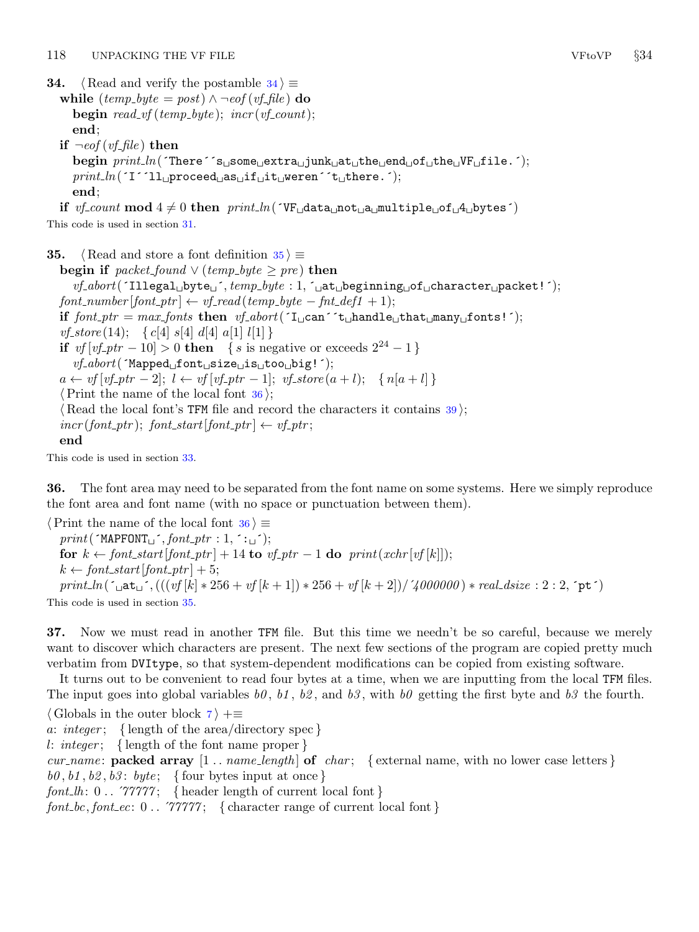<span id="page-17-0"></span>**34.**  $\langle$  Read and verify the postamble 34  $\rangle \equiv$ while  $temp\_byte = post) \wedge \neg eof(vf_{\neg}file)$  do begin  $read\_vf$  (temp\_byte);  $incr(vf\_count)$ ; end; if  $\neg\textit{eof}$  (*vf*-*file*) then  $begin *beginingcript*} rint\_ln(*$  There  $\leq$  s<sub>u</sub>some<sub>u</sub>extra<sub>u</sub> junk<sub>u</sub>at<sub>u</sub>the<sub>u</sub>end<sub>u</sub>of<sub>u</sub>the<sub>u</sub>VF<sub>u</sub>file.  $\leq$  );  $print\_ln($  ^I^ $^{\prime}$ ll proceed as if it weren  $^{\prime}$  t there.  $^{\prime})$ ; end;

if  $v f_{count} \mod 4 \neq 0$  then  $print ln('VF_U data_n not_U a_{num} ltiple_U of_U 4_l bytes')$ This code is used in section [31](#page-15-0).

**35.**  $\langle$  Read and store a font definition  $35 \rangle \equiv$ begin if  $packet\_found \vee (temp\_byte \geq pre)$  then  $v_{\text{J}-abort}$  (Illegal byte  $\text{I}$ ,  $temp\_byte : 1$ ,  $\text{I}_{\text{u}-text{obj}}$  of  $\text{I}_{\text{u}-text{object}}$   $\text{I}$ );  $font_number[font\_ptr] \leftarrow vf\_read(temp\_byte - fnt\_def1 + 1);$ if  $font\_ptr = max\_ fonts$  then  $vf\_abort($  [L<sub>u</sub>can<sup> $\le$ </sup>t<sub>u</sub>handle<sub>u</sub>that<sub>u</sub>many<sub>u</sub>fonts!  $\leq$ );  $v f_{\mathcal{I}} \text{ store } (14); \quad \{ c[4] \text{ s}[4] \text{ d}[4] \text{ a}[1] \text{ } l[1] \}$ if  $\text{tf}[vf_1ptr-10]>0$  then { s is negative or exceeds  $2^{24}-1$  }  $v f_4. a bort('Mapped_1 font_1 size_1 is_1 too_1 big!$ ;  $a \leftarrow vf [vf_ptr-2]; l \leftarrow vf [vf_ptr-1]; vf_store(a+l); \{ n[a+l] \}$  $\langle$  Print the name of the local font 36 $\rangle$ ; (Read the local font's TFM file and record the characters it contains  $39$ );  $incr (font\_ptr)$ ; font\_start[font\_ptr]  $\leftarrow vf\_ptr$ ; end

This code is used in section [33](#page-16-0).

36. The font area may need to be separated from the font name on some systems. Here we simply reproduce the font area and font name (with no space or punctuation between them).

 $\langle$  Print the name of the local font 36  $\rangle \equiv$  $print('MAPFONT<sub>''</sub>, font\_ptr : 1, '': '')$ ; for  $k \leftarrow$  font\_start [font\_ptr] + 14 to vf\_ptr - 1 do print(xchr[vf[k]]);  $k \leftarrow font\_start[font\_ptr] + 5;$  $print\_ln($   $\left(\frac{1}{2}at_1\right)$ ,  $\left(\left(\frac{1}{2}k\right) * 256 + \frac{vf}{k+1}\right) * 256 + \frac{vf}{k+2}$ )/ $\left(\frac{1}{2}000000\right) * real\_dsize : 2 : 2, \text{`pt`}$ This code is used in section 35.

37. Now we must read in another TFM file. But this time we needn't be so careful, because we merely want to discover which characters are present. The next few sections of the program are copied pretty much verbatim from DVItype, so that system-dependent modifications can be copied from existing software.

It turns out to be convenient to read four bytes at a time, when we are inputting from the local TFM files. The input goes into global variables  $b\theta$ ,  $b\theta$ ,  $b\theta$ , and  $b\theta$ , with  $b\theta$  getting the first byte and  $b\theta$  the fourth.

 $\langle$  Globals in the outer block [7](#page-3-0)  $\rangle$  +≡

a: integer; { length of the area/directory spec}

l: integer; { length of the font name proper }

cur name: packed array  $[1 \tldots \tname{name_length}]$  of char; { external name, with no lower case letters }  $b0, b1, b2, b3$ : byte; {four bytes input at once}

font  $\ln$ : 0...  $\gamma\gamma\gamma\gamma\gamma$ : { header length of current local font }

 $font\_bc, font\_ec: 0.$ . '77777; { character range of current local font }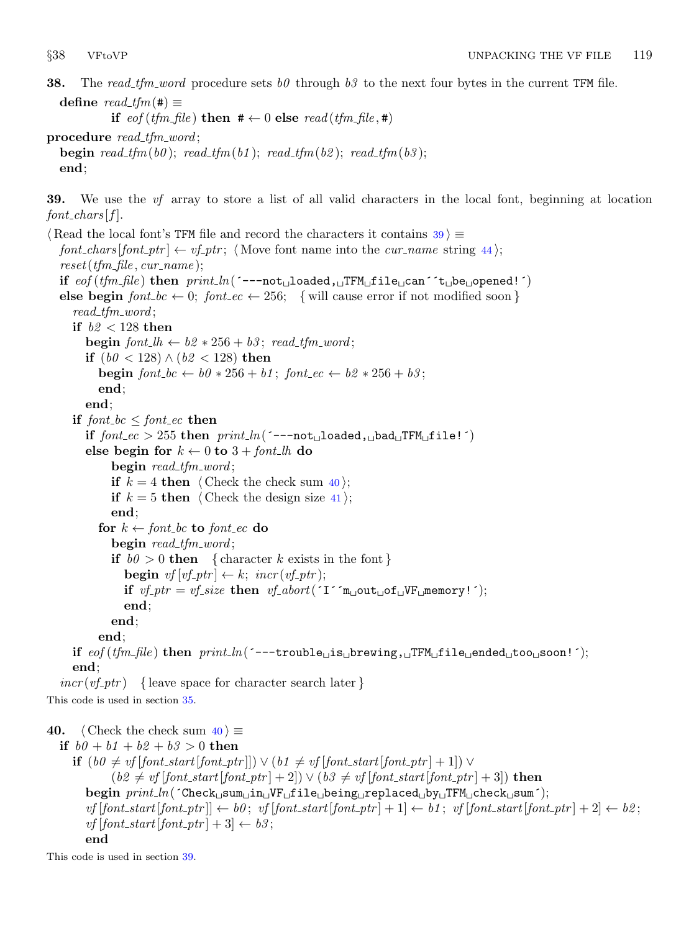<span id="page-18-0"></span>**38.** The read tfm word procedure sets b0 through b3 to the next four bytes in the current TFM file. define  $read\_tfm(\texttt{\#}) \equiv$ 

```
if eof (tfm_{\textit{m}} - file) then \# \leftarrow 0 else read(tfm_{\textit{m}} - file, \#)
```

```
procedure read\_tfm\_word;begin read_tfm(b0); read_tfm(b1); read_tfm(b2); read_tfm(b3);
 end;
```
39. We use the vf array to store a list of all valid characters in the local font, beginning at location  $font\_chars[f].$ 

 $\langle$  Read the local font's TFM file and record the characters it contains 39  $\rangle \equiv$ font\_chars [font\_ptr]  $\leftarrow vf\_ptr$ ; (Move font name into the *cur\_name* string [44](#page-19-0));  $reset(tfm\_file, cur_name);$ if  $eof(t/m_{\text{m}} - file)$  then  $print_{\text{m}}$ <sup>'</sup> --not<sub>ul</sub>loaded, TFM<sub>u</sub>file<sub>u</sub>can<sup>'</sup>t<sub>u</sub>be<sub>u</sub>opened!<sup>'</sup>) else begin  $font\_bc \leftarrow 0; font\_ec \leftarrow 256;$  {will cause error if not modified soon }  $read\_tfm\_word;$ if  $b2 < 128$  then **begin** font\_lh  $\leftarrow b2 * 256 + b3$ ; read\_tfm\_word; **if**  $(b0 < 128) ∧ (b2 < 128)$  then **begin** font bc  $\leftarrow b0 * 256 + b1$ ; font ec  $\leftarrow b2 * 256 + b3$ ; end; end; if  $font\_bc \leq font\_ec$  then if  $font\_ec > 255$  then  $print\_ln($  ---not<sub>⊔</sub>loaded, bad<sub>u</sub>TFM<sub>u</sub>file! ^) else begin for  $k \leftarrow 0$  to  $3 + font\_lh$  do begin read\_tfm\_word; if  $k = 4$  then  $\langle$  Check the check sum  $40$ ; if  $k = 5$  then  $\langle$  Check the design size [41](#page-19-0) $\rangle$ ; end; for  $k \leftarrow$  font bc to font ec do begin  $read\_tfm\_word$ ; if  $b0 > 0$  then { character k exists in the font} **begin**  $\mathit{vf}[\mathit{vf}\_ptr] \leftarrow k$ ;  $\mathit{incr}(\mathit{vf}\_ptr)$ ; if  $vf_{\perp}$   $yf_{\perp}$   $yf_{\perp}$   $size$  then  $vf_{\perp}$   $abort($   $\ulcorner$   $\ulcorner$   $\lceil$   $\lceil$   $\lceil$   $\lceil$   $\lceil$   $\lceil$   $\lceil$   $\lceil$   $\lceil$   $\lceil$   $\lceil$   $\lceil$   $\lceil$   $\lceil$   $\lceil$   $\lceil$   $\lceil$   $\lceil$   $\lceil$   $\lceil$   $\lceil$   $\lceil$   $\lceil$   $\lceil$   $\lceil$   $\lceil$ end; end; end; if  $eof(t/m_{\text{m}}$ file) then print ln(´---trouble is brewing, TFM file ended too soon! ´); end;  $\text{incr}(v f_{\text{-}} p t r)$  { leave space for character search later } This code is used in section [35](#page-17-0). 40. (Check the check sum  $40 \ge$ if  $b0 + b1 + b2 + b3 > 0$  then **if**  $(b0 ≠ vf [font\_start[font_ptr]]) \vee (b1 ≠ vf [font\_start[font_ptr] + 1]) \vee$  $(b2 \neq vf [font\_start [font\_ptr] + 2]) \vee (b3 \neq vf [font\_start [font\_ptr] + 3])$  then  $\Delta p$  begin  $\text{print\_ln}(\text{`Check\_sum\_in\_VF\_file\_being\_replaced\_by\_TFM\_check\_sum'});$  $\text{v}[font\_start[font\_ptr]] \leftarrow b0; \text{ v}[font\_start[font\_ptr] + 1] \leftarrow b1; \text{ v}[font\_start[font\_ptr] + 2] \leftarrow b2;$ vf  $[font\_start | font\_ptr] + 3] \leftarrow b3;$ end

This code is used in section 39.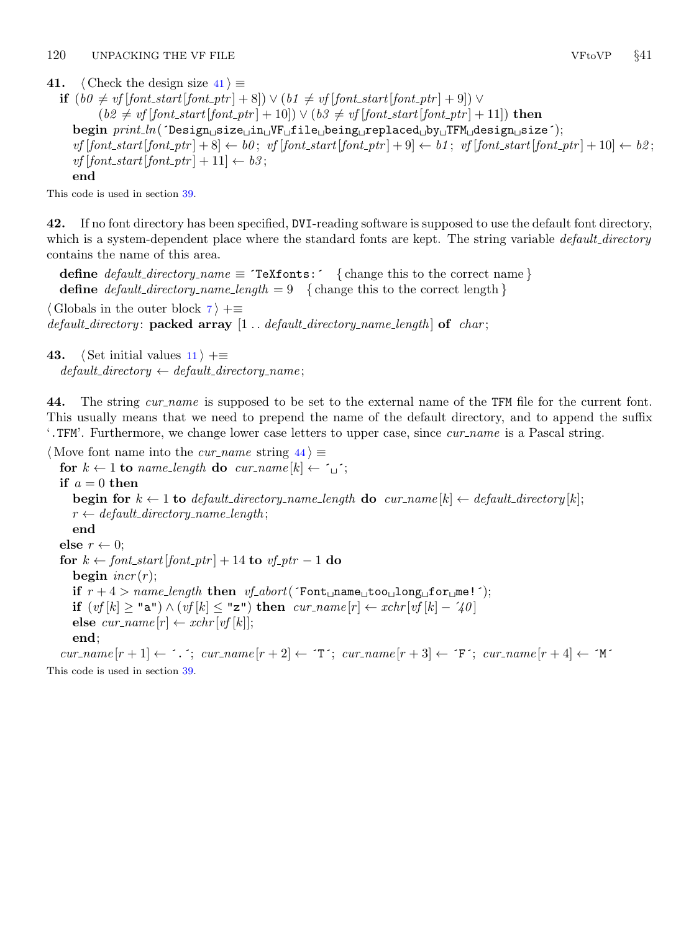<span id="page-19-0"></span>41. (Check the design size  $41$ )  $\equiv$ 

if  $(b0 \neq vf [font\_start[font\_ptr] + 8]) \vee (b1 \neq vf [font\_start[font\_ptr] + 9]) \vee$  $(b2 \neq v\text{f}$  [font\_start [font\_ptr] + 10])  $\vee$  (b3)  $\neq v\text{f}$  [font\_start [font\_ptr] + 11]) then begin  $print\_ln($  [Design size in VF file being replaced by TFM design size  $^{\circ}$ );  $v \cdot f$  [font\_start [font\_ptr] + 8]  $\leftarrow b0$ ;  $v \cdot f$  [font\_start [font\_ptr] + 9]  $\leftarrow b1$ ;  $v \cdot f$  [font\_start [font\_ptr] + 10]  $\leftarrow b2$ ;  $v f [font\_start[font\_ptr] + 11] \leftarrow b3;$ end

This code is used in section [39](#page-18-0).

42. If no font directory has been specified, DVI-reading software is supposed to use the default font directory, which is a system-dependent place where the standard fonts are kept. The string variable *default\_directory* contains the name of this area.

define  $default\_directory_name \equiv \text{`Textfonts:'} \{ change this to the correct name}$ define  $default\_directory\_name\_length = 9$  {change this to the correct length}

 $\langle$  Globals in the outer block  $\langle$  [7](#page-3-0)  $\rangle$  + $\equiv$  $default\_directory:$  packed array  $[1..*default\_directory_name\_length*]$  of *char*;

43. (Set initial values  $11$ ) +≡  $default\_directory \leftarrow default\_directory\_name;$ 

44. The string cur name is supposed to be set to the external name of the TFM file for the current font. This usually means that we need to prepend the name of the default directory, and to append the suffix '.TFM'. Furthermore, we change lower case letters to upper case, since  $cur_name$  is a Pascal string.

 $\langle$  Move font name into the *cur\_name* string  $44 \rangle \equiv$ for  $k \leftarrow 1$  to name\_length do cur\_name[k]  $\leftarrow \sim$ ; if  $a = 0$  then begin for  $k \leftarrow 1$  to default directory name length do cur name  $[k] \leftarrow default \cdot directory[k];$  $r \leftarrow default\_directory\_name\_length;$ end else  $r \leftarrow 0$ ; for  $k \leftarrow$  font\_start [font\_ptr] + 14 to vf\_ptr - 1 do begin  $\text{incr}(r)$ ; if  $r + 4 > name_length$  then  $vf\_abort('Font \text{if} \text{and} \text{not} \text{if} \text{or} \text{if} \text{or} \text{if} \text{or} \text{if} \text{or} \text{if} \text{or} \text{if} \text{or} \text{if} \text{or} \text{if} \text{or} \text{if} \text{or} \text{if} \text{or} \text{if} \text{or} \text{if} \text{or} \text{if} \text{or} \text{if} \text{or} \text{if} \text{or} \text{if} \text{or} \text{if} \text{or} \text{if} \text{or} \text$ if  $(vf[k] \geq "a") \wedge (vf[k] \leq "z")$  then  $cur_name[r] \leftarrow xchr[vf[k] - '40]$ else  $cur_name[r] \leftarrow xchr[vf[k]]$ ; end;  $cur_name[r+1] \leftarrow \therefore$ ;  $cur_name[r+2] \leftarrow \text{`T`;} cur_name[r+3] \leftarrow \text{`F`;} cur_name[r+4] \leftarrow \text{`M`}$ 

This code is used in section [39](#page-18-0).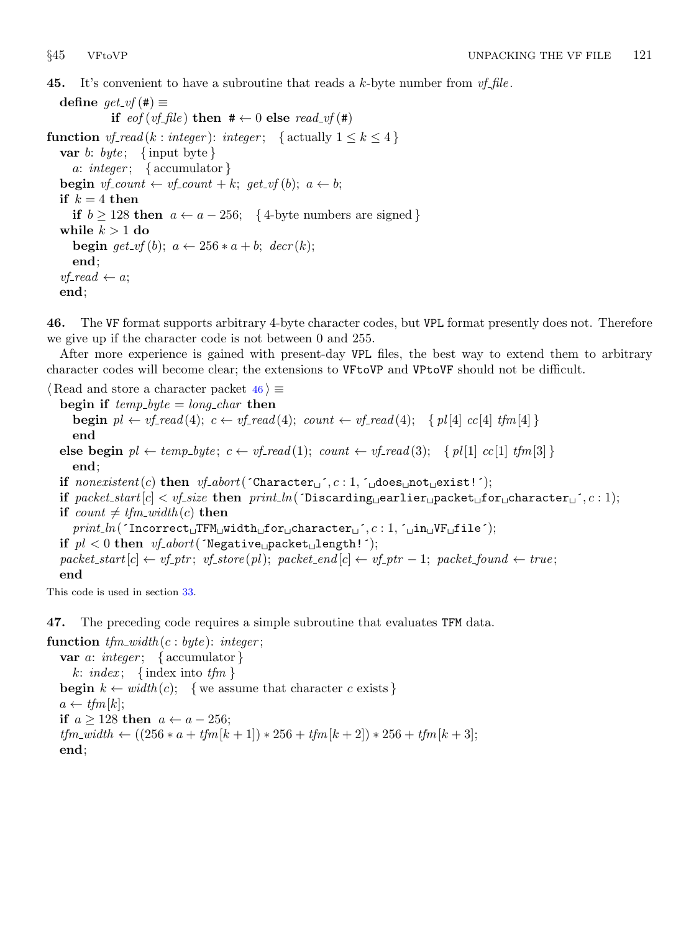<span id="page-20-0"></span>**45.** It's convenient to have a subroutine that reads a k-byte number from  $vf$ -file.

define  $get_v f(\#) \equiv$ if  $\operatorname{cof}(v f_{\text{-}} \operatorname{file})$  then  $\# \leftarrow 0$  else read\_vf(#) function  $\mathit{vf}\text{-}\mathit{read}(k:\mathit{integer})$ :  $\mathit{integer}; \ \{actually\ } 1 \leq k \leq 4\}$ var b: byte; {input byte} a: integer; { $\{$  accumulator } **begin**  $vf_{\text{count}} \leftarrow vf_{\text{count}} + k$ ;  $get_{\text{v}}(b)$ ;  $a \leftarrow b$ ; if  $k = 4$  then if  $b \ge 128$  then  $a \leftarrow a - 256$ ; { 4-byte numbers are signed } while  $k > 1$  do begin get\_vf(b);  $a \leftarrow 256 * a + b$ ; decr(k); end;  $v f_{\mathit{read}} \leftarrow a;$ end;

46. The VF format supports arbitrary 4-byte character codes, but VPL format presently does not. Therefore we give up if the character code is not between 0 and 255.

After more experience is gained with present-day VPL files, the best way to extend them to arbitrary character codes will become clear; the extensions to VFtoVP and VPtoVF should not be difficult.

 $\langle$  Read and store a character packet 46 $\rangle \equiv$ begin if  $temp\_byte = long\_char$  then **begin**  $pl \leftarrow vf\text{-}read(4); c \leftarrow vf\text{-}read(4); count \leftarrow vf\text{-}read(4); \{ pl[4] \cdot cc[4] \cdot tfm[4] \}$ end else begin  $pl \leftarrow temp_byte; c \leftarrow vf\_read(1); count \leftarrow vf\_read(3); \{ pl[1] \ cc[1] \ tfm[3] \}$ end; if nonexistent(c) then  $v_f\_abort($  Character  $\cdot$   $, c : 1, \cdot \cdot \cdot$  does not exist!  $\cdot$ ; if packet start  $|c| < \text{v}$  size then print ln (Discarding earlier packet for character  $\sim$  c: 1); if count  $\neq$  tfm width (c) then  $print\_ln($  Tncorrect<sub>1</sub>TFM<sub>1</sub>width<sub>11</sub>for<sub>11</sub>character<sub>11</sub>  $, c : 1,$   $\tilde{ }$ <sub>11</sub>in<sub>1</sub>VF<sub>11</sub>file<sup> $\tilde{ }$ </sup>); if  $pl < 0$  then  $vf\_abort($  Negative packet length!  $\cdot$ );  $packet\_start[c] \leftarrow vf\_ptr; \; vf\_store(pl); \; packet\_end[c] \leftarrow vf\_ptr-1; \; packet\_found \leftarrow true;$ end

This code is used in section [33](#page-16-0).

47. The preceding code requires a simple subroutine that evaluates TFM data.

```
function tfm_width(c:byte):integer;var a: integer; {\{ accumulator }
    k: index; {index into tfm }
  begin k \leftarrow width(c); {we assume that character c exists }
  a \leftarrow tfm[k];if a \ge 128 then a \leftarrow a - 256;
  tfm\_width \leftarrow ((256 * a + tfm[k + 1]) * 256 + tfm[k + 2]) * 256 + tfm[k + 3];end;
```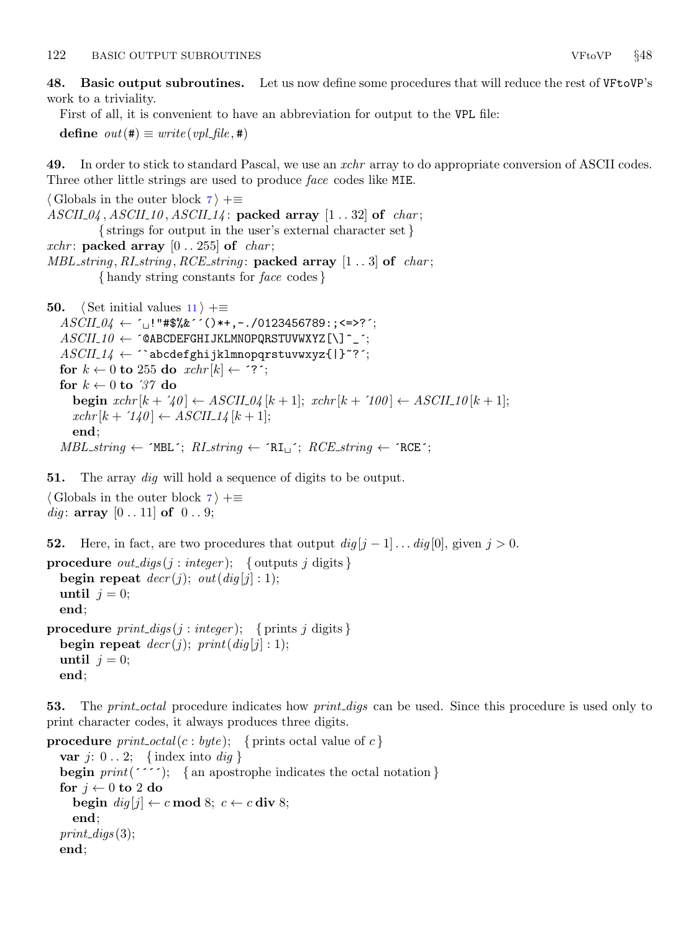<span id="page-21-0"></span>48. Basic output subroutines. Let us now define some procedures that will reduce the rest of VFtoVP's work to a triviality.

First of all, it is convenient to have an abbreviation for output to the VPL file:

define  $out(\textbf{\#}) \equiv write(vpl\text{-file},\textbf{\#})$ 

49. In order to stick to standard Pascal, we use an *xchr* array to do appropriate conversion of ASCII codes. Three other little strings are used to produce face codes like MIE.

```
\langle Globals in the outer block \langle7 \rangle +=
ASCII_04, ASCII_10, ASCII_14: packed array [1..32] of char;
           { strings for output in the user's external character set }
xchr: packed array [0..255] of char;
MBL<sub>-</sub>string, RL<sub>-</sub>string, RCE<sub>-</sub>string: <b>package array</b> <math>[1..3]</math> of <i>char</i>;{ handy string constants for face codes }
```

```
50. \langle11 \rangle +≡
  ASCII_04 \leftarrow \text{`}_0!"#$%&´´()*+,−./0123456789:;<=>?´;
  ASCII_10 \leftarrow \sim CABCDEFGHIJKLMNOPQRSTUVWXYZ[\]^_\sim;
  ASCII_14 \leftarrow ^ abcdefghijklmnopqrstuvwxyz{|}~? ^;
  for k \leftarrow 0 to 255 do xchr[k] \leftarrow '?';
  for k \leftarrow 0 to '37 do
     begin xchr[k + 40] \leftarrow ASCII_04[k+1]; xchr[k + 100] \leftarrow ASCII_0[k+1];
     xchr[k + '140] \leftarrow ASCII_14[k + 1];end;
  MBL\_{string} \leftarrow \text{YMBL}; RL\text{string} \leftarrow \text{RIL}_j; RCE\_{string} \leftarrow \text{RCE};
```
**51.** The array *dig* will hold a sequence of digits to be output.

 $\langle$  Globals in the outer block  $\langle$  [7](#page-3-0)  $\rangle$  += *dig*:  $array [0..11] of 0..9;$ 

```
52. Here, in fact, are two procedures that output diq[j-1] \dots diq[0], given j > 0.
procedure out\_digs (j : integer); { outputs j digits }
  begin repeat decr(j); out (dig[j]:1);until j = 0;
  end;
procedure print\_digs(j:integer); { prints j digits }
  begin repeat decr(j); print(dig[j]:1);
  until j = 0;
  end;
```
53. The *print<sub>ition</sub> procedure indicates how print digs* can be used. Since this procedure is used only to print character codes, it always produces three digits.

```
procedure print_octal(c : byte); { prints octal value of c}
  var j: 0 \ldots 2; \{index into dig \}begin print('; { an apostrophe indicates the octal notation }
  for i \leftarrow 0 to 2 do
     begin diq[j] \leftarrow c \mod 8; c \leftarrow c \text{ div } 8;
     end;
  print\_digs(3);end;
```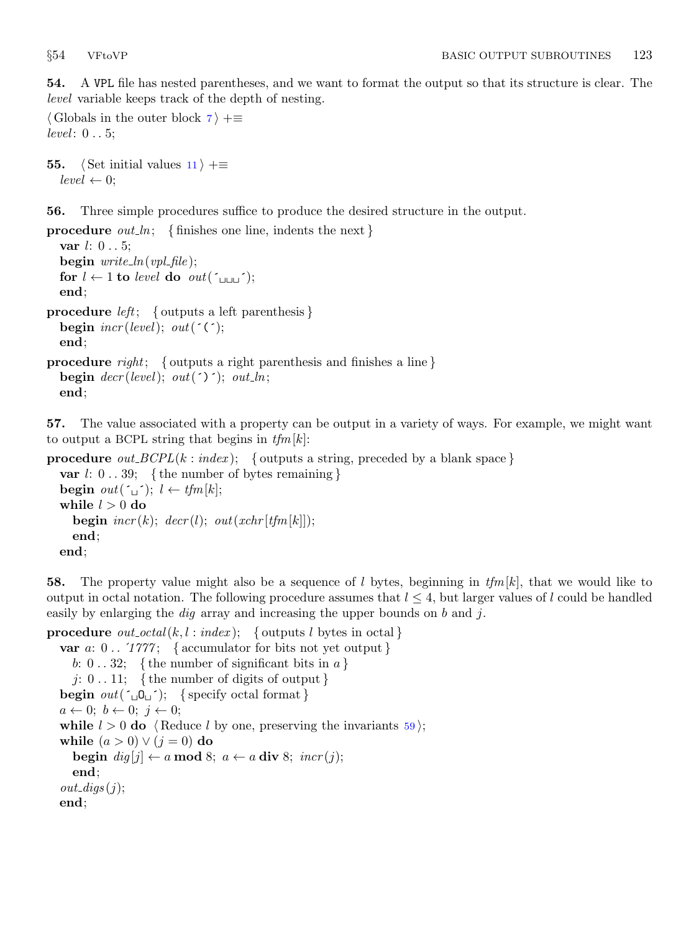<span id="page-22-0"></span>54. A VPL file has nested parentheses, and we want to format the output so that its structure is clear. The level variable keeps track of the depth of nesting.

```
\langle Globals in the outer block \langle7 \rangle +=
level: 0 \ldots 5;
```

```
55. (Set initial values 11) +≡
  level \leftarrow 0;
```
56. Three simple procedures suffice to produce the desired structure in the output.

```
procedure out_ln; { finishes one line, indents the next }
  var l: 0...5;
  begin write\_ln(vpl\_file);
  for l \leftarrow 1 to level do out(\tau_{\text{full}};
  end;
procedure left; { outputs a left parenthesis }
  begin \text{incr}(level); \text{out}(\lceil(\lceil \cdot \rceil));
  end;
procedure right; { outputs a right parenthesis and finishes a line }
  begin decr(level); out(')'); out\_ln;end;
```
57. The value associated with a property can be output in a variety of ways. For example, we might want to output a BCPL string that begins in  $tfm[k]$ :

```
procedure out\_BCPL(k : index); { outputs a string, preceded by a blank space }
  var l: 0...39; \{ the number of bytes remaining }
  begin out(\underline{\cdot} \underline{\cdot}); l \leftarrow tfm[k];
  while l > 0 do
     begin incr(k); decr(l); out(xchr[tfm[k]]);
     end;
  end;
```
**58.** The property value might also be a sequence of l bytes, beginning in  $tfm[k]$ , that we would like to output in octal notation. The following procedure assumes that  $l \leq 4$ , but larger values of l could be handled easily by enlarging the *dig* array and increasing the upper bounds on b and j.

```
procedure out_octal(k, l : index); { outputs l bytes in octal }
  var a: 0... 1777; {accumulator for bits not yet output}
     b: 0 \ldots 32; {the number of significant bits in a}
     j: 0 \ldots 11; { the number of digits of output }
  begin out(\underline{\ulcorner} \Box \mathsf{O} \Box \underline{\ulcorner}); { specify octal format }
  a \leftarrow 0; b \leftarrow 0; j \leftarrow 0;while l > 0 do \langle59\rangle;
  while (a > 0) \vee (j = 0) do
     begin \text{dig}[j] \leftarrow a \mod 8; \ a \leftarrow a \text{ div } 8; \ \text{incr}(j);end;
  out\_digs(j);end;
```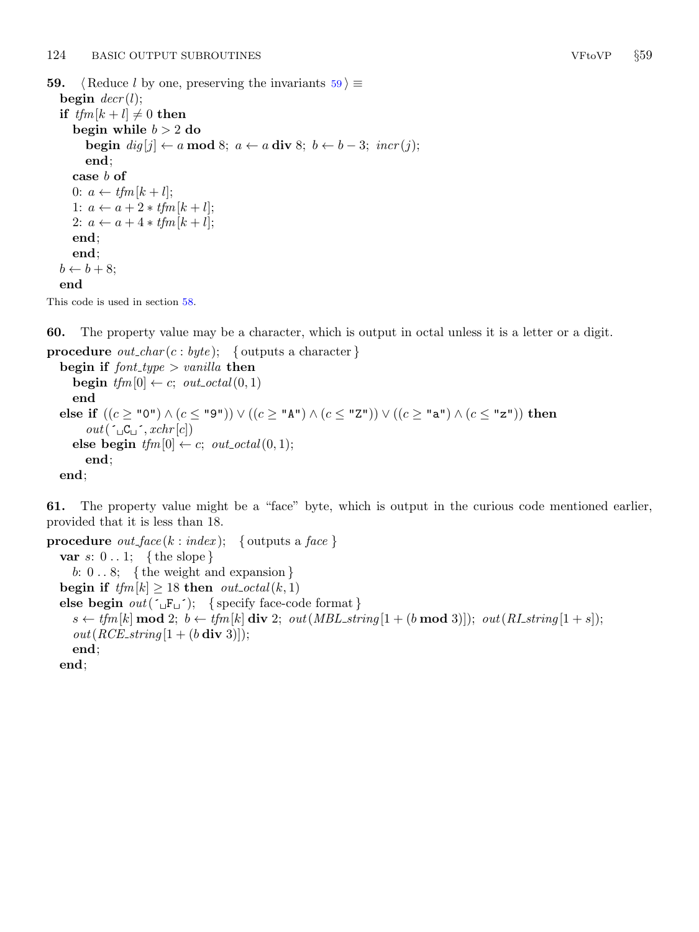```
59. \langle Reduce l by one, preserving the invariants 59 \rangle \equivbegin decr(l);if tfm[k+l] \neq 0 then
     begin while b > 2 do
        begin diq[i] \leftarrow a \mod 8; a \leftarrow a \text{ div } 8; b \leftarrow b - 3; incr(j);
        end;
     case b of
     0: a \leftarrow tfm [k + l];
     1: a \leftarrow a + 2 * tfm[k + l];
     2: a \leftarrow a + 4 * tfm[k + l];
     end;
     end;
  b \leftarrow b + 8;
  end
```

```
This code is used in section 58.
```
60. The property value may be a character, which is output in octal unless it is a letter or a digit.

**procedure**  $out\_char(c:byte);$  { outputs a character } begin if  $font\_type > vanilla$  then **begin**  $tfm[0] \leftarrow c$ ;  $out\_octal(0, 1)$ end else if  $((c \geq "0") \land (c \leq "9") \lor ((c \geq "A") \land (c \leq "Z") \lor ((c \geq "a") \land (c \leq "z"))$  then  $out(\ulcorner \llcorner C \llcorner \urcorner, xchr[c])$ else begin  $tfm[0] \leftarrow c$ ;  $out\_octal(0, 1)$ ; end; end;

61. The property value might be a "face" byte, which is output in the curious code mentioned earlier, provided that it is less than 18.

```
procedure out_face(k : index); { outputs a face }
  var s: 0 \ldots 1; \{ the slope \}b: 0 \ldots 8; {the weight and expansion }
  begin if tfm[k] \geq 18 then out\_octal(k, 1)else begin out(\lceil \text{F}_\sqcup \rceil); { specify face-code format }
     s \leftarrow t/m[k] \mod 2; b \leftarrow t/m[k] \text{div } 2; \text{ out}(MBL\text{-}string[1 + (b \mod 3)]); \text{ out}(RL\text{-}string[1 + s]);out(RCE\_string[1+(b\div3)]);end;
  end;
```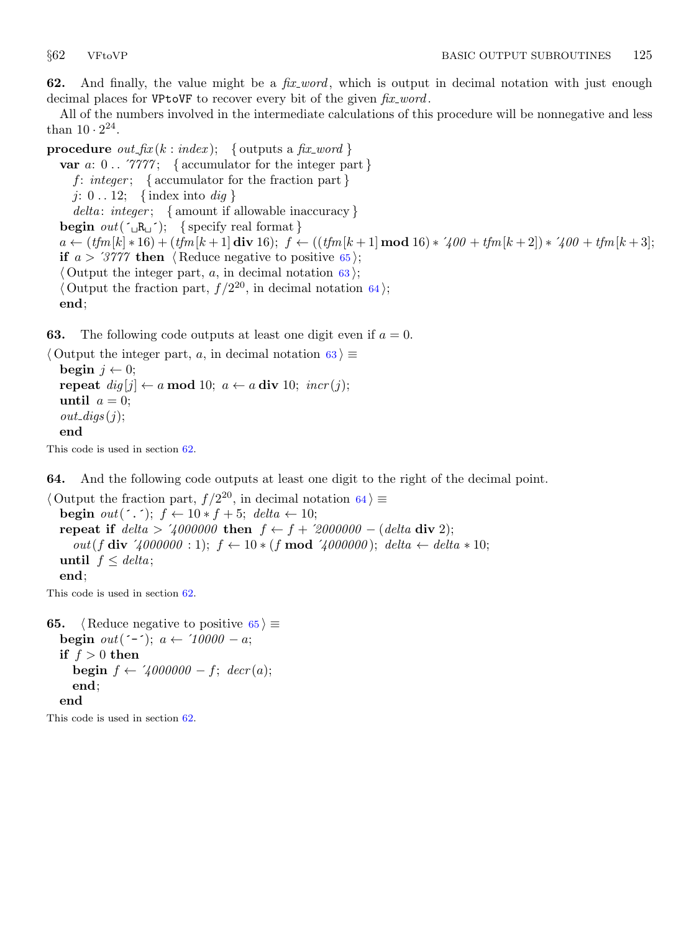<span id="page-24-0"></span>62. And finally, the value might be a  $fix\_word$ , which is output in decimal notation with just enough decimal places for VPtoVF to recover every bit of the given  $fix\_word$ .

All of the numbers involved in the intermediate calculations of this procedure will be nonnegative and less than  $10 \cdot 2^{24}$ .

**procedure** *out\_fix*  $(k : index);$  { outputs a *fix\_word* } var  $a: 0$ ...  $\gamma\gamma\gamma\gamma$ ; { accumulator for the integer part } f: integer; { $\{$  accumulator for the fraction part } j:  $0 \dots 12$ ; {index into *dig* }  $delta: integer; \{ amount if allowable inaccuracy \}$ **begin**  $out(\underline{\hspace{0.2cm}}\cdot E_{\square} \cdot)$ ; { specify real format }  $a \leftarrow (t/m[k] * 16) + (t/m[k+1] \text{ div } 16);$   $f \leftarrow ((t/m[k+1] \text{ mod } 16) * 400 + t/m[k+2]) * 400 + t/m[k+3];$ if  $a > 3777$  then  $\langle$  Reduce negative to positive 65 $\rangle$ ;  $\langle$  Output the integer part, a, in decimal notation 63 $\rangle$ ;  $\langle$  Output the fraction part,  $f / 2^{20}$ , in decimal notation 64 $\rangle$ ; end;

**63.** The following code outputs at least one digit even if  $a = 0$ .

```
\langle Output the integer part, a, in decimal notation 63\rangle \equivbegin j \leftarrow 0;
  repeat dig[j] \leftarrow a \mod 10; \ a \leftarrow a \text{ div } 10; \ incr(j);until a = 0;
   out\_digs(j);end
```
This code is used in section 62.

64. And the following code outputs at least one digit to the right of the decimal point.

 $\langle$  Output the fraction part,  $f / 2^{20}$ , in decimal notation 64 $\rangle \equiv$ **begin**  $out(\ulcorner \cdot \urcorner); f \leftarrow 10 * f + 5; delta \leftarrow 10;$ repeat if  $delta > 2000000$  then  $f \leftarrow f + 2000000 - (delta \, \text{div } 2);$ out(f div '4000000 : 1); f ← 10 \* (f mod '4000000); delta ← delta \* 10; until  $f \leq delta$ ; end; This code is used in section 62.

**65.**  $\langle$  Reduce negative to positive 65  $\rangle \equiv$ begin  $out(\neg \neg)$ ;  $a \leftarrow \neg 10000 - a$ ; if  $f > 0$  then begin  $f \leftarrow \angle 4000000 - f$ ; decr(a); end; end

This code is used in section 62.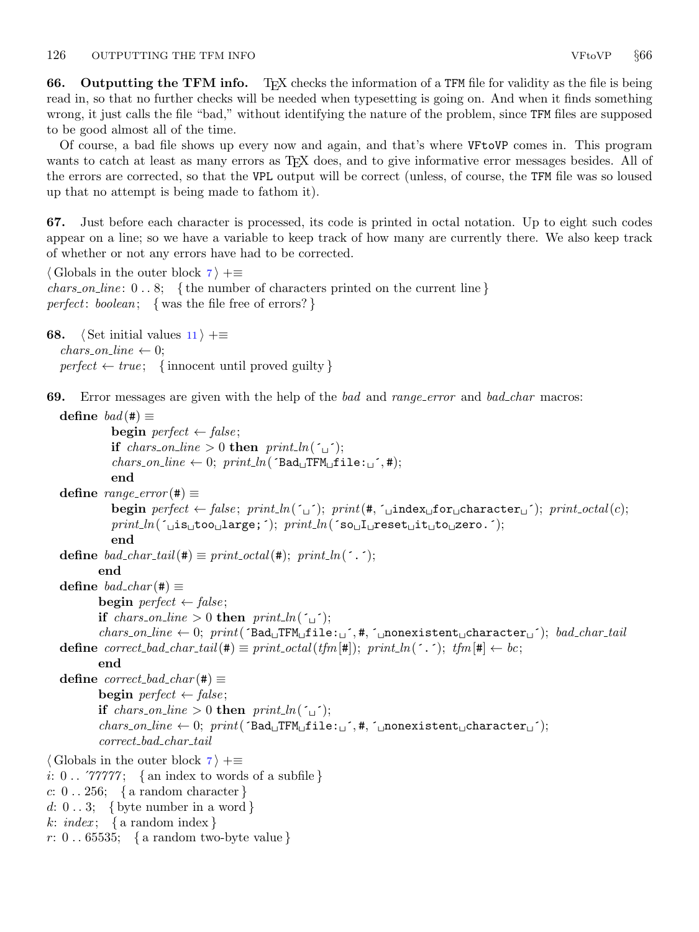<span id="page-25-0"></span>66. Outputting the TFM info. T<sub>F</sub>X checks the information of a TFM file for validity as the file is being read in, so that no further checks will be needed when typesetting is going on. And when it finds something wrong, it just calls the file "bad," without identifying the nature of the problem, since TFM files are supposed to be good almost all of the time.

Of course, a bad file shows up every now and again, and that's where VFtoVP comes in. This program wants to catch at least as many errors as T<sub>E</sub>X does, and to give informative error messages besides. All of the errors are corrected, so that the VPL output will be correct (unless, of course, the TFM file was so loused up that no attempt is being made to fathom it).

67. Just before each character is processed, its code is printed in octal notation. Up to eight such codes appear on a line; so we have a variable to keep track of how many are currently there. We also keep track of whether or not any errors have had to be corrected.

 $\langle$  Globals in the outer block  $\langle$  [7](#page-3-0)  $\rangle$  += *chars\_on\_line*:  $0 \ldots 8$ ; {the number of characters printed on the current line} perfect: boolean; { was the file free of errors? }

```
68. \langle11 \rangle +≡
  chars\_on\_line \leftarrow 0;perfect \leftarrow true; \{ \text{innocent until proved guilty} \}
```
69. Error messages are given with the help of the bad and range error and bad char macros:

```
define bad(\#) \equivbegin perfect \leftarrow false;if chars_on_line > 0 then print\_ln( \lceil \_;
               \textit{chars\_on\_line} \leftarrow 0; \textit{print\_ln}(\texttt{'Bad\_TFM\_file:}\_\text{\'},\texttt{\#});end
  define range_error(\#) \equivbegin perfect \leftarrow false; print ln(\ulcorner '); print (#, '_index_for character '); print octal(c);
              print\_ln( (\text{is\_too\_large; } ); print\_ln( so\text{is\_I\_reset\_it\_to\_zero. } );
              end
  define bad_char_tail(#) \equiv print\_octal(\#); print\_ln('.');
            end
  define bad\_char (#) \equivbegin perfect \leftarrow false;if chars_on_line > 0 then print\_ln( \cdot\textit{chars} \textit{.on} line \leftarrow 0; \textit{print}' (\texttt{Bad}_{\sqcup}TFM_{\sqcup}file:_{\sqcup}<sup>*</sup>, #, \lceil \text{.nonexistence} \rceil<sub>1</sub>\sqcap<sup>*</sup>); bad_char_tail
  define correct bad char tail(#) \equiv print octal(tfm[#]); print ln('.'); tfm[#] \leftarrow bc;
            end
  define correct\_bad\_char(\#) \equivbegin perfect \leftarrow false;if chars_on_line > 0 then print\_ln( \cdot\textit{chars\_on\_line} \leftarrow 0; \textit{print}(\texttt{'Bad\_TFM\_file:~j'}, \texttt{\#}, \texttt{'\_nonexistent\_character\_'});correct bad char tail
\langle Globals in the outer block \langle7 \rangle +=
i: 0 \ldots 77777; { an index to words of a subfile }
c: 0 \ldots 256; { a random character }
d: 0 \ldots 3; { byte number in a word }
k: index; { a random index }
r: 0 \ldots 65535; { a random two-byte value }
```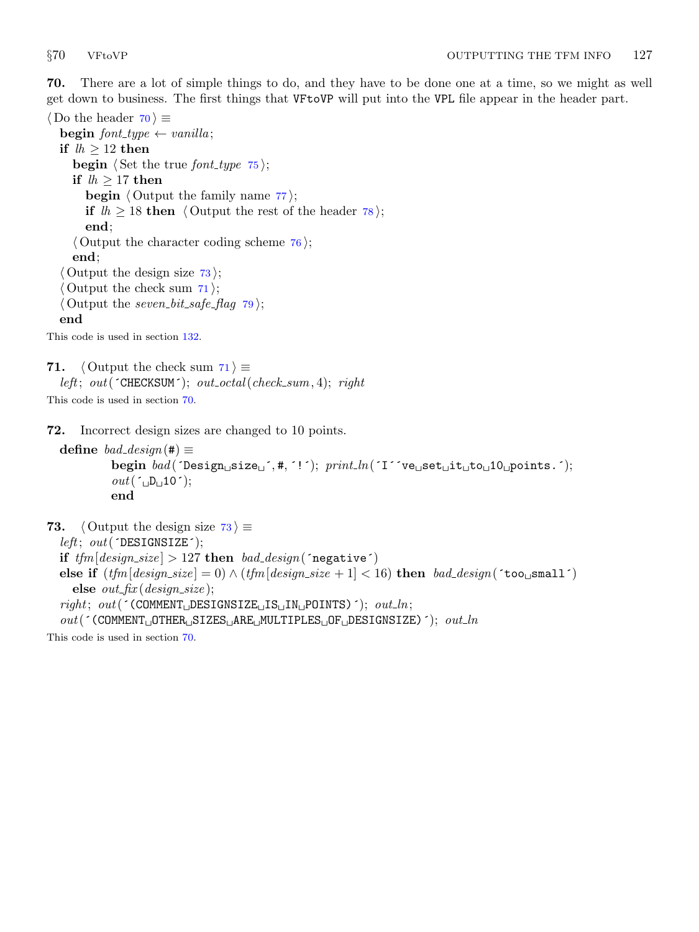<span id="page-26-0"></span>70. There are a lot of simple things to do, and they have to be done one at a time, so we might as well get down to business. The first things that VFtoVP will put into the VPL file appear in the header part.

 $\langle$  Do the header 70  $\rangle \equiv$ begin font\_type  $\leftarrow$  vanilla; if  $lh \geq 12$  then **begin**  $\langle$  Set the true *font\_type* [75](#page-27-0) $\rangle$ ; if  $lh \geq 17$  then **begin**  $\langle$  Output the family name [77](#page-27-0) $\rangle$ ; if  $lh \geq 18$  then  $\langle$  Output the rest of the header [78](#page-27-0) $\rangle$ ; end;  $\langle$  Output the character coding scheme  $76$ ; end;  $\langle$  Output the design size  $73$ ;  $\langle$  Output the check sum  $71$ ;  $\langle$  Output the seven bit safe flag [79](#page-28-0) $\rangle$ ; end

This code is used in section [132.](#page-47-0)

```
71. \langle Output the check sum 71 \rangle \equivleft; out(\text{CHECKSUM}; out_octal(check_sum, 4); right
```
This code is used in section 70.

72. Incorrect design sizes are changed to 10 points.

```
define bad_design(#) \equivbegin bad( ^Design size ^-, \#, '! ); print ln( ^I^^ve set it _1to 10 points. ^);
           out(\ulcorner\Box D\Box 10\urcorner);end
```

```
73. \langle Output the design size 73 \rangle \equiv
```
 $left; out('DESIGNSIZE');$ if  $tfm[design_size] > 127$  then  $bad_design(\texttt{negative})$ else if  $(t/m \lfloor design\_size \rfloor = 0) \wedge (tfm \lfloor design\_size + 1 \rfloor < 16)$  then  $bad\_design$  (\*too\_small\*) else  $out\_fix$  (design\_size);  $right; out('COMMENT \_DESTGNSIZE \_IS \_IN \_POLNTS)$ ;  $out\_ln;$  $out($  (COMMENT<sub>LI</sub>OTHER<sub>LI</sub>SIZES<sub>LI</sub>ARE<sub>LI</sub>MULTIPLES<sub>LI</sub>OF<sub>LI</sub>DESIGNSIZE)  $^$ );  $out\_ln$ 

This code is used in section 70.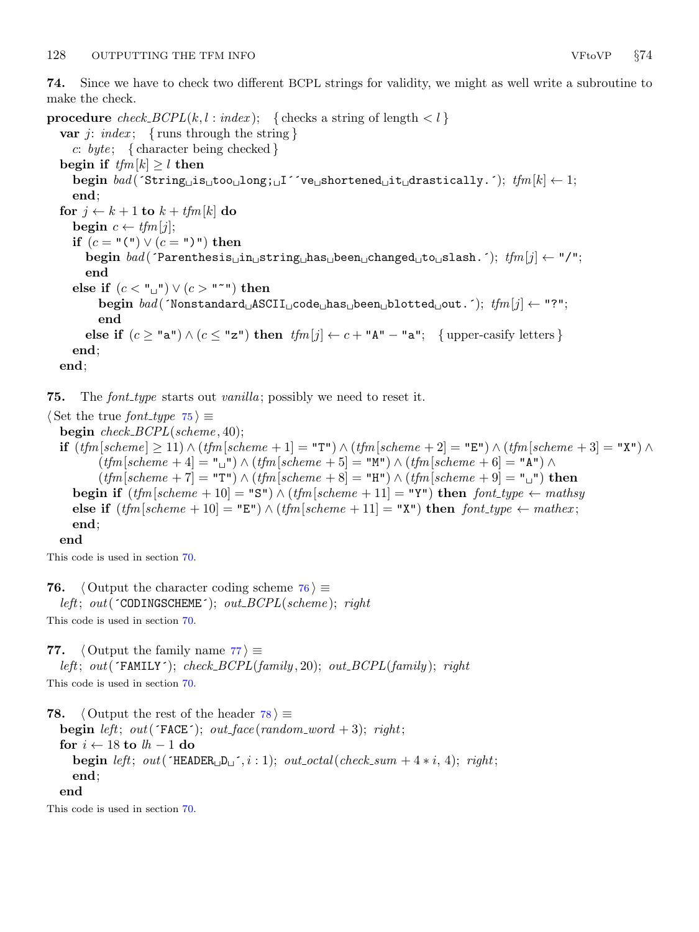<span id="page-27-0"></span>74. Since we have to check two different BCPL strings for validity, we might as well write a subroutine to make the check.

procedure  $check\_BCPL(k, l : index);$  { checks a string of length  $l$  } var j: index; { runs through the string } c: byte; { character being checked } begin if  $t/m[k] \geq l$  then begin  $bad$  (´String is too long; I<sup>'</sup>ve shortened it drastically.´);  $tfm[k] \leftarrow 1;$ end; for  $j \leftarrow k + 1$  to  $k + t$ fm[k] do **begin**  $c \leftarrow tfm[j];$ if  $(c = "(") \vee (c = ")")$  then begin  $\text{bad}$  ( $\text{Parenthesis}$  in string has been changed to slash. $\cdot$ );  $\text{tfm}[i] \leftarrow \text{``} / \text{''}$ ; end else if  $(c < \mathbb{F}^n) \vee (c > \mathbb{F}^n)$  then begin  $bad$  (´Nonstandard  $ASCII \cup code \cup has \cup been \cup blotted \cup out.$ ´);  $tfm[j] \leftarrow$  "?"; end else if  $(c \geq "a") \wedge (c \leq "z")$  then  $tfm[j] \leftarrow c + "A" - "a"$ ; {upper-casify letters } end; end;

**75.** The *font-type* starts out *vanilla*; possibly we need to reset it.

 $\langle$  Set the true font\_type 75  $\rangle \equiv$ begin  $check\_BCPL(scheme, 40);$ if  $(tfm[scheme] \ge 11) \wedge (tfm[scheme + 1] = "T") \wedge (tfm[scheme + 2] = "E") \wedge (tfm[scheme + 3] = "X") \wedge (tfm[scheme + 3] = "S") \wedge (tfm[scheme + 3] = "S") \wedge (tfm[scheme + 3] = "S") \wedge (tfm[scheme + 3] = "S") \wedge (tfm[scheme + 3] = "S") \wedge (tfm[scheme + 3] = "S") \wedge (tfm[scheme + 3] = "S") \wedge (tfm[scheme + 3] = "S") \wedge (tfm[scheme + 3] = "S")$  $(tfm|scheme + 4] = "\sqcup" \wedge (tfm|scheme + 5] = "\sqcup" \wedge (tfm|scheme + 6] = "\blacktriangle" \wedge$  $(tfm[scheme + 7] = "T") \wedge (tfm[scheme + 8] = "H") \wedge (tfm[scheme + 9] = "u")$  then begin if  $(t/m[scheme + 10] = "S") \wedge (tfm[scheme + 11] = "Y")$  then  $font_type \leftarrow mathsy$ else if  $(t/m[scheme + 10] = "E") \wedge (tfm[scheme + 11] = "X")$  then  $font_type \leftarrow matter$ ; end;

end

This code is used in section [70](#page-26-0).

76.  $\langle$  Output the character coding scheme 76  $\rangle \equiv$ left; out( $\text{COMINGSCHEME}$ ; out\_ $BCPL(\text{scheme})$ ; right

This code is used in section [70](#page-26-0).

77.  $\langle$  Output the family name 77  $\rangle \equiv$ left; out( $\text{FAMILY'}$ ); check\_ $BCPL(family, 20)$ ; out\_ $BCPL(family)$ ; right

This code is used in section [70](#page-26-0).

```
78. \langle Output the rest of the header 78 \rangle \equivbegin left; out(FACE); out face (random word + 3); right;
  for i \leftarrow 18 to lh-1 do
     begin left; out(\text{HEADER}_{\text{U}} D_{\text{U}}, i: 1); out_octal(check_sum + 4 * i, 4); right;
     end;
  end
```
This code is used in section [70](#page-26-0).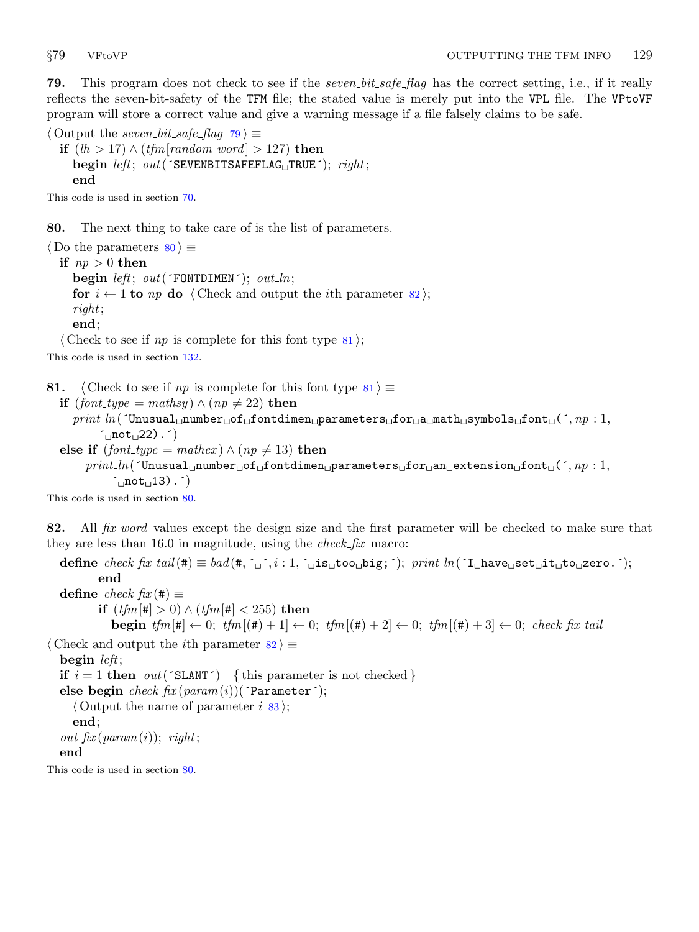<span id="page-28-0"></span>79. This program does not check to see if the seven bit safe flag has the correct setting, i.e., if it really reflects the seven-bit-safety of the TFM file; the stated value is merely put into the VPL file. The VPtoVF program will store a correct value and give a warning message if a file falsely claims to be safe.

 $\langle$  Output the seven bit safe flag 79  $\rangle \equiv$ if  $(lh > 17) \wedge (tfm[random\_word] > 127)$  then begin left; out( $\text{SEVENBITSAFFLAG} \cup \text{TRUE}$ ); right; end

This code is used in section [70](#page-26-0).

80. The next thing to take care of is the list of parameters.

 $\langle$  Do the parameters 80  $\rangle \equiv$ 

if  $np > 0$  then begin left; out( $\text{FONTDIMENT}$ ); out\_ln; for  $i \leftarrow 1$  to  $np$  do  $\langle$  Check and output the *i*th parameter  $82$ ; right; end;  $\langle$  Check to see if np is complete for this font type 81 $\rangle$ ;

This code is used in section [132.](#page-47-0)

81.  $\langle$  Check to see if np is complete for this font type  $81$   $\equiv$ if  $(font\_type = \text{math} ) \wedge (np \neq 22)$  then  $print\_ln($  (Unusual number of fortdimen parameters for a math symbols font ( $\zeta$ ,  $np : 1$ ,  $(not<sub>u</sub>22).')$ else if  $(font\_type = \text{mathex}) \wedge (np \neq 13)$  then  $print\_ln($  (Inusual number of fortdimen parameters for an extension font ( $\zeta$ , np : 1,  $\sim$  not<sub> $(13)$ </sub>. This code is used in section 80.

82. All *fix word* values except the design size and the first parameter will be checked to make sure that they are less than 16.0 in magnitude, using the *check-fix* macro:

define  $check\_fix\_tail(\#) \equiv bad(\#,[\cdot]_i, i : 1, [\cdot]_i, \text{is\_to}_i)$ ; print $\text{ln}([\cdot]_i)$ have $\text{ln}(\cdot)$ gero. $\cdot$ ; end define  $check\_fix$  (#)  $\equiv$ **if**  $(tfm|# > 0) \wedge (tfm|# < 255)$  then begin  $tfm[\ddot{\ast}] \leftarrow 0$ ;  $tfm[(\ddot{\ast}) + 1] \leftarrow 0$ ;  $tfm[(\ddot{\ast}) + 2] \leftarrow 0$ ;  $tfm[(\ddot{\ast}) + 3] \leftarrow 0$ ; check\_fix\_tail  $\langle$  Check and output the *i*th parameter  $\langle 82 \rangle \equiv$ begin left; **if**  $i = 1$  then out ( $SLANT'$ ) {this parameter is not checked} else begin  $check\_fix(param(i))$ ('Parameter');  $\langle$  Output the name of parameter i [83](#page-29-0) $\rangle$ ; end;  $out\_fix$  (param(i)); right; end

This code is used in section 80.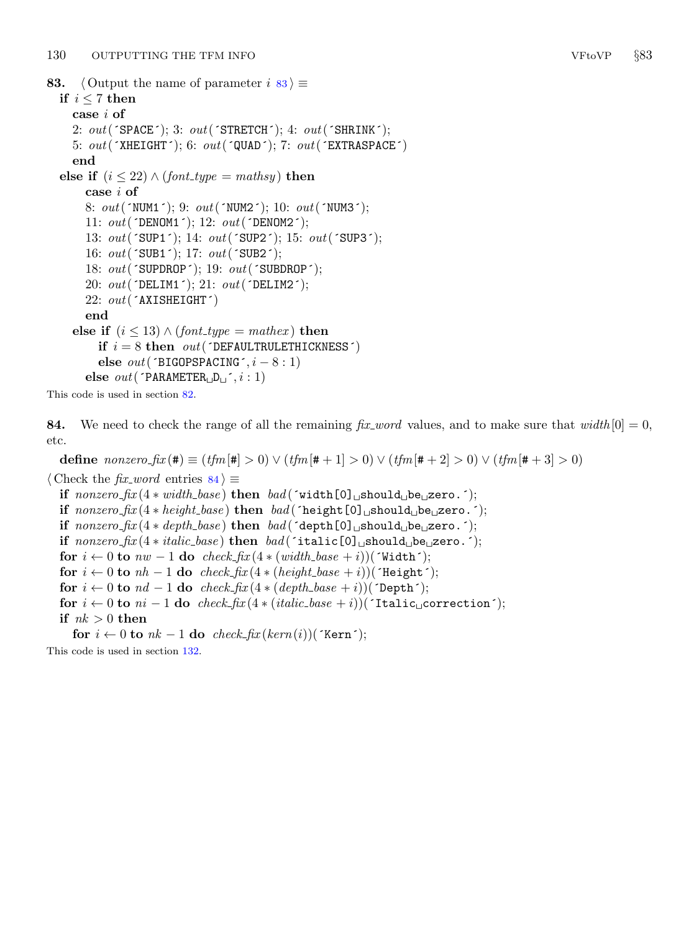```
83. \langle Output the name of parameter i 83 \rangle \equivif i \leq 7 then
    case i of
    2: out('SPACE'); 3: out('STATETCH'); 4: out('SHRINK');5: out('XHEIGHT'); 6: out('QUAD'); 7: out('EXTRASPACE')end
  else if (i \leq 22) \wedge (font\_type = \text{math}case i of
      8: out('NUM1'); 9: out('NUM2'); 10: out('NUM3');11: out('DENOM1'); 12: out('DENOM2');
       13: out('SUP1'); 14: out('SUP2'); 15: out('SUP3');16: out('SUB1'); 17: out('SUB2');18: out('SUPDROP'); 19: out('SUBDROP');20: out('DELIM1'); 21: out('DELIM2');22: out('AXISHEIGHT')end
    else if (i \leq 13) \wedge (font\_type = mathex) then
         if i = 8 then out('DEFAULTRULERHICKNESS')else out('BIGOPSPACENG', i - 8 : 1)else out('PARMETER<sub>u</sub>D<sub>u</sub>^{\prime}, i : 1)
```
This code is used in section [82](#page-28-0).

84. We need to check the range of all the remaining fix-word values, and to make sure that width  $[0] = 0$ , etc.

define  $nonzero\_fix$  (#)  $\equiv (tfm[#] > 0) \vee (tfm[# + 1] > 0) \vee (tfm[# + 2] > 0) \vee (tfm[# + 3] > 0)$  $\langle$  Check the *fix word* entries  $84 \rangle \equiv$ if  $nonzero\_fix(4 * width\_base)$  then  $bad('width[0]_Jshould_b]$ e $_uzero.'$ ; if  $nonzero$ - $\hat{f}xx(4 * height\_{base})$  then  $bad('height[0]$  should be zero. (); if  $nonzero\_fix(4 * depth\_base)$  then  $bad('depth[0] \text{~should} \text{~be} \text{~zero}$ .'); if  $nonzero\_fix(4*italic\_base)$  then  $bad('italic[0] \text{_*should} \text{_*be* \text{_*zero*}.');*$ for  $i \leftarrow 0$  to  $nw - 1$  do check\_fix  $(4 * (width\_base + i))$  ('Width'); for  $i \leftarrow 0$  to  $nh - 1$  do  $check\_fix(4 * (height\_base + i))$ ('Height'); for  $i \leftarrow 0$  to  $nd - 1$  do  $check\_fix(4 * (depth\_base + i))$ ('Depth'); for  $i \leftarrow 0$  to  $ni - 1$  do check  $fix(4 * (italic \_base + i))$ ( $\tau$ Italic<sub>u</sub>correction $\tau$ ); if  $nk > 0$  then for  $i \leftarrow 0$  to  $nk - 1$  do  $check\_fix(kern(i))$ (´Kern´);

This code is used in section [132.](#page-47-0)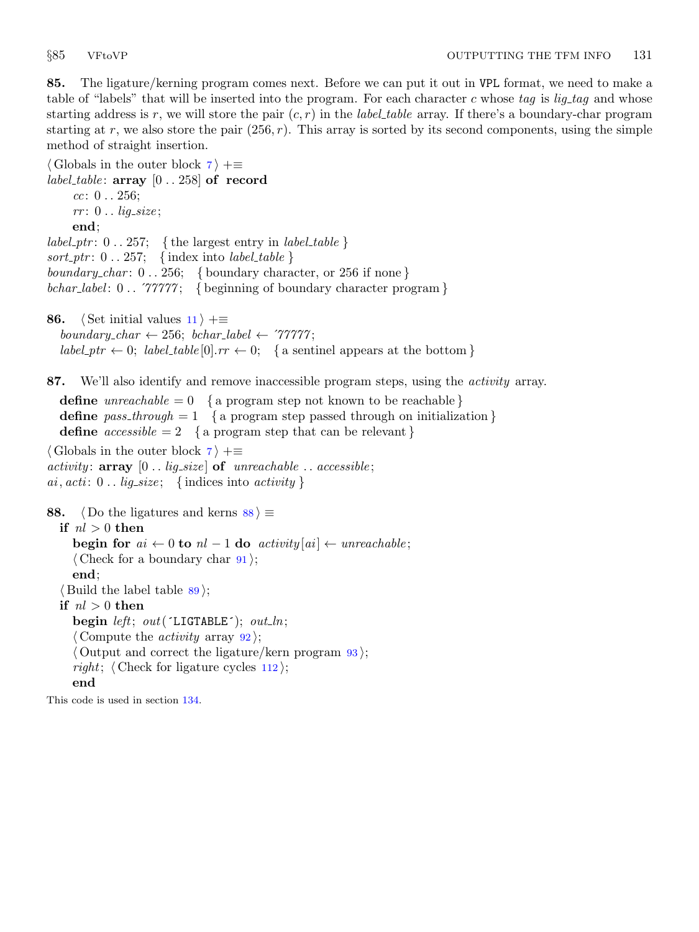<span id="page-30-0"></span>85. The ligature/kerning program comes next. Before we can put it out in VPL format, we need to make a table of "labels" that will be inserted into the program. For each character c whose tag is lig-tag and whose starting address is r, we will store the pair  $(c, r)$  in the *label table* array. If there's a boundary-char program starting at r, we also store the pair  $(256, r)$ . This array is sorted by its second components, using the simple method of straight insertion.

 $\langle$  Globals in the outer block [7](#page-3-0)  $\rangle$  +≡ label\_table:  $array [0.. 258]$  of record  $cc: 0.0.256;$  $rr: 0$ .. lig\_size; end; label\_ptr:  $0 \ldots 257$ ; {the largest entry in label\_table } sort\_ptr:  $0 \ldots 257$ ; {index into label\_table } boundary char:  $0$ . 256; {boundary character, or 256 if none} bchar label:  $0 \ldots$   $\gamma\gamma\gamma\gamma\gamma$ ; { beginning of boundary character program } 86. (Set initial values  $11$ ) +≡ boundary\_char  $\leftarrow 256$ ; bchar\_label  $\leftarrow$  '77777;  $label\_ptr \leftarrow 0; label\_table[0].rr \leftarrow 0; \{a \text{ sentinel appears at the bottom }\}$ 87. We'll also identify and remove inaccessible program steps, using the *activity* array. **define** unreachable  $= 0$  { a program step not known to be reachable } define pass through  $= 1$  { a program step passed through on initialization } define  $accessible = 2$  { a program step that can be relevant }  $\langle$  Globals in the outer block  $\langle$  [7](#page-3-0)  $\rangle$  += activity:  $array \; [0..] is a size of *unreachable*... *accessible*;$  $ai, acti: 0.. lig\_size; \{ indices into activity \}$ 88.  $\langle$  Do the ligatures and kerns 88  $\rangle \equiv$ if  $nl > 0$  then begin for  $ai \leftarrow 0$  to  $nl - 1$  do activity  $[ai] \leftarrow$  unreachable;  $\langle$  Check for a boundary char [91](#page-31-0) $\rangle$ ; end;  $\langle$  Build the label table  $89$ ; if  $nl > 0$  then begin left; out( $'$ LIGTABLE $'$ ); out\_ln;  $\langle$  Compute the *activity* array  $92$ ;  $\langle$  Output and correct the ligature/kern program  $93$ ; *right*;  $\langle$  Check for ligature cycles [112](#page-39-0) $\rangle$ ; end

This code is used in section [134.](#page-48-0)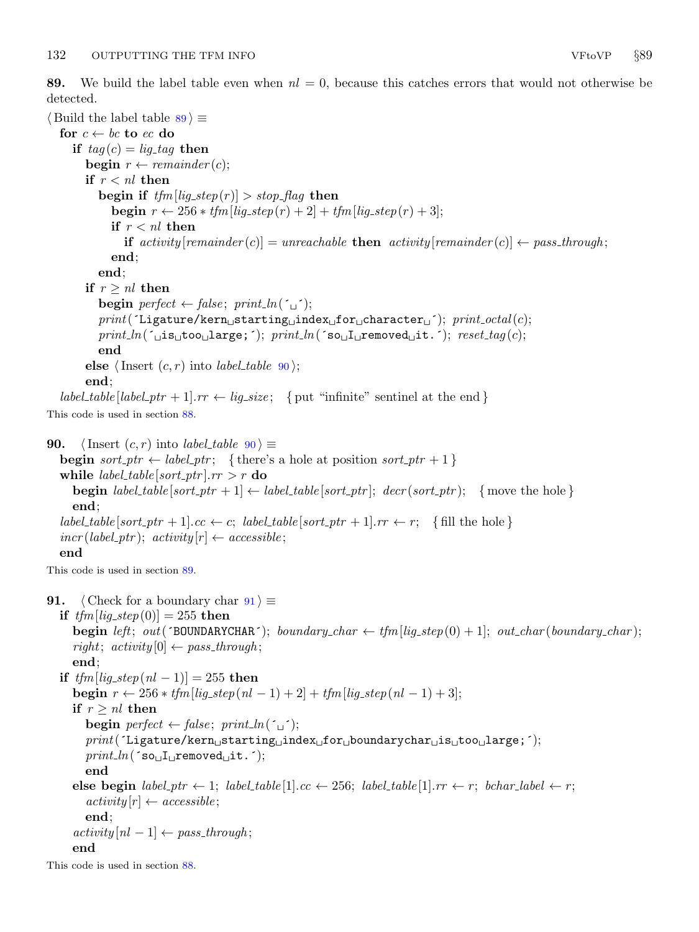<span id="page-31-0"></span>89. We build the label table even when  $nl = 0$ , because this catches errors that would not otherwise be detected.

```
\langle Build the label table 89 \rangle \equivfor c \leftarrow bc to ec do
     if tag (c) = lig\_tag then
        begin r \leftarrow remainder(c);
        if r < nl then
           begin if tfm[lig\_step(r)] > stop\_flag then
              begin r \leftarrow 256 * tfm[lig_step(r) + 2] + tfm[lig_step(r) + 3];
              if r < nl then
                 if activity [remainder (c)] = unreachable then activity [remainder (c)] \leftarrow pass_through;end;
           end;
        if r > nl then
           begin perfect \leftarrow false; print\_ln(\ulcorner \ulcorner);
           print('Ligature/kern_Ustarting_Uindex_Ufor_Ucharacter_U'); print\_octal(c);print\_ln(\texttt{is\_too\_large;'}); print\_ln(\texttt{so\_I\_re moved\_it.'}); reset\_tag(c);
           end
        else \langle Insert (c, r) into label_table 90\rangle;
        end;
   label_table [label_ptr + 1].rr \leftarrow lig_size; { put "infinite" sentinel at the end }
This code is used in section 88.
90. \langle Insert (c, r) into label_table 90 \equivbegin sort_ptr \leftarrow label_ptr; {there's a hole at position sort_ptr + 1}
   while label_table[sort_ptr].rr > r do
     begin label\_table[sort\_ptr] \leftarrow label\_table[sort\_ptr]; \; decr(sort\_ptr); \; \{ \text{move the hole} \}end;
   label\_table[sort\_ptr + 1].cc \leftarrow c; label\_table[sort\_ptr + 1].rr \leftarrow r; \{fill the hole\}incr (label\_ptr); activity[r] \leftarrow accessible;
  end
This code is used in section 89.
91. \langle Check for a boundary char 91 \rangle \equivif tfm[lig\_step(0)] = 255 then
     begin left; out(\text{TDUNDARYCHAR}); boundary_char \leftarrow \text{tfm}[\text{lig\_step}(0) + 1]; out_char(boundary_char);
     right; activity [0] \leftarrow pass\_through;end;
  if tfm[lig\_step(nl - 1)] = 255 then
     begin r ← 256 * tfm[lig_step(nl - 1) + 2] + tfm[lig_step(nl - 1) + 3];
     if r \geq nl then
        begin perfect \leftarrow false; print\_ln(\uparrow \downarrow \uparrow);
        \it print('Lighture/kern_\sqcup starting_\sqcup index_\sqcup for_\sqcup boundarychar_\sqcup is_\sqcup too_\sqcup large\,;~');print\_ln( so<sub>\sqcupI\sqcupremoved\sqcupit. \qquad;</sub>
        end
     else begin label_ptr \leftarrow 1; label_table [1].cc \leftarrow 256; label_table [1].rr \leftarrow r; bchar_label \leftarrow r;
        activity[r] \leftarrow accessible;end;
     activity[nl-1] \leftarrow pass\_through;end
This code is used in section 88.
```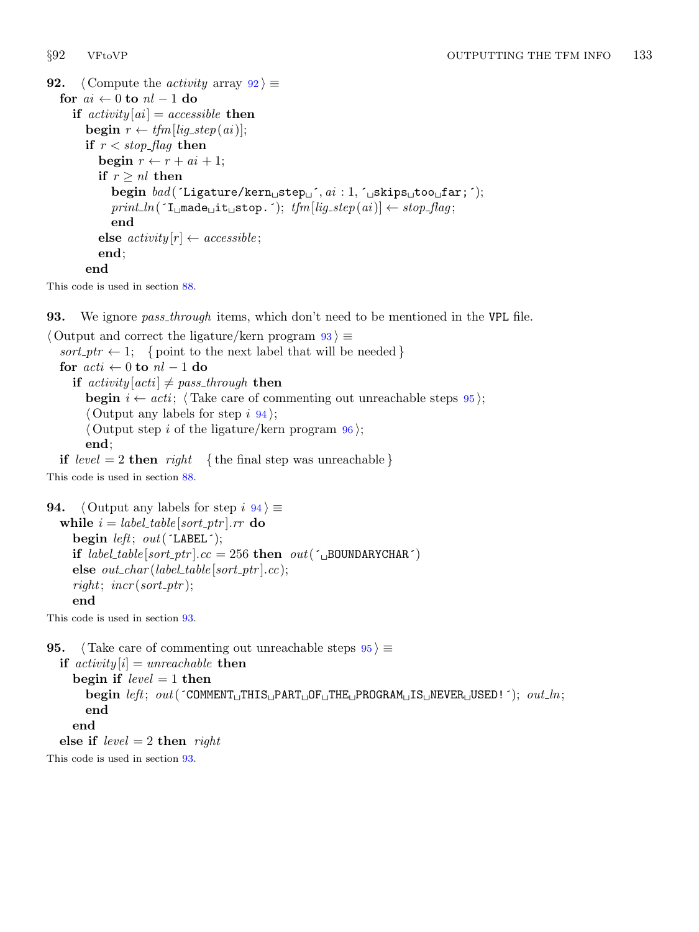```
92. \langle Compute the activity array 92 \rangle \equivfor ai \leftarrow 0 to nl - 1 do
     if activity[ai] = accessible then
        begin r \leftarrow tfm[lig_step(ai)];
        if r < stop\_flag then
           begin r \leftarrow r + ai + 1;
           if r \geq nl then
              begin bad(\text{Ligature/kern}_{\sqcup}step\sqcup, ai: 1, \text{Lskips}_{\sqcup}too\sqcupfar;\land);
               print\_ln( I<sub>\cup</sub>made\cupit\cupstop. \cdot); tfm[lig\_step(ai)] \leftarrow stop\_flag;end
           else activity[r] \leftarrow accessible;end;
        end
```
This code is used in section [88](#page-30-0).

93. We ignore *pass\_through* items, which don't need to be mentioned in the VPL file.

```
\langle Output and correct the ligature/kern program 93 \rangle \equivsort\_ptr \leftarrow 1; \{ \text{point to the next label that will be needed} \}for acti \leftarrow 0 to nl - 1 do
     if activity[acti] \neq pass\_through then
        begin i \leftarrow acti; \langle Take care of commenting out unreachable steps 95\rangle;
        \langle Output any labels for step i 94\rangle;
        \langle Output step i of the ligature/kern program 96;
        end;
  if level = 2 then right { the final step was unreachable}
```
This code is used in section [88](#page-30-0).

```
94. \langle Output any labels for step i 94 \rangle \equivwhile i = label_table[sort\_ptr].rr do
     begin left; out('LABEL');
     if label_table[sort_ptr].cc = 256 then out(\DeltaBOUNDARYCHAR\Delta)
     else out\_char(label\_table[sort\_ptr].cc);right; incr(sort_ptr);
     end
```
This code is used in section 93.

```
95. \langle Take care of commenting out unreachable steps 95 \rangle \equivif activity[i] = unreachable then
      begin if level = 1 then
          \text{begin } let; out(\text{COMMENT} \sqcup \text{HIS} \sqcup \text{PART} \sqcup \text{OF} \sqcup \text{THE} \sqcup \text{PROGRAM} \sqcup \text{IS} \sqcup \text{NEVER} \sqcup \text{SED}! \;'); \; out\_ln;end
      end
   else if level = 2 then right
```
This code is used in section 93.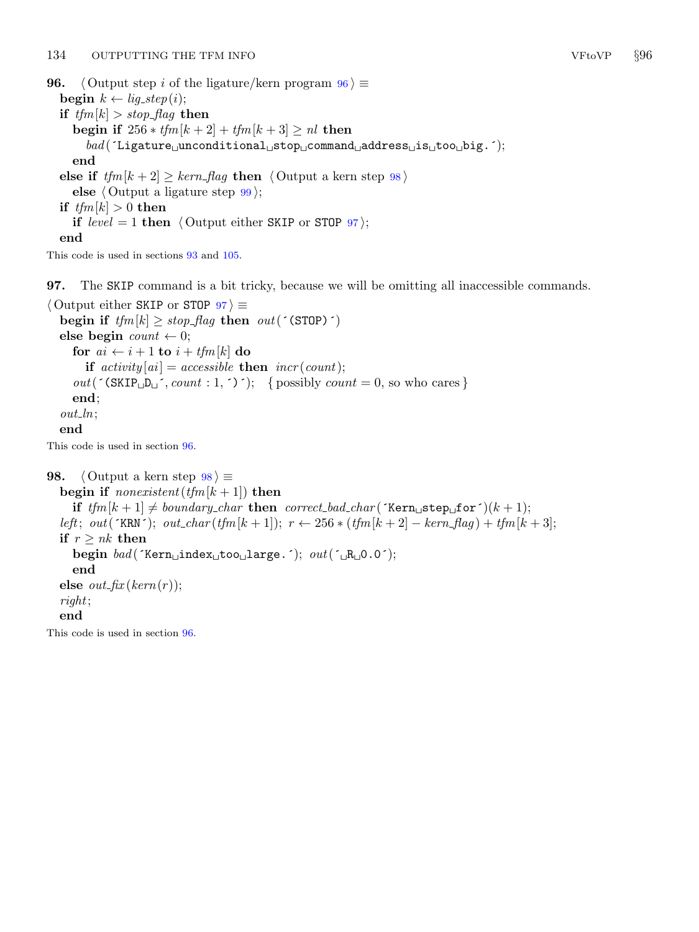<span id="page-33-0"></span>**96.**  $\langle$  Output step i of the ligature/kern program  $96$   $\equiv$ begin  $k \leftarrow lig\_step(i);$ if  $tfm[k] > stop\_flag$  then **begin if**  $256 * tfm[k + 2] + tfm[k + 3] \geq nl$  then  $\mathit{bad}(\lq\text{-}Ligature\_unconditional\_stop\_command\_address\_is\_iso\_big..);$ end else if  $tfm[k+2] \geq \text{kern}\text{-flag}$  then  $\langle$  Output a kern step 98  $\rangle$ else  $\langle$  Output a ligature step  $99$ ; if  $t/m|k| > 0$  then if level = 1 then  $\langle$  Output either SKIP or STOP 97 $\rangle$ ; end

This code is used in sections [93](#page-32-0) and [105.](#page-35-0)

97. The SKIP command is a bit tricky, because we will be omitting all inaccessible commands.

```
\langle Output either SKIP or STOP 97\rangle \equivbegin if tfm[k] \geq stop\_{flag} then out('(\text{STOP})')else begin count \leftarrow 0;
     for ai \leftarrow i + 1 to i + tfm[k] do
        if activity[ai] = accessible then incr(count);out(\text{'}(SKIP \Box \text{D} \Box \text{'}, count : 1, \text{'}); { possibly count = 0, so who cares }
     end;
  out\_ln;
  end
This code is used in section 96.
98. \langle Output a kern step 98 \rangle \equivbegin if nonexistent(tfm[k + 1]) then
     if tfm[k+1] \neq boundary_{char} then correct bad char (´Kern step for´)(k + 1);
  left; out('KRN'); out char (t/m[k+1]); r \leftarrow 256 * (t/m[k+2] - kern flag ) + t/m[k+3];
  if r > nk then
     begin bad('Kern_\text{L}index_\text{L}too_\text{L}large.');\ out('_\text{L}R_\text{L}0.0');
```

```
end
else out\_fix(kern(r));right;
```
end

This code is used in section 96.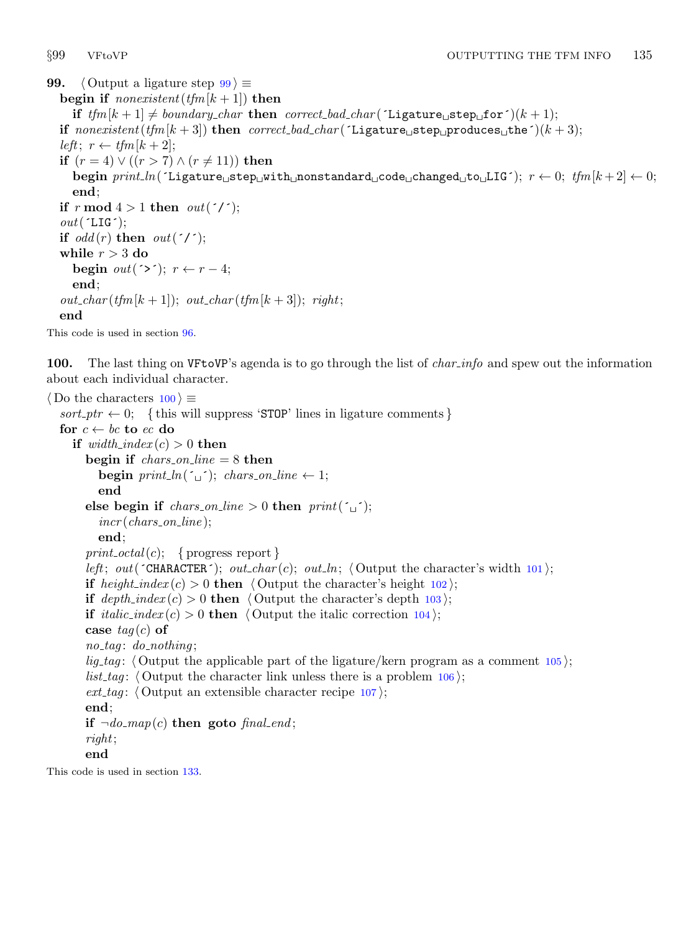```
99. \langle Output a ligature step 99 \rangle \equivbegin if nonexistent(tfm[k + 1]) then
     if tfm[k+1] \neq boundary_{char} then correct bad char (\text{Ligature}_{\text{f}}\text{step}_{\text{f}} for \gamma(k+1);if nonexistent(tfm[k + 3]) then correct bad char(\text{Ligature}_{\text{u}}\text{step}_{\text{u}} produces the\text{C}(k+3);
  left; r \leftarrow tfm[k+2];
  if (r = 4) ∨ ((r > 7) ∧ (r ≠ 11)) then
     begin print\_ln( 'Ligature step with nonstandard code changed to LIG'); r \leftarrow 0; tfm[k+2] \leftarrow 0;
     end;
  if r mod 4 > 1 then out (\check{\cdot});
  out('LIG');if odd(r) then out('/;
  while r > 3 do
     begin out(\leq); r \leftarrow r - 4;
     end;
  out\_char(tfm[k+1]); out\_char(tfm[k+3]); right;
  end
```
This code is used in section [96](#page-33-0).

The last thing on VFtoVP's agenda is to go through the list of *char info* and spew out the information about each individual character.

```
\langle Do the characters 100 \rangle \equivsort\_ptr \leftarrow 0; \{ this will suppress 'STOP' lines in lighture comments \}for c \leftarrow bc to ec do
   if width\_index(c) > 0 then
     begin if \text{chars\_on\_line} = 8 then
       begin print ln(\lceil \cdot \rfloor; chars on line \leftarrow 1;
       end
     else begin if chars_on_line > 0 then print('_1');
       incr(chars_0,line);end;
     print\_octal(c); { progress report }
     left; out(\text{CHARACTER}^{\sim}); out char(c)101);
     if height index (c) > 0 then \langle102\rangle;
     if depth\_index(c) > 0 then \langle103\rangle;
     if italic_index (c) > 0 then \langle104\rangle;
     case tag (c) of
     no\_tag: do\_nothing;
     lig tag: \langle105\rangle;
     list_tag: \langle106\rangle;
     ext\_tag107);
     end;
     if \neg do \neg map(c) then goto final end;
     right;
     end
```
This code is used in section [133.](#page-48-0)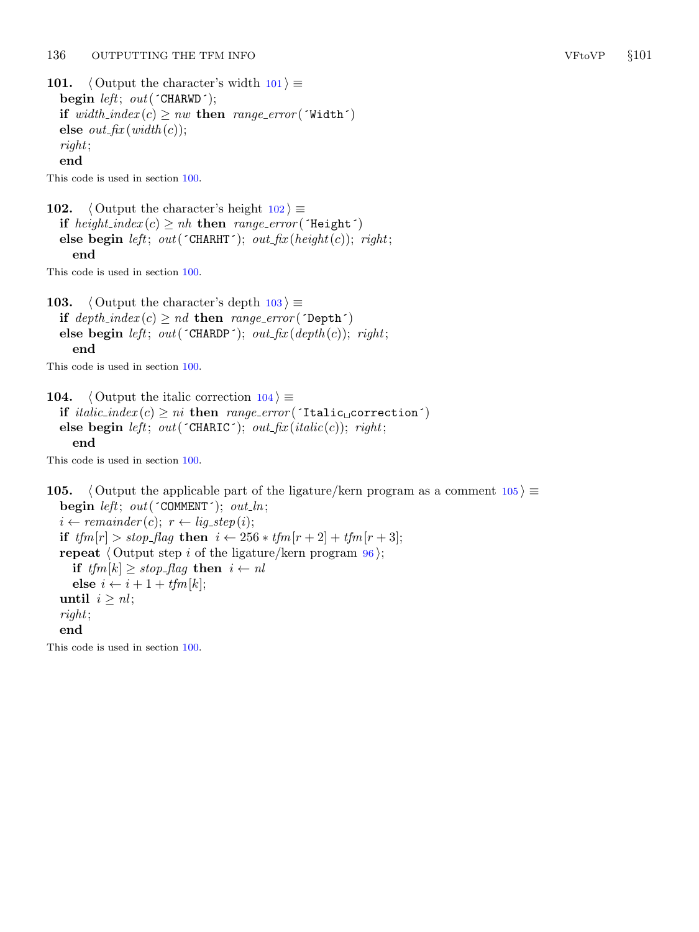```
101. \langle Output the character's width 101 \rangle \equivbegin left; out('CHARMD');if width index (c) \geq nw then range error ('Width')
  else out\_fix(width(c));right;
  end
```
This code is used in section [100.](#page-34-0)

102.  $\langle$  Output the character's height 102  $\rangle \equiv$ if height index  $(c) \ge nh$  then range error ('Height') else begin left; out( $\text{CHARHT}$ ; out fix (height(c)); right; end

This code is used in section [100.](#page-34-0)

103.  $\langle$  Output the character's depth 103  $\rangle \equiv$ if  $depth\_index(c) \geq nd$  then range\_error( $\text{Depth} \uparrow$ ) else begin left; out( $'$ CHARDP $')$ ; out\_fix( $depth(c)$ ); right; end

This code is used in section [100.](#page-34-0)

104.  $\langle$  Output the italic correction 104 $\rangle \equiv$ if *italic\_index*(c)  $\geq ni$  then range\_error( $\in$ Italic<sub> $\cup$ </sub>correction $\in$ ) else begin left; out( $\text{CHARTC}$ ); out\_fix(italic(c)); right; end

This code is used in section [100.](#page-34-0)

105.  $\langle$  Output the applicable part of the ligature/kern program as a comment 105 $\rangle \equiv$ begin left; out( $\text{COMMENT}$ ); out\_ln;  $i \leftarrow remainder(c); r \leftarrow lig\_step(i);$ if  $tfm[r] > stop\_flag$  then  $i \leftarrow 256 * tfm[r + 2] + tfm[r + 3];$ repeat  $\langle$  Output step i of the ligature/kern program  $96$ ; if  $tfm[k] \geq stop\_{flag}$  then  $i \leftarrow nl$ else  $i \leftarrow i + 1 + \text{tfm}[k];$ until  $i \geq nl$ ; right; end

This code is used in section [100.](#page-34-0)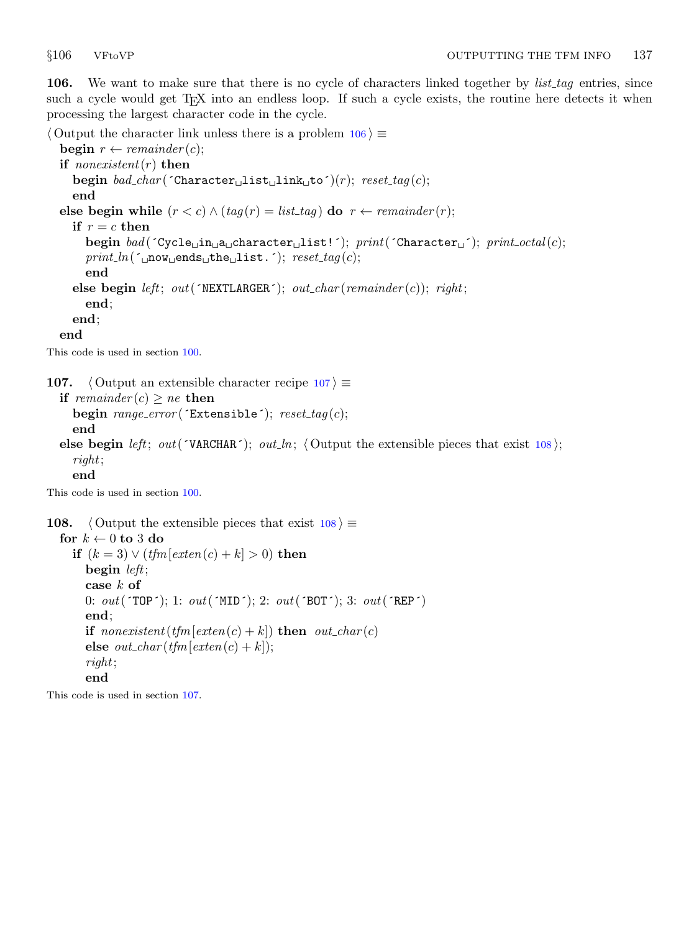<span id="page-36-0"></span>106. We want to make sure that there is no cycle of characters linked together by *list\_tag* entries, since such a cycle would get T<sub>E</sub>X into an endless loop. If such a cycle exists, the routine here detects it when processing the largest character code in the cycle.

 $\langle$  Output the character link unless there is a problem  $106$   $\equiv$ **begin**  $r \leftarrow remainder(c)$ ; if nonexistent $(r)$  then begin bad\_char( $\text{Char}(\text{Character}_{\sqcup}list_{\sqcup}link_{\sqcup}to')(r)$ ;  $reset\_tag(c)$ ; end else begin while  $(r < c) \wedge (tag(r) = list\_tag)$  do  $r \leftarrow remainder(r)$ ; if  $r = c$  then begin  $bad('Cycle\_in\_a \rightarrow c \cdot t = r]$ ist!');  $print('Character\_'); print.cetal(c);$  $print\_ln($   $\lceil \text{now\_ends\_the\_list.} \rceil)$ ;  $reset\_tag (c)$ ; end else begin left; out( $'NEXTLARGE$ ; out\_char(remainder(c)); right; end; end; end

This code is used in section [100.](#page-34-0)

```
107. (Output an extensible character recipe 107) \equiv
```
if remainder  $(c) \geq ne$  then begin  $range_error$  (Extensible');  $reset\_tag(c)$ ; end

else begin left; out(´VARCHAR´); out ln; (Output the extensible pieces that exist 108); right;

end

This code is used in section [100.](#page-34-0)

```
108. \langle Output the extensible pieces that exist 108\rangle \equiv
```
for  $k \leftarrow 0$  to 3 do if  $(k = 3) \vee (tfm[exten(c) + k] > 0)$  then begin left; case k of 0:  $out('TOP'); 1: out('MID'); 2: out('BOT'); 3: out('REF')$ end; if nonexistent  $(t/m[exten(c) + k])$  then out\_char(c) else  $out\_char(tfm[exten(c) + k])$ ; right; end

This code is used in section 107.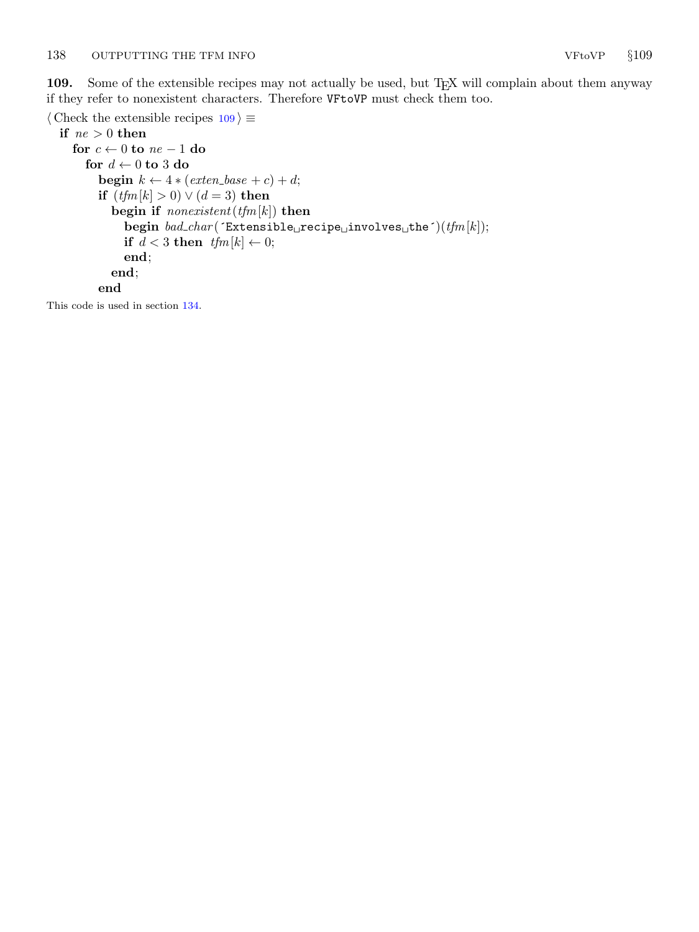<span id="page-37-0"></span>109. Some of the extensible recipes may not actually be used, but TEX will complain about them anyway if they refer to nonexistent characters. Therefore VFtoVP must check them too.

 $\langle$  Check the extensible recipes  $109$   $\equiv$ 

```
if ne > 0 then
  for c \leftarrow 0 to ne-1 do
     for d \leftarrow 0 to 3 do
       begin k \leftarrow 4 * (exten\_base + c) + d;if (tfm[k] > 0) \vee (d = 3) then
          begin if nonexistent(tfm[k]) then
             begin bad\_char (\existsxtensible\Boxrecipe\Boxinvolves\Boxthe´)(tfm[k]);
             if d < 3 then tfm[k] \leftarrow 0;end;
          end;
       end
```
This code is used in section [134.](#page-48-0)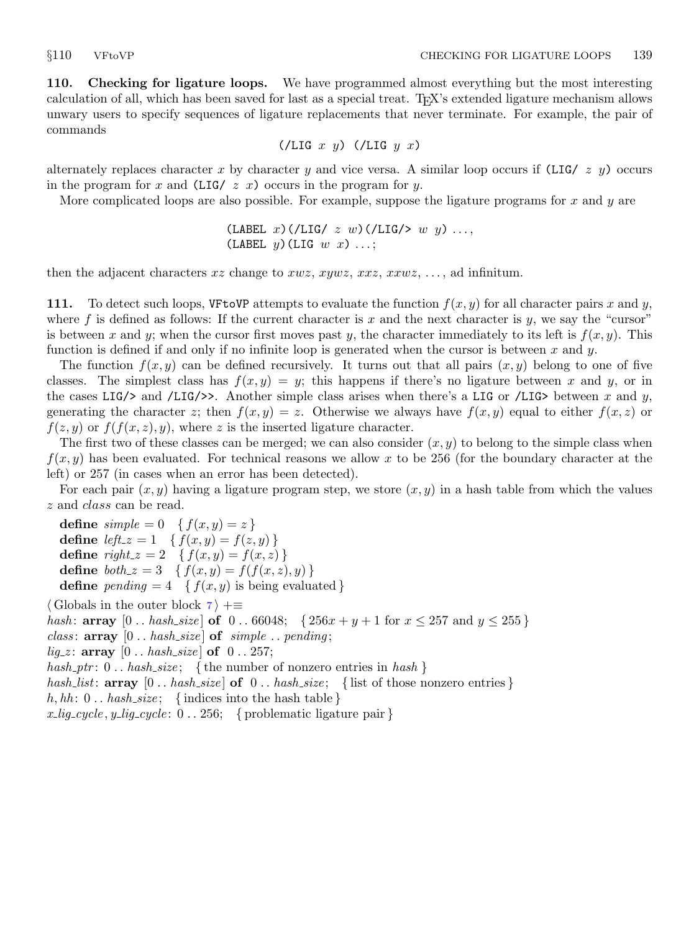<span id="page-38-0"></span>110. Checking for ligature loops. We have programmed almost everything but the most interesting calculation of all, which has been saved for last as a special treat. TEX's extended ligature mechanism allows unwary users to specify sequences of ligature replacements that never terminate. For example, the pair of commands

$$
(\angle LIG \ x \ y) \ (\angle LIG \ y \ x)
$$

alternately replaces character x by character y and vice versa. A similar loop occurs if  $(LIG / z y)$  occurs in the program for x and  $(LIG / z x)$  occurs in the program for y.

More complicated loops are also possible. For example, suppose the ligature programs for x and y are

(LABEL x)(/LIG/  $z \, w$ )(/LIG/>  $w \, y$ )... (LABEL  $y$ ) (LIG  $w$   $x$ ) ...;

then the adjacent characters xz change to xwz, xywz, xxz, xxwz, ..., ad infinitum.

111. To detect such loops, VFtoVP attempts to evaluate the function  $f(x, y)$  for all character pairs x and y, where f is defined as follows: If the current character is x and the next character is y, we say the "cursor" is between x and y; when the cursor first moves past y, the character immediately to its left is  $f(x, y)$ . This function is defined if and only if no infinite loop is generated when the cursor is between x and y.

The function  $f(x, y)$  can be defined recursively. It turns out that all pairs  $(x, y)$  belong to one of five classes. The simplest class has  $f(x, y) = y$ ; this happens if there's no ligature between x and y, or in the cases LIG/ $>$  and /LIG/ $>$ . Another simple class arises when there's a LIG or /LIG $>$  between x and y, generating the character z; then  $f(x, y) = z$ . Otherwise we always have  $f(x, y)$  equal to either  $f(x, z)$  or  $f(z, y)$  or  $f(f(x, z), y)$ , where z is the inserted ligature character.

The first two of these classes can be merged; we can also consider  $(x, y)$  to belong to the simple class when  $f(x, y)$  has been evaluated. For technical reasons we allow x to be 256 (for the boundary character at the left) or 257 (in cases when an error has been detected).

For each pair  $(x, y)$  having a ligature program step, we store  $(x, y)$  in a hash table from which the values z and class can be read.

define  $simple = 0 \{ f(x, y) = z \}$ define  $left_z = 1 \quad \{ f(x, y) = f(z, y) \}$ define  $right_z = 2 \{ f(x, y) = f(x, z) \}$ define  $both\_z = 3 \quad \{f(x,y) = f(f(x,z), y)\}\$ **define** pending  $= 4 \{ f(x, y) \text{ is being evaluated } \}$ 

 $\langle$  Globals in the outer block  $\langle$  [7](#page-3-0)  $\rangle$  + $\equiv$ 

hash: **array**  $[0..$  hash\_size **of**  $0..$  66048;  $\{256x + y + 1$  for  $x \le 257$  and  $y \le 255\}$ 

*class:*  $array [0..hash_size]$  of  $simple..pending;$ 

 $lig_z$ : array  $[0..hash_size]$  of  $[0..257]$ ;

hash\_ptr:  $0$ .. hash\_size; {the number of nonzero entries in hash}

hash list: array  $[0 \tcdot \text{hash_size}]$  of  $[0 \tcdot \text{hash_size}]$ ; { list of those nonzero entries }

h, hh:  $0$ .. hash\_size; {indices into the hash table }

 $x_{\text{u}}\rightarrow x_{\text{u}}\rightarrow y_{\text{u}}\rightarrow cycle: 0 \dots 256; \text{ {problematic lighture pair }}$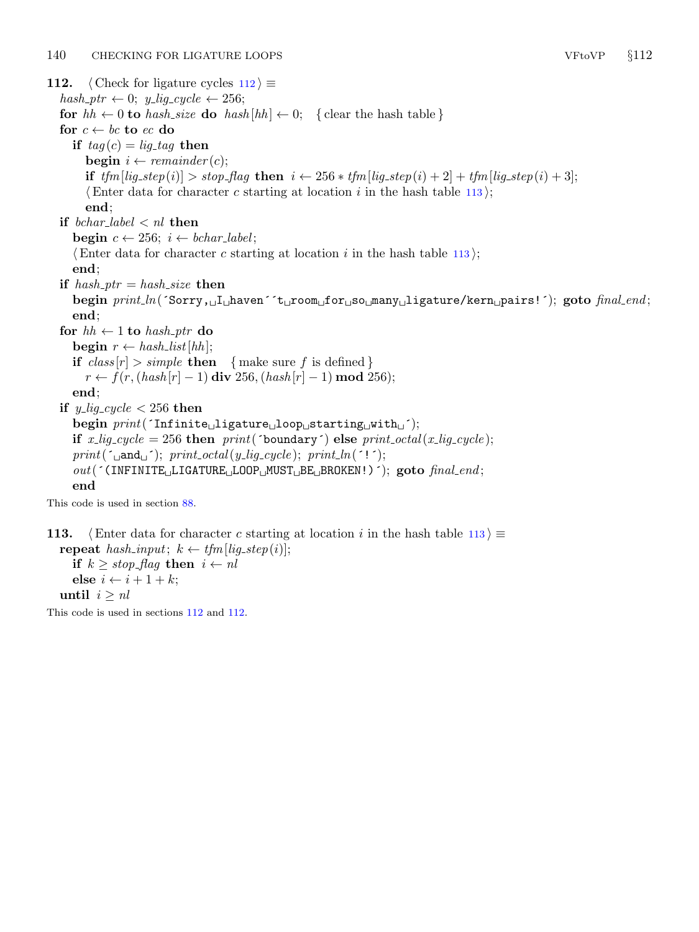<span id="page-39-0"></span>112.  $\langle$  Check for ligature cycles 112 $\rangle \equiv$  $hash\_ptr \leftarrow 0; y\_lig\_cycle \leftarrow 256;$ for  $hh \leftarrow 0$  to hash size do hash  $[hh] \leftarrow 0$ ; { clear the hash table } for  $c \leftarrow bc$  to ec do if  $tag (c) = lig\_tag$  then **begin**  $i \leftarrow remainder(c)$ ; if  $tfm[lig\_step(i)] > stop\_flag$  then  $i \leftarrow 256 * tfm[lig\_step(i) + 2] + tfm[lig\_step(i) + 3];$ (Enter data for character c starting at location i in the hash table 113); end; if bchar\_label  $\langle n \rangle$  then begin  $c \leftarrow 256$ ;  $i \leftarrow \text{bchar\_label}$ ;  $\langle$  Enter data for character c starting at location i in the hash table 113 $\rangle$ ; end; if hash\_ptr = hash\_size then begin  $print\_ln($  Sorry,  $\text{I}_\text{L}$ haven  $^{\text{I}}$ t $\text{L}$ room for  $\text{I}$ so many ligature/kern pairs!'); goto final end; end; for  $hh \leftarrow 1$  to hash\_ptr do begin  $r \leftarrow hash\_list[hh];$ if  $class[r] > simple$  then { make sure f is defined }  $r \leftarrow f(r, (hash[r] - 1) \textbf{ div } 256, (hash[r] - 1) \textbf{ mod } 256);$ end; if y\_lig\_cycle  $<$  256 then begin  $print('Infinite_{\cup}ligature_{\cup}loop_{\cup} starting_{\cup}with_{\cup}');$ if x\_lig\_cycle = 256 then print('boundary') else print\_octal(x\_lig\_cycle);  $print(\ulcorner \text{and} \ulcorner)$ ;  $print\_octal(y\_lig\_cycle)$ ;  $print\_ln(\ulcorner ! \ulcorner)$ ;  $out($  (INFINITE LIGATURE LOOP MUST BE BROKEN!) ); goto final end; end

This code is used in section [88](#page-30-0).

113. (Enter data for character c starting at location i in the hash table 113)  $\equiv$ repeat hash\_input;  $k \leftarrow t$ fm[lig\_step(i)]; if  $k \geq stop\_{flag}$  then  $i \leftarrow nl$ else  $i \leftarrow i + 1 + k$ ; until  $i \geq nl$ This code is used in sections 112 and 112.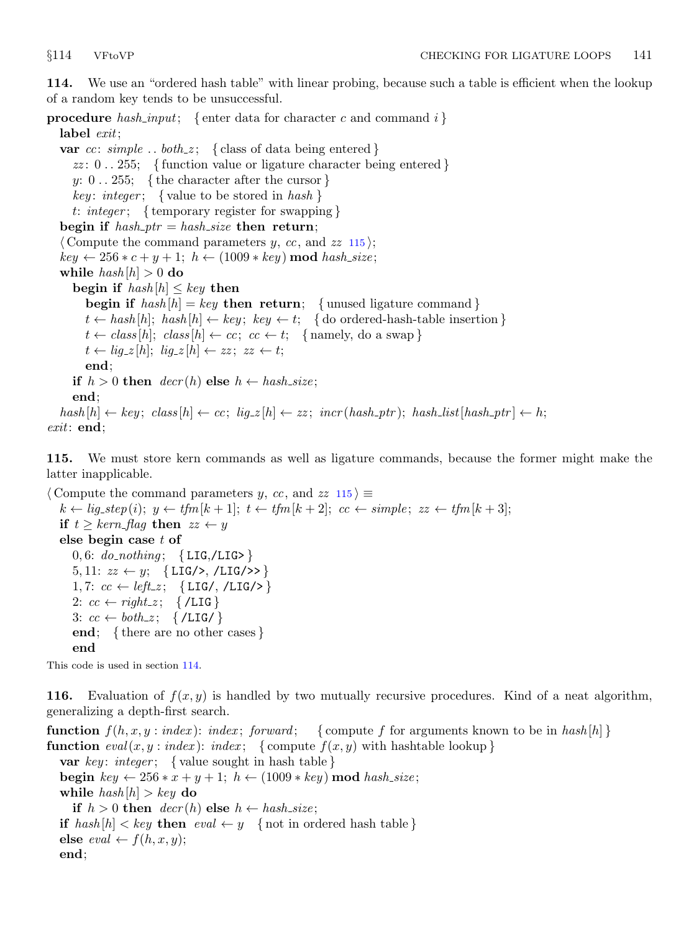<span id="page-40-0"></span>114. We use an "ordered hash table" with linear probing, because such a table is efficient when the lookup of a random key tends to be unsuccessful.

**procedure** hash\_input; { enter data for character c and command i }

label exit;

var cc:  $simple$ ...  $both\_z$ ; { class of data being entered }  $zz: 0.255$ ; { function value or ligature character being entered }  $y: 0 \ldots 255; \{ the character after the cursor \}$ key: integer; { value to be stored in hash } t: integer; { temporary register for swapping } begin if  $hash\_ptr = hash\_size$  then return;  $\langle$  Compute the command parameters y, cc, and zz 115 $\rangle$ ;  $key \leftarrow 256*c+y+1; h \leftarrow (1009 * key) \textbf{mod} \textit{hash\_size};$ while  $hash[h] > 0$  do begin if  $hash[h] \leq key$  then **begin if**  $hash[h] = key$  **then return**; { unused ligature command }  $t \leftarrow hash[h];$  hash  $[h] \leftarrow key; key \leftarrow t;$  {do ordered-hash-table insertion }  $t \leftarrow class[h]; \; class[h] \leftarrow cc; \; cc \leftarrow t; \; \{ \text{namely, do a swap} \}$  $t \leftarrow lig_z[h]; \, lig_z[h] \leftarrow zz; \, zz \leftarrow t;$ end; if  $h > 0$  then  $decr(h)$  else  $h \leftarrow hash\_size$ ; end;  $hash[h] \leftarrow key; class[h] \leftarrow cc; lig_z[h] \leftarrow zz; incr(hash_ptr); hash_list[hash_ptr] \leftarrow h;$ 

exit: end;

115. We must store kern commands as well as ligature commands, because the former might make the latter inapplicable.

```
\langle Compute the command parameters y, cc, and zz 115\rangle \equivk \leftarrow lig\_step(i); y \leftarrow tfm[k+1]; t \leftarrow tfm[k+2]; cc \leftarrow simple; zz \leftarrow tfm[k+3];if t \geq \textit{kern}\text{-}\textit{flag} then zz \leftarrow yelse begin case t of
     0, 6: do\_nothing; {LIG,/LIG>}
     5, 11: zz \leftarrow y; {LIG/>, /LIG/>>}
     1,7: cc \leftarrow left_z; {LIG/, /LIG/>}
     2: cc \leftarrow right\_z; \quad \{ / LIG \}3: cc \leftarrow both\_z; {/LIG/}
     end; { there are no other cases }
     end
```
This code is used in section 114.

**116.** Evaluation of  $f(x, y)$  is handled by two mutually recursive procedures. Kind of a neat algorithm, generalizing a depth-first search.

**function**  $f(h, x, y : index)$ : index; forward; {compute f for arguments known to be in hash [h] } **function**  $eval(x, y : index): index; \{ compute f(x, y) with hashtable lookup\}$ var key: integer; { value sought in hash table } begin key  $\leftarrow 256*x+y+1; h \leftarrow (1009*key) \mod hash\_size;$ while  $hash[h] > key$  do if  $h > 0$  then  $decr(h)$  else  $h \leftarrow hash\_size$ ; if  $hash[h] < key$  then  $eval \leftarrow y$  { not in ordered hash table } else  $eval \leftarrow f(h, x, y);$ end;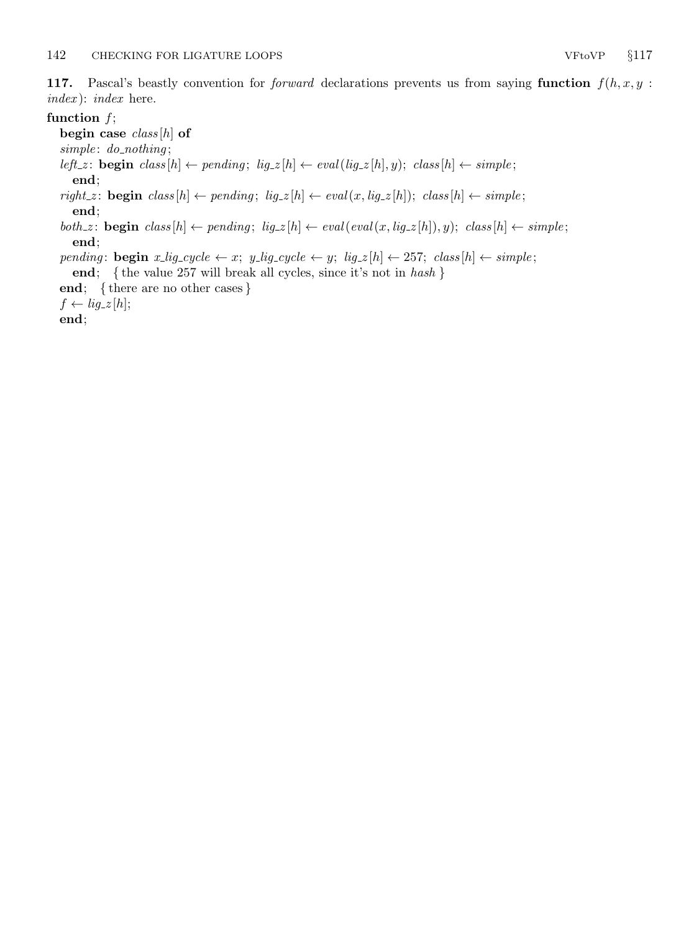<span id="page-41-0"></span>117. Pascal's beastly convention for *forward* declarations prevents us from saying function  $f(h, x, y)$ : index ): index here.

### function  $f$ ;

begin case  $class[h]$  of  $simple: do\_nothing;$  $\mathit{left\_z} \colon \mathbf{begin}\; \mathit{class}[h] \leftarrow \mathit{pending}; \; \mathit{lig\_z}[h] \leftarrow \mathit{eval}(\mathit{lig\_z}[h], y); \; \mathit{class}[h] \leftarrow \mathit{simple};$ end;  $\mathit{right\_z} \colon \mathbf{begin}\; class[h] \leftarrow \mathit{pending}; \; \mathit{lig\_z}[h] \leftarrow \mathit{eval(x, lig\_z[h])}; \; \mathit{class}[h] \leftarrow \mathit{simple};$ end;

 $both.z: \text{begin } class[h] \leftarrow pending; lig.z[h] \leftarrow eval(eval(x, lig.z[h]), y); class[h] \leftarrow simple;$ end;

pending: begin x\_lig\_cycle  $\leftarrow x$ ; y\_lig\_cycle  $\leftarrow y$ ; lig\_z[h]  $\leftarrow$  257; class[h]  $\leftarrow$  simple; end; { the value 257 will break all cycles, since it's not in hash }

end; { there are no other cases }

 $f \leftarrow lig_zz[h];$ 

end;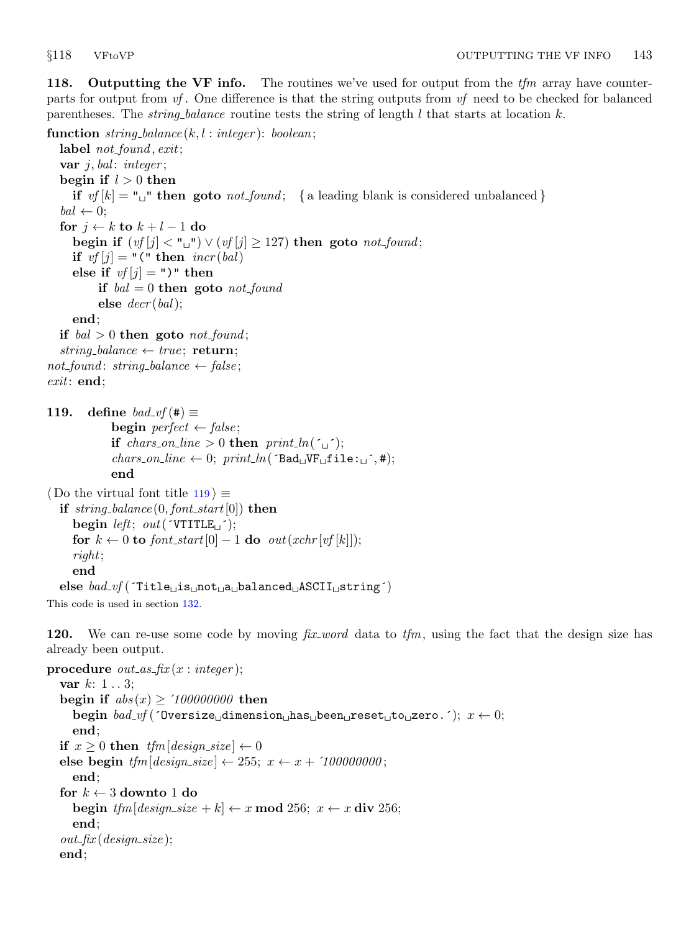<span id="page-42-0"></span>118. Outputting the VF info. The routines we've used for output from the  $t/m$  array have counterparts for output from vf . One difference is that the string outputs from vf need to be checked for balanced parentheses. The *string-balance* routine tests the string of length l that starts at location k.

function  $string\_balance(k, l:integer)$ : boolean; label *not\_found*, exit; var  $j, bal: integer;$ begin if  $l > 0$  then if  $vf[k] = "u"$  then goto not found; { a leading blank is considered unbalanced}  $bal \leftarrow 0;$ for  $j \leftarrow k$  to  $k + l - 1$  do begin if  $(vf[j] < "u") \lor (vf[j] \ge 127)$  then goto not found; if  $vf[j] = "(" then *incr(bal)*)$ else if  $vf[j] = "\)"$  then if  $bal = 0$  then goto not-found else  $decr(bal);$ end; if  $bal > 0$  then goto not found;  $string\_balance \leftarrow true;$  return;  $not\_found: string\_balance \leftarrow false;$ exit: end; 119. define bad\_vf (#)  $\equiv$ **begin**  $perfect \leftarrow false;$ if chars\_on\_line > 0 then  $print\_ln($   $\cdot$  $\text{chars\_on\_line} \leftarrow 0; \text{ print\_ln}(\text{'}Bad\_VF\_file: \text{'}', \text{#});$ end  $\langle$  Do the virtual font title 119 $\rangle \equiv$ if  $string\_balance(0, font\_start[0])$  then begin left; out( $\text{'}V$ TITLE<sub> $\Box$ </sub> $\hat{}$ ); for  $k \leftarrow 0$  to font\_start [0] – 1 do out (xchr [vf [k]]); right;

end

```
else bad_{\sim}vf (\text{Title}_{\sqcup}is_{\sqcup}not_{\sqcup}a_{\sqcup}balanced\sqcupASCII\sqcupstring´)
This code is used in section 132.
```
120. We can re-use some code by moving fix-word data to  $t/m$ , using the fact that the design size has already been output.

```
procedure out\_as\_fix(x:integer);var k: 1...3;begin if abs(x) \geq 100000000 then
     begin bad_v (1Oversize dimension has been reset to zero.i); x \leftarrow 0;
     end;
  if x \geq 0 then tfm[design\_size] \leftarrow 0else begin tfm[design_size] \leftarrow 255; x \leftarrow x + '100000000;end;
  for k \leftarrow 3 downto 1 do
     begin tfm[design\_size + k] \leftarrow x \mod 256; x \leftarrow x \text{ div } 256;end;
  out\_fix (design_size);
  end;
```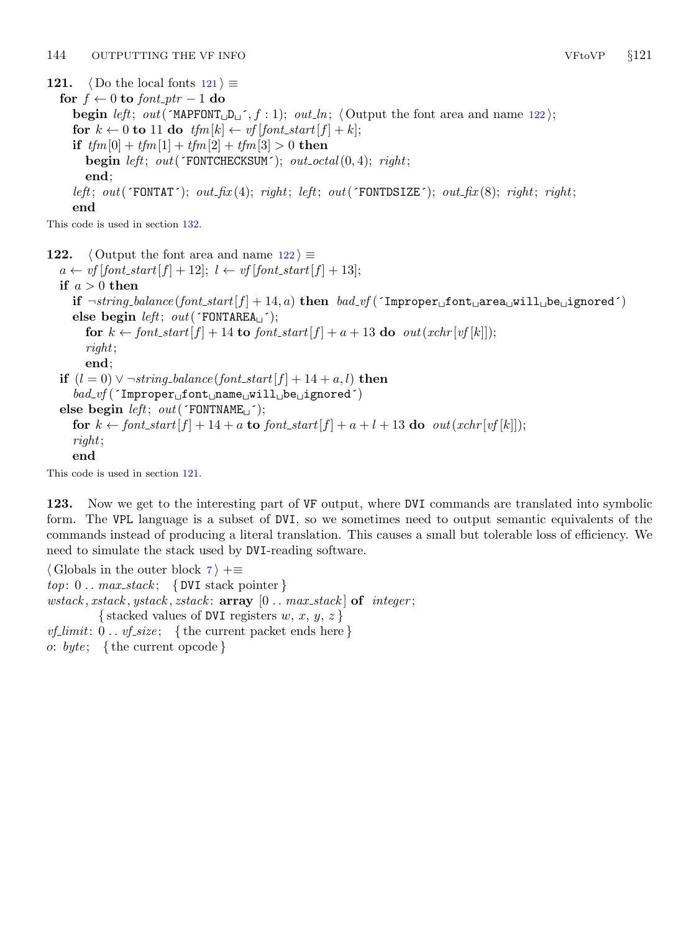<span id="page-43-0"></span>121.  $\langle$  Do the local fonts 121  $\rangle \equiv$ for  $f \leftarrow 0$  to font\_ptr – 1 do begin left; out( $\text{YMAPFONT} \rightarrow f : 1$ ); out ln;  $\text{Output}$  the font area and name 122); for  $k \leftarrow 0$  to 11 do  $tfm[k] \leftarrow vf[font\_start[f] + k];$ if  $tfm[0] + tfm[1] + tfm[2] + tfm[3] > 0$  then begin left; out( $\text{TDNTCHECKSUM}$ ; out\_octal(0,4); right; end; left; out( $\mathcal{I}$ FONTAT $\hat{\ }$ ); out fix(4); right; left; out( $\mathcal{I}$ FONTDSIZE $\hat{\ }$ ); out fix(8); right; right; end

This code is used in section [132.](#page-47-0)

122.  $\langle$  Output the font area and name 122 $\rangle \equiv$  $a \leftarrow vf [font\_start[f] + 12]; \ l \leftarrow vf [font\_start[f] + 13];$ if  $a > 0$  then if  $\neg string\_balance (font\_start[f] + 14, a)$  then  $bad\_vf$  ('Improper<sub>u</sub>font area will be ignored') else begin left; out( $\text{TDNTAREA}_{\sqcup}$ ; for  $k \leftarrow$  font\_start  $[f] + 14$  to font\_start  $[f] + a + 13$  do out  $(xchr[vf[k]])$ ; right; end; if  $(l = 0) \vee \neg string\_{balance}(font\_{start}[f] + 14 + a, l)$  then  $bad\_vf$  ( $\text{Improper}_{\sqcup}$ font $\sqcup$ name $\sqcup$ will $\sqcup$ be $\sqcup$ ignored $\land$ ) else begin left; out( $\text{TDNTNAME}(\cdot);$ for  $k \leftarrow$  font\_start  $[f] + 14 + a$  to font\_start  $[f] + a + l + 13$  do out(xchr [vf [k]]); right; end This code is used in section 121.

123. Now we get to the interesting part of VF output, where DVI commands are translated into symbolic form. The VPL language is a subset of DVI, so we sometimes need to output semantic equivalents of the commands instead of producing a literal translation. This causes a small but tolerable loss of efficiency. We need to simulate the stack used by DVI-reading software.

 $\langle$  Globals in the outer block [7](#page-3-0)  $\rangle$  +≡  $top: 0$ ...  $max\_stack;$  { DVI stack pointer } wstack, xstack, ystack, zstack:  $array [0..$  max-stack of integer; { stacked values of DVI registers  $w, x, y, z$  } *vf*-limit:  $0 \ldots$  *vf*-size; {the current packet ends here } o: byte; {the current opcode}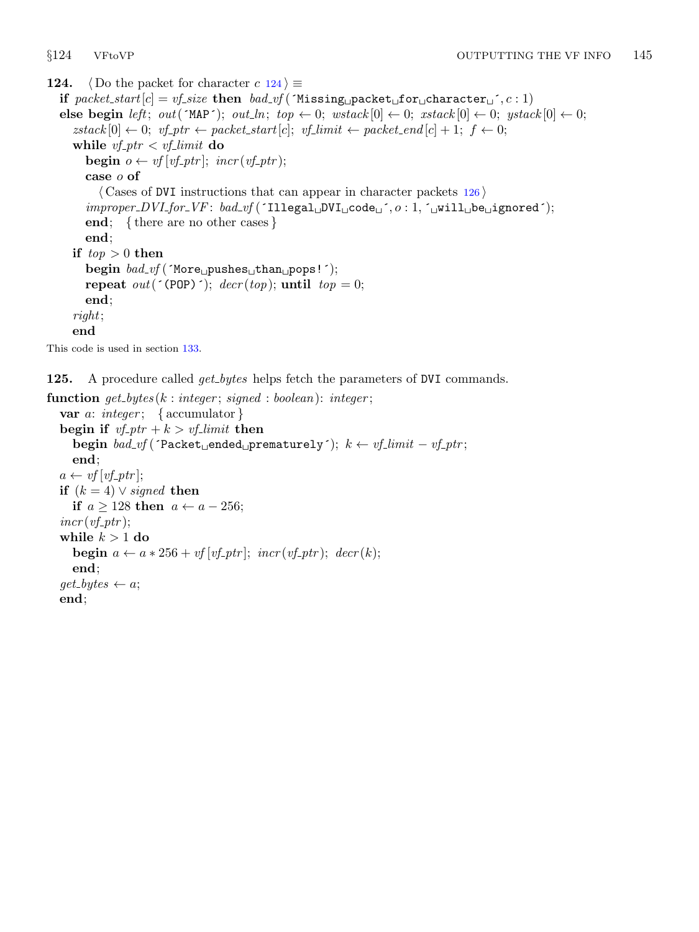```
124. \langle Do the packet for character c 124\rangle \equivif packet_start[c] = vf_size then bad_vf ('Missing_packet_for_character_',c:1)
  else begin left; out(´MAP´); out ln; top \leftarrow 0; wstack[0] \leftarrow 0; xstack[0] \leftarrow 0; ystack[0] \leftarrow 0;
    zstack[0] \leftarrow 0; vf_ptr \leftarrow packet\_start[c]; vf_limit \leftarrow packet\_end[c] + 1; f \leftarrow 0;while vf\_ptr < vf\_limit do
       begin o \leftarrow vf[vf_+ptr]; incr(vf_+ptr);
       case o of
          \langle126\rangleimproper\_DVI for VF: bad_v f('111egal_vDVI_ucode_u', o: 1, 'will_ube_uignored');end; { there are no other cases }
       end;
    if top > 0 then
       begin{bmatrix} \text{begin} bad\_vf \end{bmatrix} More pushes than pops!
       repeat out('(\text{POP})<sup>*</sup>); decr(top); until top = 0;
       end;
    right;
    end
```
This code is used in section [133.](#page-48-0)

125. A procedure called *get bytes* helps fetch the parameters of DVI commands.

```
function get\_bytes(k:integer; signed:boolean): integer;
```

```
var a: integer; {\{ accumulator }
begin if vf_{\perp} yf_{\perp} k > vf_{\perp} limit then
   begin bad_vf (\text{Packet}_{\cup}\text{ended}_{\cup}\text{prematurely'}); k \leftarrow \text{vf\_limit} - \text{vf\_ptr};
   end;
a \leftarrow \textit{vf}[\textit{vf}\_ \textit{ptr}];if (k = 4) \vee signed then
   if a \ge 128 then a \leftarrow a - 256;
\textit{incr}(v f_{\mathit{\text{-}}ptr});while k > 1 do
   begin a \leftarrow a * 256 + \text{vf} [\text{vf\_ptr}]; \text{incr}(\text{vf\_ptr}); \text{decr}(k);
   end;
get\_bytes \leftarrow a;end;
```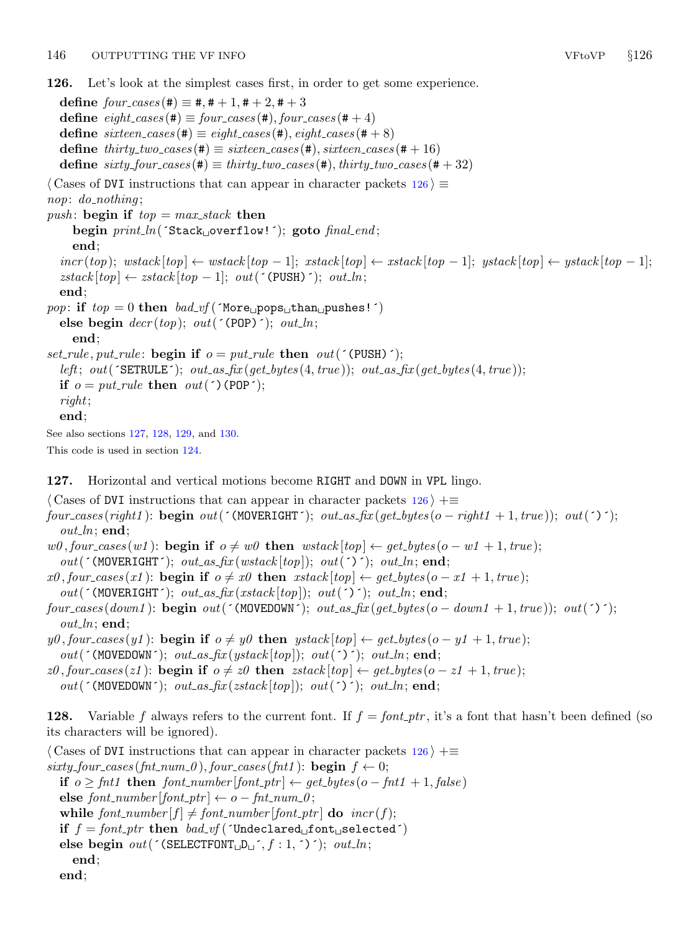<span id="page-45-0"></span>126. Let's look at the simplest cases first, in order to get some experience.

define  $four\_cases$  (#)  $\equiv$  #, # + 1, # + 2, # + 3 define  $\text{eight}\_\text{cases}(\texttt{\#}) \equiv \text{four}\_\text{cases}(\texttt{\#}), \text{four}\_\text{cases}(\texttt{\#} + 4)$ define  $\textit{six}$  sixteen\_cases (#)  $\equiv \textit{eight}\textit{cases}$  (#),  $\textit{eight}\textit{cases}$  (#+8) define thirty\_two\_cases(#)  $\equiv$  sixteen\_cases(#), sixteen\_cases(#+16) define  $sixty_four\_cases (\#) \equiv thirty_two\_cases (\#)$ , thirty\_two\_cases  $(\# + 32)$  $\langle$  Cases of DVI instructions that can appear in character packets 126  $\rangle \equiv$  $nop: do\_nothing$ push: begin if  $top = max\_stack$  then begin  $print\_ln($  Stack $\text{\textcirc}$ overflow!  $^{\prime}$ ); goto final end; end;  $\textit{incr}(\textit{top})$ ; wstack $[\textit{top}] \leftarrow \textit{wstack}[\textit{top} - 1]$ ;  $\textit{xstack}[\textit{top}] \leftarrow \textit{xstack}[\textit{top} - 1]$ ;  $\textit{ystack}[\textit{top}] \leftarrow \textit{ystack}[\textit{top} - 1]$ ;  $zstack[top] \leftarrow zstack[top-1]; \text{ out}(\text{`CPUSH})'); \text{ out\_ln};$ end; pop: if  $top = 0$  then  $bad_{\mathcal{I}}$  ('More pops than pushes!') else begin  $decr(top)$ ;  $out('(\text{POP})^{\text{-}})$ ;  $out\_ln$ ; end; set\_rule, put\_rule: begin if  $o = put\_rule$  then  $out('$  (PUSH)  $^{\prime})$ ; left; out( $\text{SETRULE}$ ); out\_as\_fix(get\_bytes(4, true)); out\_as\_fix(get\_bytes(4, true)); if  $o = put_{rule}$  then  $out(')$  (POP<sup>-</sup>); right; end; See also sections 127, 128, [129](#page-46-0), and [130](#page-46-0). This code is used in section [124.](#page-44-0)

127. Horizontal and vertical motions become RIGHT and DOWN in VPL lingo.

(Cases of DVI instructions that can appear in character packets  $126$ ) +≡

 $four\text{-}cases(right1): \text{begin } out(\text{``(MOVERIGHT')}; out\text{-}as\text{-}fix (get\text{-}bytes (o-right1 + 1, true)); out(\text{'})');$  $out\_ln$ ; end;

 $w0$ , four cases (w1): begin if  $o \neq w0$  then wstack [top]  $\leftarrow$  get bytes (o – w1 + 1, true);  $out($  (MOVERIGHT $\hat{\ }$ );  $out\_as\_fix(wstack[top]); out($  $\hat{\ }$ );  $out($   $\hat{\ })$ ;  $out\_ln$ ; end;

- $x0$ , four\_cases(x1): begin if  $o \neq x0$  then  $xstack[top] \leftarrow get\_bytes(o x1 + 1, true);$
- $out($  (MOVERIGHT $\cdot$ );  $out\_as\_fix(xstack[top])$ ;  $out(\cdot) \cdot$ );  $out\_ln$ ; end;
- four cases (down1 ): begin out(´(MOVEDOWN´); out as fix (get bytes (o − down1 + 1, true )); out(´)´);  $out\_ln$ ; end;
- $y0$ , four\_cases(y1): begin if  $o \neq y0$  then ystack  $[top] \leftarrow get\_bytes(o y1 + 1, true);$  $out($  (MOVEDOWN');  $out\_as\_fix(ystack [top])$ ;  $out($ ')');  $out\_ln$ ; end;

 $z0$ , four\_cases(z1): begin if  $o \neq z0$  then  $zstack[top] \leftarrow get\_bytes(o - z1 + 1, true);$ 

 $out('$ (MOVEDOWN´);  $out\_as\_fix(zstack[top])$ ;  $out(')'$ ;  $out\_ln$ ; end;

128. Variable f always refers to the current font. If  $f = font\_ptr$ , it's a font that hasn't been defined (so its characters will be ignored).

 $\langle$  Cases of DVI instructions that can appear in character packets 126  $\rangle$  + $\equiv$  $sixty_four\_cases (fnt_number), four\_cases (fnt1):$  begin  $f \leftarrow 0;$ if  $o \geq fnt1$  then  $font_number[font_ptr] \leftarrow get\_bytes(o-fnt1 + 1, false)$ else  $font_number[font_ptr] \leftarrow o - fnt_number$ ; while  $font_number[f] \neq font_number[font\_ptr]$  do  $incr(f);$ if  $f = font\_ptr$  then  $bad\_vf$  ('Undeclared font selected') else begin  $out('$ (SELECTFONT<sub>LI</sub>D<sub>L</sub> $', f : 1, '$ ); out ln; end; end;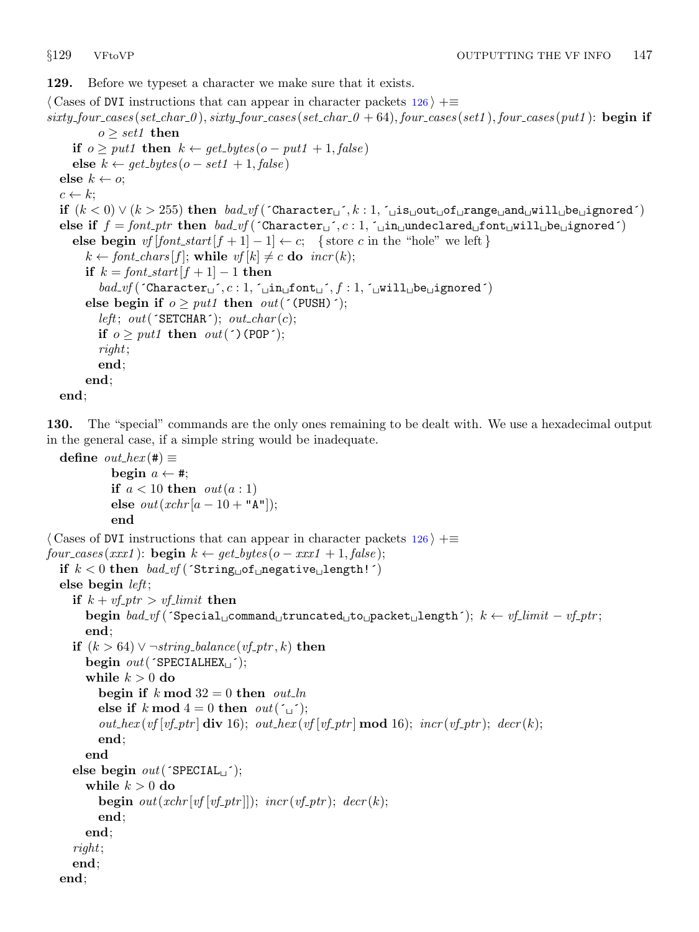<span id="page-46-0"></span>129. Before we typeset a character we make sure that it exists.

(Cases of DVI instructions that can appear in character packets  $126$ ) +≡

 $sixty\_four\_cases (set\_char.0), sixty\_four\_cases (set\_char.0 + 64), four\_cases (set1), four\_cases (put1):$  begin if  $o > set1$  then if  $o \geq put1$  then  $k \leftarrow get\_bytes(o - put1 + 1, false)$ else  $k \leftarrow get\_bytes(o-set1 + 1, false)$ else  $k \leftarrow o$ ;  $c \leftarrow k$ ; if  $(k < 0) \vee (k > 255)$  then  $bad\_vf$  ( $\zeta$  Character  $\zeta$ ,  $k: 1$ ,  $\zeta$  is  $\zeta$ out  $\zeta$  of  $\zeta$  range and  $\zeta$  and  $\zeta$  ignored  $\zeta$ ) else if  $f = font\_ptr$  then  $bad\_vf$  ( $\text{Character}_\sqcup$ ,  $c: 1$ ,  $\text{bin}_\sqcup$ undeclared $\text{if}$ ont $\text{unit}_\sqcup$ be $\text{bin}_\sqcup$ ignored´) else begin vf  $[font\_start[f + 1] - 1] \leftarrow c$ ; {store c in the "hole" we left }  $k \leftarrow$  font\_chars [f]; while  $\textit{vf}[k] \neq c$  do  $\textit{incr}(k)$ ; if  $k =$  font\_start  $[f + 1] - 1$  then  $bad_{\sim}vf$  (Character<sub>1</sub>,  $c:1$ ,  $\lim_{\omega}$ font<sub>1</sub>,  $f:1$ ,  $\lim_{\omega}$ will  $\log_{\omega}$ ignored<sup>-</sup>) else begin if  $o \geq put1$  then  $out('$  (PUSH)  $^{\prime})$ ; left; out( $\text{SETCHAR}^{\sim}$ ); out\_char(c); if  $o \geq put1$  then  $out(')$  (POP<sup>-</sup>); right; end; end; end;

130. The "special" commands are the only ones remaining to be dealt with. We use a hexadecimal output in the general case, if a simple string would be inadequate.

```
define out\_hex (#) \equivbegin a \leftarrow \#;
            if a < 10 then out(a:1)else out(xchr[a - 10 + "A"]);end
(Cases of DVI instructions that can appear in character packets 126) +≡
four\_cases(xxx1): begin k \leftarrow get\_bytes(o - xx1 + 1, false);if k < 0 then bad\_vf (String of negative length!)
  else begin left;
     if k + vf\_ptr > vf\_limit then
       begin bad\_vf (´Special<sub>⊔</sub>command<sub>u</sub>truncated<sub>u</sub>to<sub>u</sub>packet<sub>u</sub>length´); k \leftarrow vflimit – vf<sub>-</sub>ptr;
       end;
     if (k > 64) ∨ \neg string_balance(vf\_ptr, k) then
       begin out('SPECTALHEX<sub>u</sub><sup>'</sup>);
       while k > 0 do
          begin if k mod 32 = 0 then out_ln
          else if k mod 4 = 0 then out(\lceil \_');
          out_hex(vf [vf_ptr] div 16); out_hex(vf [vf_ptr] mod 16); incr(vf_ptr); decr(k);
          end;
       end
     else begin out('SPECIAL_`);
       while k > 0 do
          begin out(xchr[vf[vf_ptr]]); incr(vf_ptr); decr(k);end;
       end;
     right;
     end;
  end;
```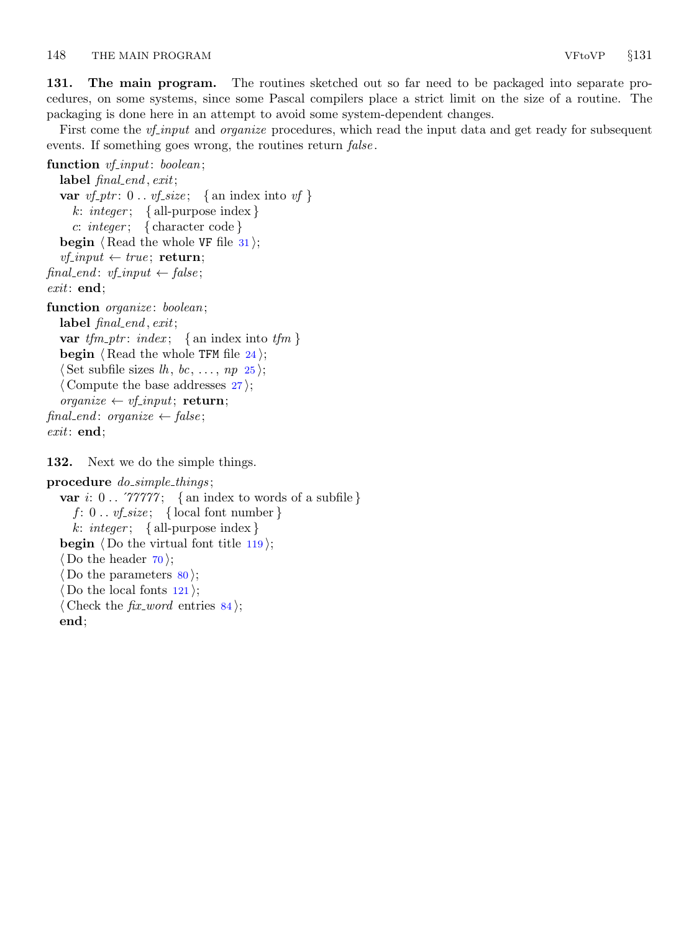<span id="page-47-0"></span>131. The main program. The routines sketched out so far need to be packaged into separate procedures, on some systems, since some Pascal compilers place a strict limit on the size of a routine. The packaging is done here in an attempt to avoid some system-dependent changes.

First come the *vf input* and *organize* procedures, which read the input data and get ready for subsequent events. If something goes wrong, the routines return *false*.

```
function vf_input: boolean;
```

```
label final_end, exit;
  var \mathit{vf\_ptr}: 0 \ldots \mathit{vf\_size}; { an index into \mathit{vf} }
     k: integer; { all-purpose index }
     c: integer; { character code }
  begin \langle Read the whole VF file 31 \rangle;
  v \text{f}_iinput \leftarrow \text{true}; return;
final_end: vf_input \leftarrow false;
exit: end;
function organize: boolean;
  label final_end, exit;
  var tfm\_ptr: index; \{ \text{an index into } tfm \}begin \langle24\rangle;
  \langle Set subfile sizes 25 \rangle;\langle Compute the base addresses 27;
```
 $organic \leftarrow vf_{\text{.}}; return;$ final\_end: organize  $\leftarrow$  false;

exit: end;

132. Next we do the simple things.

```
procedure do\_simple\_things;var i: 0 \ldots 77777; { an index to words of a subfile }
    f: 0 \ldots v f\_size; \{ local font number \}k: integer; { all-purpose index }
  begin \langle119\rangle;
  \langle70\rangle;
  \langle Do the parameters 80 \rangle;
  \langle121\rangle;
  \langle Check the fix word84\rangle;
  end;
```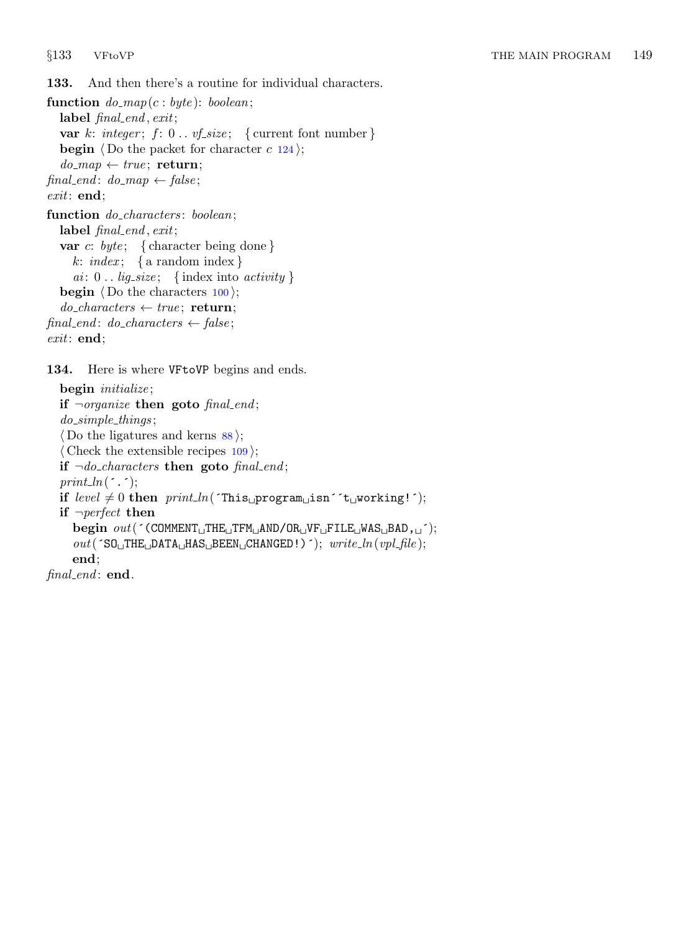<span id="page-48-0"></span>133. And then there's a routine for individual characters.

```
function do-map(c : byte): boolean;
  label final_end, exit;
  var k: integer; f: 0 \ldots v f\_size; { current font number }
  begin \langle124\rangle;
  do-map \leftarrow true; return;
final\_end: do\_map \leftarrow false;exit: end;
function do{\_}characters: boolean;
  label final_end, exit;
  var c: byte; { character being done }
    k: index; { a random index }
    ai: 0... lig_size; {index into activity}
  begin \langle100\rangle;
  do_{\text{-}characters} \leftarrow true; return;
final_end: do_characters \leftarrow false;
exit: end;
```
134. Here is where VFtoVP begins and ends.

```
begin initialize;
  if \negorganize then goto final end;
   do_simple_things;
   \langle88\rangle;
   \langle109\rangle;
  if \neg do_{\text{-}charcters} then goto final end;
  print\_ln(\cdot, \cdot);if level \neq 0 then print\_ln( This program isn i t working! i);
  if \neg perfect then
      \text{begin } out('(\text{COMMENT} \_ \text{TFM} \_ \text{AND}/\text{OR} \_ \text{VF} \_ \text{FTILE} \_ \text{WAS} \_ \text{BAD},\_');
      out('SO<sub>U</sub>THE<sub>U</sub>DATA<sub>U</sub>HAS<sub>U</sub>BEEN<sub>U</sub>CHANGED!)<sup>'</sup>); write\_ln(vpl\_file);
      end;
final end: end.
```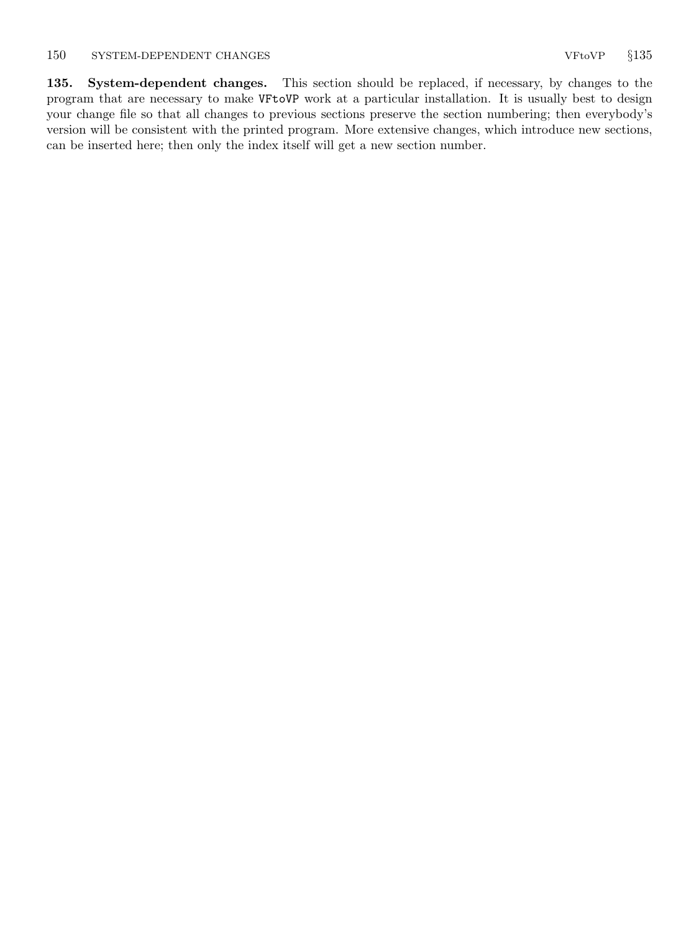<span id="page-49-0"></span>135. System-dependent changes. This section should be replaced, if necessary, by changes to the program that are necessary to make VFtoVP work at a particular installation. It is usually best to design your change file so that all changes to previous sections preserve the section numbering; then everybody's version will be consistent with the printed program. More extensive changes, which introduce new sections, can be inserted here; then only the index itself will get a new section number.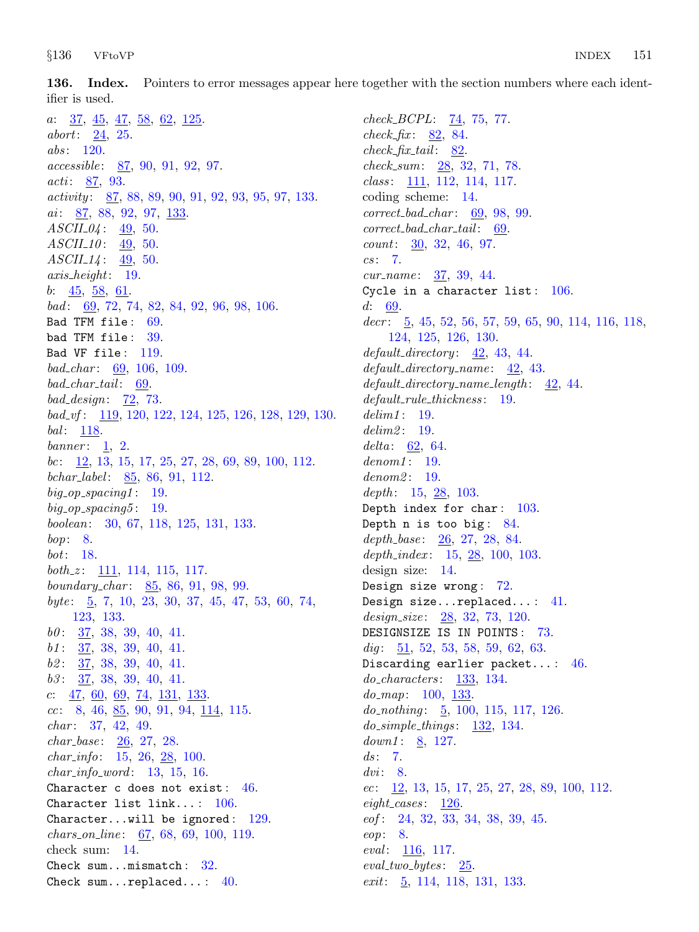<span id="page-50-0"></span>136. Index. Pointers to error messages appear here together with the section numbers where each identifier is used.

a: [37,](#page-17-0) [45](#page-20-0), [47,](#page-20-0) [58](#page-22-0), [62](#page-24-0), [125.](#page-44-0) abort: [24,](#page-12-0) [25](#page-13-0). abs:  $120$ . accessible: [87,](#page-30-0) [90,](#page-31-0) [91](#page-31-0), [92](#page-32-0), [97](#page-33-0). acti: [87](#page-30-0), [93](#page-32-0). activity : [87,](#page-30-0) [88](#page-30-0), [89](#page-31-0), [90,](#page-31-0) [91,](#page-31-0) [92](#page-32-0), [93](#page-32-0), [95,](#page-32-0) [97,](#page-33-0) [133](#page-48-0).  $ai: 87, 88, 92, 97, 133.$  $ai: 87, 88, 92, 97, 133.$  $ai: 87, 88, 92, 97, 133.$  $ai: 87, 88, 92, 97, 133.$  $ai: 87, 88, 92, 97, 133.$  $ai: 87, 88, 92, 97, 133.$  $ai: 87, 88, 92, 97, 133.$  $ai: 87, 88, 92, 97, 133.$  $ai: 87, 88, 92, 97, 133.$  $ai: 87, 88, 92, 97, 133.$  $ai: 87, 88, 92, 97, 133.$  $ASCII_04: 49, 50.$  $ASCII_04: 49, 50.$  $ASCII_04: 49, 50.$  $ASCII_04: 49, 50.$  $ASCII_04: 49, 50.$  $ASCH_10: 49, 50.$  $ASCH_10: 49, 50.$  $ASCH_10: 49, 50.$  $ASCH_10: 49, 50.$  $ASCH_10: 49, 50.$  $ASCH_114: 49, 50.$  $ASCH_114: 49, 50.$  $ASCH_114: 49, 50.$  $ASCH_114: 49, 50.$  $ASCH_114: 49, 50.$ axis height: [19](#page-11-0). b: [45,](#page-20-0) [58](#page-22-0), [61](#page-23-0). bad: [69](#page-25-0), [72](#page-26-0), [74,](#page-27-0) [82](#page-28-0), [84](#page-29-0), [92,](#page-32-0) [96](#page-33-0), [98,](#page-33-0) [106.](#page-36-0) Bad TFM file : [69.](#page-25-0) bad TFM file: [39.](#page-18-0) Bad VF file: [119](#page-42-0).  $bad\_char: 69, 106, 109.$  $bad\_char: 69, 106, 109.$  $bad\_char: 69, 106, 109.$  $bad\_char: 69, 106, 109.$  $bad\_char: 69, 106, 109.$  $bad\_char: 69, 106, 109.$  $bad\_char: 69, 106, 109.$  $bad\_char\_tail: 69.$  $bad\_char\_tail: 69.$ bad\_design:  $\frac{72}{73}$ . bad vf: [119,](#page-42-0) [120,](#page-42-0) [122](#page-43-0), [124,](#page-44-0) [125,](#page-44-0) [126](#page-45-0), [128,](#page-45-0) [129,](#page-46-0) [130](#page-46-0). bal:  $118$ . banner:  $\mathbf{\underline{1}}, \mathbf{2}.$  $\mathbf{\underline{1}}, \mathbf{2}.$  $\mathbf{\underline{1}}, \mathbf{2}.$ *bc*:  $\frac{12}{13}$  $\frac{12}{13}$  $\frac{12}{13}$ , [13,](#page-7-0) [15,](#page-9-0) [17](#page-10-0), [25](#page-13-0), [27,](#page-13-0) [28,](#page-14-0) [69](#page-25-0), [89,](#page-31-0) [100,](#page-34-0) [112](#page-39-0). bchar\_label:  $85, 86, 91, 112$  $85, 86, 91, 112$  $85, 86, 91, 112$  $85, 86, 91, 112$  $85, 86, 91, 112$  $85, 86, 91, 112$ .  $big\_op\_spacing1: 19.$  $big\_op\_spacing1: 19.$  $big\_op\_spacing5: 19.$  $big\_op\_spacing5: 19.$ boolean: [30](#page-15-0), [67,](#page-25-0) [118,](#page-42-0) [125,](#page-44-0) [131](#page-47-0), [133](#page-48-0). bop: [8](#page-4-0). bot: [18.](#page-10-0)  $both\_z: \quad \underline{111}, \; 114, \; 115, \; 117.$  $both\_z: \quad \underline{111}, \; 114, \; 115, \; 117.$  $both\_z: \quad \underline{111}, \; 114, \; 115, \; 117.$  $both\_z: \quad \underline{111}, \; 114, \; 115, \; 117.$  $both\_z: \quad \underline{111}, \; 114, \; 115, \; 117.$  $both\_z: \quad \underline{111}, \; 114, \; 115, \; 117.$ boundary char : [85](#page-30-0), [86](#page-30-0), [91](#page-31-0), [98](#page-33-0), [99.](#page-34-0) byte:  $\frac{5}{9}$  $\frac{5}{9}$  $\frac{5}{9}$ , [7,](#page-3-0) [10](#page-6-0), [23](#page-12-0), [30,](#page-15-0) [37](#page-17-0), [45,](#page-20-0) [47](#page-20-0), [53](#page-21-0), [60,](#page-23-0) [74](#page-27-0), [123,](#page-43-0) [133](#page-48-0).  $b0: \frac{37}{5}, 38, 39, 40, 41.$  $b0: \frac{37}{5}, 38, 39, 40, 41.$  $b0: \frac{37}{5}, 38, 39, 40, 41.$  $b0: \frac{37}{5}, 38, 39, 40, 41.$  $b0: \frac{37}{5}, 38, 39, 40, 41.$  $b0: \frac{37}{5}, 38, 39, 40, 41.$  $b0: \frac{37}{5}, 38, 39, 40, 41.$  $b0: \frac{37}{5}, 38, 39, 40, 41.$  $b0: \frac{37}{5}, 38, 39, 40, 41.$  $b0: \frac{37}{5}, 38, 39, 40, 41.$  $b1: 37, 38, 39, 40, 41.$  $b1: 37, 38, 39, 40, 41.$  $b1: 37, 38, 39, 40, 41.$  $b1: 37, 38, 39, 40, 41.$  $b1: 37, 38, 39, 40, 41.$  $b1: 37, 38, 39, 40, 41.$  $b1: 37, 38, 39, 40, 41.$  $b1: 37, 38, 39, 40, 41.$  $b1: 37, 38, 39, 40, 41.$  $b1: 37, 38, 39, 40, 41.$  $b2: \frac{37}{57}, 38, 39, 40, 41.$  $b2: \frac{37}{57}, 38, 39, 40, 41.$  $b2: \frac{37}{57}, 38, 39, 40, 41.$  $b2: \frac{37}{57}, 38, 39, 40, 41.$  $b2: \frac{37}{57}, 38, 39, 40, 41.$  $b2: \frac{37}{57}, 38, 39, 40, 41.$  $b2: \frac{37}{57}, 38, 39, 40, 41.$  $b2: \frac{37}{57}, 38, 39, 40, 41.$  $b2: \frac{37}{57}, 38, 39, 40, 41.$  $b2: \frac{37}{57}, 38, 39, 40, 41.$  $b3: \frac{37}{38}, 38, 39, 40, 41.$  $b3: \frac{37}{38}, 38, 39, 40, 41.$  $b3: \frac{37}{38}, 38, 39, 40, 41.$  $b3: \frac{37}{38}, 38, 39, 40, 41.$  $b3: \frac{37}{38}, 38, 39, 40, 41.$  $b3: \frac{37}{38}, 38, 39, 40, 41.$  $b3: \frac{37}{38}, 38, 39, 40, 41.$  $b3: \frac{37}{38}, 38, 39, 40, 41.$  $b3: \frac{37}{38}, 38, 39, 40, 41.$  $b3: \frac{37}{38}, 38, 39, 40, 41.$ c:  $\frac{47}{60}, \frac{69}{69}, \frac{74}{131}, \frac{133}{133}$  $\frac{47}{60}, \frac{69}{69}, \frac{74}{131}, \frac{133}{133}$  $\frac{47}{60}, \frac{69}{69}, \frac{74}{131}, \frac{133}{133}$  $\frac{47}{60}, \frac{69}{69}, \frac{74}{131}, \frac{133}{133}$  $\frac{47}{60}, \frac{69}{69}, \frac{74}{131}, \frac{133}{133}$  $\frac{47}{60}, \frac{69}{69}, \frac{74}{131}, \frac{133}{133}$  $\frac{47}{60}, \frac{69}{69}, \frac{74}{131}, \frac{133}{133}$ .  $cc: 8, 46, 85, 90, 91, 94, 114, 115.$  $cc: 8, 46, 85, 90, 91, 94, 114, 115.$  $cc: 8, 46, 85, 90, 91, 94, 114, 115.$  $cc: 8, 46, 85, 90, 91, 94, 114, 115.$  $cc: 8, 46, 85, 90, 91, 94, 114, 115.$  $cc: 8, 46, 85, 90, 91, 94, 114, 115.$  $cc: 8, 46, 85, 90, 91, 94, 114, 115.$  $cc: 8, 46, 85, 90, 91, 94, 114, 115.$  $cc: 8, 46, 85, 90, 91, 94, 114, 115.$  $cc: 8, 46, 85, 90, 91, 94, 114, 115.$  $cc: 8, 46, 85, 90, 91, 94, 114, 115.$  $cc: 8, 46, 85, 90, 91, 94, 114, 115.$  $cc: 8, 46, 85, 90, 91, 94, 114, 115.$  $cc: 8, 46, 85, 90, 91, 94, 114, 115.$  $cc: 8, 46, 85, 90, 91, 94, 114, 115.$  $cc: 8, 46, 85, 90, 91, 94, 114, 115.$  $char: 37, 42, 49.$  $char: 37, 42, 49.$  $char: 37, 42, 49.$  $char: 37, 42, 49.$  $char: 37, 42, 49.$  $char: 37, 42, 49.$  $char: 37, 42, 49.$ char\_base: [26](#page-13-0), [27](#page-13-0), [28.](#page-14-0)  $char_info: 15, 26, 28, 100.$  $char_info: 15, 26, 28, 100.$  $char_info: 15, 26, 28, 100.$  $char_info: 15, 26, 28, 100.$  $char_info: 15, 26, 28, 100.$  $char_info: 15, 26, 28, 100.$  $char_info: 15, 26, 28, 100.$  $char_info: 15, 26, 28, 100.$  $char_info: 15, 26, 28, 100.$  $char\_info\_word: 13, 15, 16.$  $char\_info\_word: 13, 15, 16.$  $char\_info\_word: 13, 15, 16.$  $char\_info\_word: 13, 15, 16.$  $char\_info\_word: 13, 15, 16.$  $char\_info\_word: 13, 15, 16.$ Character c does not exist:  $46.$ Character list link... : [106.](#page-36-0) Character...will be ignored:  $129$ . chars on line:  $67, 68, 69, 100, 119$  $67, 68, 69, 100, 119$  $67, 68, 69, 100, 119$  $67, 68, 69, 100, 119$  $67, 68, 69, 100, 119$  $67, 68, 69, 100, 119$  $67, 68, 69, 100, 119$  $67, 68, 69, 100, 119$  $67, 68, 69, 100, 119$ . check sum: [14.](#page-8-0) Check sum...mismatch: [32](#page-16-0). Check sum...replaced... : [40](#page-18-0).

 $check_BCPL: 74, 75, 77.$  $check_BCPL: 74, 75, 77.$  $check_BCPL: 74, 75, 77.$  $check_BCPL: 74, 75, 77.$  $check_BCPL: 74, 75, 77.$  $check_BCPL: 74, 75, 77.$  $check\_fix$ : [82](#page-28-0), [84](#page-29-0).  $check\_fix\_tail$ : [82.](#page-28-0) check sum: [28](#page-14-0), [32](#page-16-0), [71,](#page-26-0) [78](#page-27-0). class: [111](#page-38-0), [112,](#page-39-0) [114](#page-40-0), [117.](#page-41-0) coding scheme: [14.](#page-8-0) correct bad char : [69,](#page-25-0) [98](#page-33-0), [99](#page-34-0).  $correct\_bad\_char\_tail: 69$  $correct\_bad\_char\_tail: 69$ . count: [30,](#page-15-0) [32](#page-16-0), [46,](#page-20-0) [97](#page-33-0).  $cs: 7.$  $cs: 7.$ cur name: [37](#page-17-0), [39,](#page-18-0) [44](#page-19-0). Cycle in a character list:  $106$ . d: [69.](#page-25-0) decr:  $5, 45, 52, 56, 57, 59, 65, 90, 114, 116, 118,$  $5, 45, 52, 56, 57, 59, 65, 90, 114, 116, 118,$  $5, 45, 52, 56, 57, 59, 65, 90, 114, 116, 118,$  $5, 45, 52, 56, 57, 59, 65, 90, 114, 116, 118,$  $5, 45, 52, 56, 57, 59, 65, 90, 114, 116, 118,$  $5, 45, 52, 56, 57, 59, 65, 90, 114, 116, 118,$  $5, 45, 52, 56, 57, 59, 65, 90, 114, 116, 118,$  $5, 45, 52, 56, 57, 59, 65, 90, 114, 116, 118,$  $5, 45, 52, 56, 57, 59, 65, 90, 114, 116, 118,$  $5, 45, 52, 56, 57, 59, 65, 90, 114, 116, 118,$  $5, 45, 52, 56, 57, 59, 65, 90, 114, 116, 118,$  $5, 45, 52, 56, 57, 59, 65, 90, 114, 116, 118,$  $5, 45, 52, 56, 57, 59, 65, 90, 114, 116, 118,$  $5, 45, 52, 56, 57, 59, 65, 90, 114, 116, 118,$  $5, 45, 52, 56, 57, 59, 65, 90, 114, 116, 118,$  $5, 45, 52, 56, 57, 59, 65, 90, 114, 116, 118,$  $5, 45, 52, 56, 57, 59, 65, 90, 114, 116, 118,$  $5, 45, 52, 56, 57, 59, 65, 90, 114, 116, 118,$  $5, 45, 52, 56, 57, 59, 65, 90, 114, 116, 118,$  $5, 45, 52, 56, 57, 59, 65, 90, 114, 116, 118,$  $5, 45, 52, 56, 57, 59, 65, 90, 114, 116, 118,$ [124,](#page-44-0) [125](#page-44-0), [126,](#page-45-0) [130.](#page-46-0)  $default\_directory: 42, 43, 44.$  $default\_directory: 42, 43, 44.$  $default\_directory: 42, 43, 44.$  $default\_directory: 42, 43, 44.$  $default\_directory: 42, 43, 44.$  $default\_directory: 42, 43, 44.$  $default\_directory: 42, 43, 44.$  $default\_directory_name: 42, 43.$  $default\_directory_name: 42, 43.$  $default\_directory_name: 42, 43.$  $default\_directory_name: 42, 43.$ default\_directory\_name\_length: [42](#page-19-0), [44.](#page-19-0) default\_rule\_thickness: [19.](#page-11-0)  $delim1: 19.$  $delim1: 19.$  $delim1: 19.$  $delim2: 19.$  $delim2: 19.$  $delim2: 19.$ delta:  $62, 64$  $62, 64$ .  $denom1: 19.$  $denom1: 19.$  $denom1: 19.$  $denom2: 19.$  $denom2: 19.$  $denom2: 19.$ depth:  $15, 28, 103$  $15, 28, 103$  $15, 28, 103$  $15, 28, 103$ . Depth index for char: [103](#page-35-0). Depth  $n$  is too big:  $84$ . depth\_base:  $26, 27, 28, 84.$  $26, 27, 28, 84.$  $26, 27, 28, 84.$  $26, 27, 28, 84.$  $26, 27, 28, 84.$  $26, 27, 28, 84.$  $26, 27, 28, 84.$  $depth\_index: 15, 28, 100, 103.$  $depth\_index: 15, 28, 100, 103.$  $depth\_index: 15, 28, 100, 103.$  $depth\_index: 15, 28, 100, 103.$  $depth\_index: 15, 28, 100, 103.$  $depth\_index: 15, 28, 100, 103.$  $depth\_index: 15, 28, 100, 103.$  $depth\_index: 15, 28, 100, 103.$ design size: [14](#page-8-0). Design size wrong: [72.](#page-26-0) Design size...replaced... : [41.](#page-19-0) design\_size:  $28, 32, 73, 120$  $28, 32, 73, 120$  $28, 32, 73, 120$  $28, 32, 73, 120$  $28, 32, 73, 120$  $28, 32, 73, 120$  $28, 32, 73, 120$ . DESIGNSIZE IS IN POINTS : [73](#page-26-0).  $dig: \underline{51}$ , [52,](#page-21-0) [53](#page-21-0), [58](#page-22-0), [59](#page-23-0), [62](#page-24-0), [63](#page-24-0). Discarding earlier packet...:  $46$ .  $do{\_}characters: \quad \underline{133}, \; 134.$  $do{\_}characters: \quad \underline{133}, \; 134.$  $do{\_}characters: \quad \underline{133}, \; 134.$  $do{\_}characters: \quad \underline{133}, \; 134.$  $do$ *map*:  $100, 133$  $100, 133$ .  $do\_nothinging: \underline{5}, 100, 115, 117, 126.$  $do\_nothinging: \underline{5}, 100, 115, 117, 126.$  $do\_nothinging: \underline{5}, 100, 115, 117, 126.$  $do\_nothinging: \underline{5}, 100, 115, 117, 126.$  $do\_nothinging: \underline{5}, 100, 115, 117, 126.$  $do\_nothinging: \underline{5}, 100, 115, 117, 126.$  $do\_nothinging: \underline{5}, 100, 115, 117, 126.$  $do\_nothinging: \underline{5}, 100, 115, 117, 126.$  $do\_nothinging: \underline{5}, 100, 115, 117, 126.$  $do\_nothinging: \underline{5}, 100, 115, 117, 126.$  $do\_simple\_things: \quad 132, \quad 134.$  $do\_simple\_things: \quad 132, \quad 134.$  $do\_simple\_things: \quad 132, \quad 134.$  $do\_simple\_things: \quad 132, \quad 134.$  $do\_simple\_things: \quad 132, \quad 134.$  $down1: 8, 127.$  $down1: 8, 127.$  $down1: 8, 127.$  $down1: 8, 127.$  $down1: 8, 127.$  $ds$ : [7](#page-3-0).  $\partial u$ : [8.](#page-4-0) *ec*:  $\underline{12}$  $\underline{12}$  $\underline{12}$ , [13,](#page-7-0) [15](#page-9-0), [17,](#page-10-0) [25](#page-13-0), [27,](#page-13-0) [28](#page-14-0), [89,](#page-31-0) [100,](#page-34-0) [112](#page-39-0).  $eight\_cases: 126.$  $eight\_cases: 126.$  $eight\_cases: 126.$ eof : [24](#page-12-0), [32,](#page-16-0) [33,](#page-16-0) [34,](#page-17-0) [38,](#page-18-0) [39](#page-18-0), [45](#page-20-0). eop: [8](#page-4-0). eval:  $\frac{116}{116}$ , [117.](#page-41-0) eval\_two\_bytes:  $25$ . exit: [5,](#page-2-0) [114,](#page-40-0) [118](#page-42-0), [131,](#page-47-0) [133.](#page-48-0)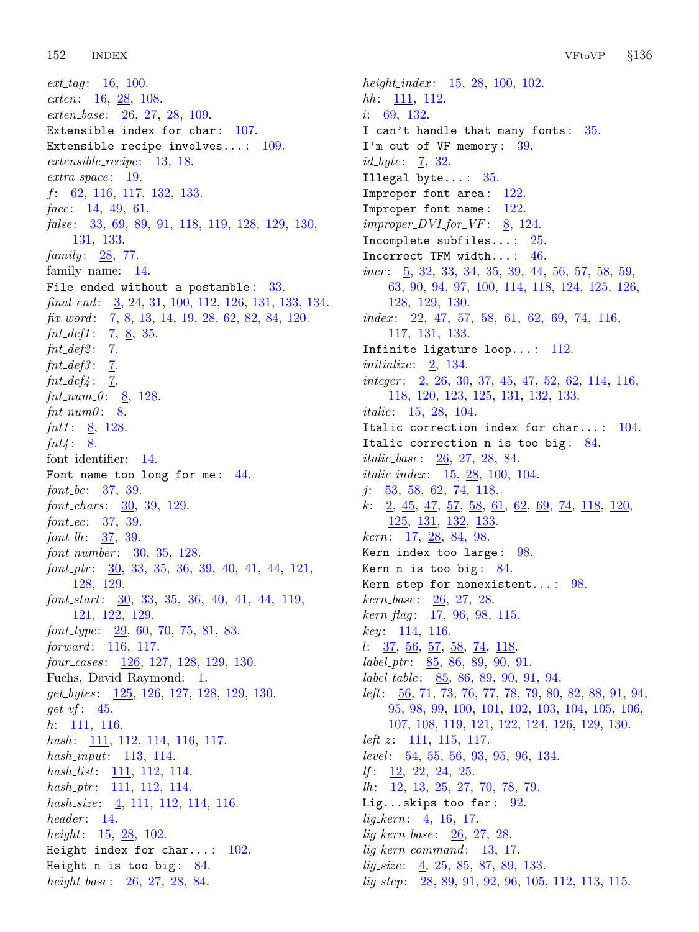$ext\_tag: 16, 100.$  $ext\_tag: 16, 100.$  $ext\_tag: 16, 100.$  $ext\_tag: 16, 100.$  $ext\_tag: 16, 100.$ exten: [16,](#page-9-0) [28](#page-14-0), [108](#page-36-0). exten<sub>-</sub>base: [26](#page-13-0), [27](#page-13-0), [28,](#page-14-0) [109](#page-37-0). Extensible index for char: [107.](#page-36-0) Extensible recipe involves...:  $109$ . extensible\_recipe: [13,](#page-7-0) [18](#page-10-0).  $extra\_space: 19.$  $extra\_space: 19.$  $extra\_space: 19.$ f:  $62, 116, 117, 132, 133$  $62, 116, 117, 132, 133$  $62, 116, 117, 132, 133$  $62, 116, 117, 132, 133$  $62, 116, 117, 132, 133$  $62, 116, 117, 132, 133$  $62, 116, 117, 132, 133$  $62, 116, 117, 132, 133$  $62, 116, 117, 132, 133$ . face:  $14, 49, 61$  $14, 49, 61$  $14, 49, 61$  $14, 49, 61$ . false: [33](#page-16-0), [69,](#page-25-0) [89,](#page-31-0) [91](#page-31-0), [118](#page-42-0), [119,](#page-42-0) [128,](#page-45-0) [129](#page-46-0), [130](#page-46-0), [131,](#page-47-0) [133](#page-48-0). family:  $28, 77$  $28, 77$ . family name: [14.](#page-8-0) File ended without a postamble:  $33$ .  $final_{em}d: \underline{3}, 24, 31, 100, 112, 126, 131, 133, 134.$  $final_{em}d: \underline{3}, 24, 31, 100, 112, 126, 131, 133, 134.$  $final_{em}d: \underline{3}, 24, 31, 100, 112, 126, 131, 133, 134.$  $final_{em}d: \underline{3}, 24, 31, 100, 112, 126, 131, 133, 134.$  $final_{em}d: \underline{3}, 24, 31, 100, 112, 126, 131, 133, 134.$  $final_{em}d: \underline{3}, 24, 31, 100, 112, 126, 131, 133, 134.$  $final_{em}d: \underline{3}, 24, 31, 100, 112, 126, 131, 133, 134.$  $final_{em}d: \underline{3}, 24, 31, 100, 112, 126, 131, 133, 134.$  $final_{em}d: \underline{3}, 24, 31, 100, 112, 126, 131, 133, 134.$  $final_{em}d: \underline{3}, 24, 31, 100, 112, 126, 131, 133, 134.$  $final_{em}d: \underline{3}, 24, 31, 100, 112, 126, 131, 133, 134.$  $final_{em}d: \underline{3}, 24, 31, 100, 112, 126, 131, 133, 134.$  $final_{em}d: \underline{3}, 24, 31, 100, 112, 126, 131, 133, 134.$  $final_{em}d: \underline{3}, 24, 31, 100, 112, 126, 131, 133, 134.$  $final_{em}d: \underline{3}, 24, 31, 100, 112, 126, 131, 133, 134.$  $final_{em}d: \underline{3}, 24, 31, 100, 112, 126, 131, 133, 134.$  $final_{em}d: \underline{3}, 24, 31, 100, 112, 126, 131, 133, 134.$  $final_{em}d: \underline{3}, 24, 31, 100, 112, 126, 131, 133, 134.$ fix word: [7,](#page-3-0) [8,](#page-4-0) [13](#page-7-0), [14,](#page-8-0) [19,](#page-11-0) [28](#page-14-0), [62,](#page-24-0) [82,](#page-28-0) [84](#page-29-0), [120.](#page-42-0)  $fnt\_def1$ : [7](#page-3-0), [8,](#page-4-0) [35.](#page-17-0)  $fnt\_def2:$  [7](#page-3-0).  $fnt\_def3:$  [7](#page-3-0).  $fnt\_def4$ : [7](#page-3-0).  $fnt\_num\_0: 8, 128.$  $fnt\_num\_0: 8, 128.$  $fnt\_num\_0: 8, 128.$  $fnt\_num\_0: 8, 128.$  $fnt\_num0: 8.$  $fnt\_num0: 8.$  $fnt\_num0: 8.$  $fnt1: 8, 128.$  $fnt1: 8, 128.$  $fnt1: 8, 128.$  $fnt1: 8, 128.$  $fnt4: 8.$  $fnt4: 8.$ font identifier: [14](#page-8-0). Font name too long for me:  $44$ .  $font\_bc: 37, 39.$  $font\_bc: 37, 39.$  $font\_bc: 37, 39.$  $font\_bc: 37, 39.$  $font\_bc: 37, 39.$ font\_chars: [30,](#page-15-0) [39](#page-18-0), [129.](#page-46-0)  $font\_ec: 37, 39.$  $font\_ec: 37, 39.$  $font\_ec: 37, 39.$  $font\_ec: 37, 39.$  $font\_ec: 37, 39.$  $font\_lh: \frac{37}{27}, 39.$  $font\_lh: \frac{37}{27}, 39.$  $font\_lh: \frac{37}{27}, 39.$  $font\_lh: \frac{37}{27}, 39.$  $font\_lh: \frac{37}{27}, 39.$  $font_number: \underline{30}$ , [35](#page-17-0), [128.](#page-45-0)  $font\_ptr: 30, 33, 35, 36, 39, 40, 41, 44, 121,$  $font\_ptr: 30, 33, 35, 36, 39, 40, 41, 44, 121,$  $font\_ptr: 30, 33, 35, 36, 39, 40, 41, 44, 121,$  $font\_ptr: 30, 33, 35, 36, 39, 40, 41, 44, 121,$  $font\_ptr: 30, 33, 35, 36, 39, 40, 41, 44, 121,$  $font\_ptr: 30, 33, 35, 36, 39, 40, 41, 44, 121,$  $font\_ptr: 30, 33, 35, 36, 39, 40, 41, 44, 121,$  $font\_ptr: 30, 33, 35, 36, 39, 40, 41, 44, 121,$  $font\_ptr: 30, 33, 35, 36, 39, 40, 41, 44, 121,$  $font\_ptr: 30, 33, 35, 36, 39, 40, 41, 44, 121,$  $font\_ptr: 30, 33, 35, 36, 39, 40, 41, 44, 121,$  $font\_ptr: 30, 33, 35, 36, 39, 40, 41, 44, 121,$  $font\_ptr: 30, 33, 35, 36, 39, 40, 41, 44, 121,$  $font\_ptr: 30, 33, 35, 36, 39, 40, 41, 44, 121,$  $font\_ptr: 30, 33, 35, 36, 39, 40, 41, 44, 121,$  $font\_ptr: 30, 33, 35, 36, 39, 40, 41, 44, 121,$  $font\_ptr: 30, 33, 35, 36, 39, 40, 41, 44, 121,$  $font\_ptr: 30, 33, 35, 36, 39, 40, 41, 44, 121,$  $font\_ptr: 30, 33, 35, 36, 39, 40, 41, 44, 121,$ [128,](#page-45-0) [129](#page-46-0).  $font\_start: 30, 33, 35, 36, 40, 41, 44, 119,$  $font\_start: 30, 33, 35, 36, 40, 41, 44, 119,$  $font\_start: 30, 33, 35, 36, 40, 41, 44, 119,$  $font\_start: 30, 33, 35, 36, 40, 41, 44, 119,$  $font\_start: 30, 33, 35, 36, 40, 41, 44, 119,$  $font\_start: 30, 33, 35, 36, 40, 41, 44, 119,$  $font\_start: 30, 33, 35, 36, 40, 41, 44, 119,$  $font\_start: 30, 33, 35, 36, 40, 41, 44, 119,$  $font\_start: 30, 33, 35, 36, 40, 41, 44, 119,$  $font\_start: 30, 33, 35, 36, 40, 41, 44, 119,$  $font\_start: 30, 33, 35, 36, 40, 41, 44, 119,$  $font\_start: 30, 33, 35, 36, 40, 41, 44, 119,$  $font\_start: 30, 33, 35, 36, 40, 41, 44, 119,$  $font\_start: 30, 33, 35, 36, 40, 41, 44, 119,$  $font\_start: 30, 33, 35, 36, 40, 41, 44, 119,$  $font\_start: 30, 33, 35, 36, 40, 41, 44, 119,$ [121,](#page-43-0) [122,](#page-43-0) [129.](#page-46-0)  $font\_type: 29, 60, 70, 75, 81, 83.$  $font\_type: 29, 60, 70, 75, 81, 83.$  $font\_type: 29, 60, 70, 75, 81, 83.$  $font\_type: 29, 60, 70, 75, 81, 83.$  $font\_type: 29, 60, 70, 75, 81, 83.$  $font\_type: 29, 60, 70, 75, 81, 83.$  $font\_type: 29, 60, 70, 75, 81, 83.$  $font\_type: 29, 60, 70, 75, 81, 83.$  $font\_type: 29, 60, 70, 75, 81, 83.$  $font\_type: 29, 60, 70, 75, 81, 83.$  $font\_type: 29, 60, 70, 75, 81, 83.$  $font\_type: 29, 60, 70, 75, 81, 83.$  $font\_type: 29, 60, 70, 75, 81, 83.$ forward: [116](#page-40-0), [117.](#page-41-0) four\_cases: [126](#page-45-0), [127](#page-45-0), [128,](#page-45-0) [129,](#page-46-0) [130.](#page-46-0) Fuchs, David Raymond: [1.](#page-1-0) get bytes : [125,](#page-44-0) [126](#page-45-0), [127,](#page-45-0) [128](#page-45-0), [129](#page-46-0), [130.](#page-46-0)  $get_v f$ :  $\underline{45}$  $\underline{45}$  $\underline{45}$ . h:  $111, 116$  $111, 116$ . hash:  $111, 112, 114, 116, 117.$  $111, 112, 114, 116, 117.$  $111, 112, 114, 116, 117.$  $111, 112, 114, 116, 117.$  $111, 112, 114, 116, 117.$  $111, 112, 114, 116, 117.$  $111, 112, 114, 116, 117.$  $111, 112, 114, 116, 117.$  $111, 112, 114, 116, 117.$ hash\_input:  $113, 114$  $113, 114$  $113, 114$ .  $hash\_list: 111, 112, 114.$  $hash\_list: 111, 112, 114.$  $hash\_list: 111, 112, 114.$  $hash\_list: 111, 112, 114.$  $hash\_list: 111, 112, 114.$  $hash\_list: 111, 112, 114.$  $hash\_list: 111, 112, 114.$  $hash\_ptr$ :  $111, 112, 114$  $111, 112, 114$  $111, 112, 114$  $111, 112, 114$ . hash\_size: [4,](#page-1-0) [111,](#page-38-0) [112,](#page-39-0) [114,](#page-40-0) [116.](#page-40-0) header: [14](#page-8-0). *height*: [15,](#page-9-0)  $\frac{28}{102}$  $\frac{28}{102}$  $\frac{28}{102}$ . Height index for char...:  $102$ . Height n is too big:  $84$ . height\_base:  $26, 27, 28, 84$  $26, 27, 28, 84$  $26, 27, 28, 84$  $26, 27, 28, 84$  $26, 27, 28, 84$  $26, 27, 28, 84$  $26, 27, 28, 84$ .

height index :  $15, 28, 100, 102$  $15, 28, 100, 102$  $15, 28, 100, 102$  $15, 28, 100, 102$  $15, 28, 100, 102$  $15, 28, 100, 102$  $15, 28, 100, 102$ .  $hh: \quad 111, \; 112.$  $hh: \quad 111, \; 112.$  $hh: \quad 111, \; 112.$  $hh: \quad 111, \; 112.$  $hh: \quad 111, \; 112.$ i: [69](#page-25-0), [132](#page-47-0). I can't handle that many fonts:  $35$ . I'm out of VF memory: [39](#page-18-0).  $id\_byte: \quad 7, 32.$  $id\_byte: \quad 7, 32.$  $id\_byte: \quad 7, 32.$  $id\_byte: \quad 7, 32.$  $id\_byte: \quad 7, 32.$ Illegal byte...:  $35$ . Improper font area: [122.](#page-43-0) Improper font name: [122.](#page-43-0)  $improper\_DVI_{\text{f}}or_{\text{f}}VF: 8, 124.$  $improper\_DVI_{\text{f}}or_{\text{f}}VF: 8, 124.$  $improper\_DVI_{\text{f}}or_{\text{f}}VF: 8, 124.$  $improper\_DVI_{\text{f}}or_{\text{f}}VF: 8, 124.$ Incomplete subfiles... : [25.](#page-13-0) Incorrect TFM width... : [46.](#page-20-0)  $incr$ :  $\underline{5}$ , 32, 33, 34, 3[5,](#page-2-0) [39](#page-18-0), [44,](#page-19-0) [56,](#page-22-0) [57,](#page-22-0) [58,](#page-22-0) [59](#page-23-0), [63,](#page-24-0) [90,](#page-31-0) [94,](#page-32-0) [97](#page-33-0), [100](#page-34-0), [114](#page-40-0), [118,](#page-42-0) [124,](#page-44-0) [125,](#page-44-0) [126](#page-45-0), [128,](#page-45-0) [129,](#page-46-0) [130.](#page-46-0)  $index: \quad 22, \, 47, \, 57, \, 58, \, 61, \, 62, \, 69, \, 74, \, 116,$  $index: \quad 22, \, 47, \, 57, \, 58, \, 61, \, 62, \, 69, \, 74, \, 116,$  $index: \quad 22, \, 47, \, 57, \, 58, \, 61, \, 62, \, 69, \, 74, \, 116,$  $index: \quad 22, \, 47, \, 57, \, 58, \, 61, \, 62, \, 69, \, 74, \, 116,$  $index: \quad 22, \, 47, \, 57, \, 58, \, 61, \, 62, \, 69, \, 74, \, 116,$  $index: \quad 22, \, 47, \, 57, \, 58, \, 61, \, 62, \, 69, \, 74, \, 116,$  $index: \quad 22, \, 47, \, 57, \, 58, \, 61, \, 62, \, 69, \, 74, \, 116,$  $index: \quad 22, \, 47, \, 57, \, 58, \, 61, \, 62, \, 69, \, 74, \, 116,$  $index: \quad 22, \, 47, \, 57, \, 58, \, 61, \, 62, \, 69, \, 74, \, 116,$  $index: \quad 22, \, 47, \, 57, \, 58, \, 61, \, 62, \, 69, \, 74, \, 116,$  $index: \quad 22, \, 47, \, 57, \, 58, \, 61, \, 62, \, 69, \, 74, \, 116,$  $index: \quad 22, \, 47, \, 57, \, 58, \, 61, \, 62, \, 69, \, 74, \, 116,$  $index: \quad 22, \, 47, \, 57, \, 58, \, 61, \, 62, \, 69, \, 74, \, 116,$  $index: \quad 22, \, 47, \, 57, \, 58, \, 61, \, 62, \, 69, \, 74, \, 116,$  $index: \quad 22, \, 47, \, 57, \, 58, \, 61, \, 62, \, 69, \, 74, \, 116,$  $index: \quad 22, \, 47, \, 57, \, 58, \, 61, \, 62, \, 69, \, 74, \, 116,$  $index: \quad 22, \, 47, \, 57, \, 58, \, 61, \, 62, \, 69, \, 74, \, 116,$  $index: \quad 22, \, 47, \, 57, \, 58, \, 61, \, 62, \, 69, \, 74, \, 116,$ [117,](#page-41-0) [131,](#page-47-0) [133.](#page-48-0) Infinite ligature loop...: [112](#page-39-0).  $initialize: \quad 2, 134.$  $initialize: \quad 2, 134.$  $initialize: \quad 2, 134.$  $initialize: \quad 2, 134.$  $initialize: \quad 2, 134.$ integer : [2,](#page-1-0) [26,](#page-13-0) [30](#page-15-0), [37](#page-17-0), [45](#page-20-0), [47](#page-20-0), [52](#page-21-0), [62](#page-24-0), [114,](#page-40-0) [116,](#page-40-0) [118,](#page-42-0) [120,](#page-42-0) [123](#page-43-0), [125](#page-44-0), [131,](#page-47-0) [132,](#page-47-0) [133](#page-48-0). italic: [15](#page-9-0), [28](#page-14-0), [104.](#page-35-0) Italic correction index for char...:  $104$ . Italic correction  $n$  is too big:  $84$ . *italic\_base*:  $26, 27, 28, 84.$  $26, 27, 28, 84.$  $26, 27, 28, 84.$  $26, 27, 28, 84.$  $26, 27, 28, 84.$  $26, 27, 28, 84.$  $26, 27, 28, 84.$  $26, 27, 28, 84.$ italic index : [15,](#page-9-0) [28,](#page-14-0) [100,](#page-34-0) [104](#page-35-0). j:  $\frac{53}{58}$  $\frac{53}{58}$  $\frac{53}{58}$ ,  $\frac{58}{62}$ ,  $\frac{74}{18}$  $\frac{74}{18}$  $\frac{74}{18}$ . k: [2](#page-1-0), [45](#page-20-0), [47,](#page-20-0) [57](#page-22-0), [58](#page-22-0), [61,](#page-23-0) [62](#page-24-0), [69](#page-25-0), [74,](#page-27-0) [118,](#page-42-0) [120](#page-42-0), [125,](#page-44-0) [131](#page-47-0), [132,](#page-47-0) [133.](#page-48-0) kern: [17,](#page-10-0) [28,](#page-14-0) [84](#page-29-0), [98.](#page-33-0) Kern index too large: [98](#page-33-0). Kern n is too big:  $84$ . Kern step for nonexistent...:  $98$ .  $kern\_base: \quad 26, 27, 28.$  $kern\_base: \quad 26, 27, 28.$  $kern\_base: \quad 26, 27, 28.$  $kern\_base: \quad 26, 27, 28.$  $kern\_base: \quad 26, 27, 28.$  $kern\_base: \quad 26, 27, 28.$  $kern\_flag: 17, 96, 98, 115.$  $kern\_flag: 17, 96, 98, 115.$  $kern\_flag: 17, 96, 98, 115.$  $kern\_flag: 17, 96, 98, 115.$  $kern\_flag: 17, 96, 98, 115.$  $kern\_flag: 17, 96, 98, 115.$  $kern\_flag: 17, 96, 98, 115.$  $kern\_flag: 17, 96, 98, 115.$  $kern\_flag: 17, 96, 98, 115.$  $key: \underline{114}, \underline{116}.$  $key: \underline{114}, \underline{116}.$  $key: \underline{114}, \underline{116}.$  $key: \underline{114}, \underline{116}.$  $key: \underline{114}, \underline{116}.$  $l: \quad \underline{37}, \ \underline{56}, \ \underline{57}, \ \underline{58}, \ \underline{74}, \ \underline{118}.$  $l: \quad \underline{37}, \ \underline{56}, \ \underline{57}, \ \underline{58}, \ \underline{74}, \ \underline{118}.$  $l: \quad \underline{37}, \ \underline{56}, \ \underline{57}, \ \underline{58}, \ \underline{74}, \ \underline{118}.$  $l: \quad \underline{37}, \ \underline{56}, \ \underline{57}, \ \underline{58}, \ \underline{74}, \ \underline{118}.$  $l: \quad \underline{37}, \ \underline{56}, \ \underline{57}, \ \underline{58}, \ \underline{74}, \ \underline{118}.$  $l: \quad \underline{37}, \ \underline{56}, \ \underline{57}, \ \underline{58}, \ \underline{74}, \ \underline{118}.$  $l: \quad \underline{37}, \ \underline{56}, \ \underline{57}, \ \underline{58}, \ \underline{74}, \ \underline{118}.$  $label\_ptr:35, 86, 89, 90, 91.$  $label\_ptr:35, 86, 89, 90, 91.$  $label\_ptr:35, 86, 89, 90, 91.$  $label\_ptr:35, 86, 89, 90, 91.$  $label\_ptr:35, 86, 89, 90, 91.$  $label\_ptr:35, 86, 89, 90, 91.$  $label\_ptr:35, 86, 89, 90, 91.$  $label\_ptr:35, 86, 89, 90, 91.$  $label\_ptr:35, 86, 89, 90, 91.$  $label_table:table:subscript:85, 86, 89, 90, 91, 94.$  $label_table:table:subscript:85, 86, 89, 90, 91, 94.$  $label_table:table:subscript:85, 86, 89, 90, 91, 94.$  $label_table:table:subscript:85, 86, 89, 90, 91, 94.$  $label_table:table:subscript:85, 86, 89, 90, 91, 94.$  $label_table:table:subscript:85, 86, 89, 90, 91, 94.$  $label_table:table:subscript:85, 86, 89, 90, 91, 94.$  $label_table:table:subscript:85, 86, 89, 90, 91, 94.$  $label_table:table:subscript:85, 86, 89, 90, 91, 94.$  $label_table:table:subscript:85, 86, 89, 90, 91, 94.$  $label_table:table:subscript:85, 86, 89, 90, 91, 94.$  $label_table:table:subscript:85, 86, 89, 90, 91, 94.$  $label_table:table:subscript:85, 86, 89, 90, 91, 94.$ left: [56,](#page-22-0) [71,](#page-26-0) [73](#page-26-0), [76,](#page-27-0) [77](#page-27-0), [78](#page-27-0), [79,](#page-28-0) [80](#page-28-0), [82](#page-28-0), [88,](#page-30-0) [91](#page-31-0), [94,](#page-32-0) [95,](#page-32-0) [98](#page-33-0), [99](#page-34-0), [100,](#page-34-0) [101](#page-35-0), [102,](#page-35-0) [103,](#page-35-0) [104](#page-35-0), [105,](#page-35-0) [106](#page-36-0), [107,](#page-36-0) [108](#page-36-0), [119](#page-42-0), [121,](#page-43-0) [122,](#page-43-0) [124](#page-44-0), [126](#page-45-0), [129,](#page-46-0) [130.](#page-46-0)  $left\_z: \quad \underline{111}, \; 115, \; 117.$  $left\_z: \quad \underline{111}, \; 115, \; 117.$  $left\_z: \quad \underline{111}, \; 115, \; 117.$  $left\_z: \quad \underline{111}, \; 115, \; 117.$ *level*:  $\frac{54}{54}$  $\frac{54}{54}$  $\frac{54}{54}$ , [55](#page-22-0), [56,](#page-22-0) [93,](#page-32-0) [95,](#page-32-0) [96,](#page-33-0) [134.](#page-48-0)  $lf: \quad 12, \quad 22, \quad 24, \quad 25.$  $lf: \quad 12, \quad 22, \quad 24, \quad 25.$  $lf: \quad 12, \quad 22, \quad 24, \quad 25.$  $lf: \quad 12, \quad 22, \quad 24, \quad 25.$  $lf: \quad 12, \quad 22, \quad 24, \quad 25.$  $lf: \quad 12, \quad 22, \quad 24, \quad 25.$  $lf: \quad 12, \quad 22, \quad 24, \quad 25.$  $lf: \quad 12, \quad 22, \quad 24, \quad 25.$  $lf: \quad 12, \quad 22, \quad 24, \quad 25.$  $lh: \quad \underline{12}, \; 13, \; 25, \; 27, \; 70, \; 78, \; 79.$  $lh: \quad \underline{12}, \; 13, \; 25, \; 27, \; 70, \; 78, \; 79.$  $lh: \quad \underline{12}, \; 13, \; 25, \; 27, \; 70, \; 78, \; 79.$  $lh: \quad \underline{12}, \; 13, \; 25, \; 27, \; 70, \; 78, \; 79.$  $lh: \quad \underline{12}, \; 13, \; 25, \; 27, \; 70, \; 78, \; 79.$  $lh: \quad \underline{12}, \; 13, \; 25, \; 27, \; 70, \; 78, \; 79.$  $lh: \quad \underline{12}, \; 13, \; 25, \; 27, \; 70, \; 78, \; 79.$  $lh: \quad \underline{12}, \; 13, \; 25, \; 27, \; 70, \; 78, \; 79.$  $lh: \quad \underline{12}, \; 13, \; 25, \; 27, \; 70, \; 78, \; 79.$  $lh: \quad \underline{12}, \; 13, \; 25, \; 27, \; 70, \; 78, \; 79.$  $lh: \quad \underline{12}, \; 13, \; 25, \; 27, \; 70, \; 78, \; 79.$  $lh: \quad \underline{12}, \; 13, \; 25, \; 27, \; 70, \; 78, \; 79.$ Lig...skips too far:  $92$ . lig kern: [4,](#page-1-0) [16,](#page-9-0) [17](#page-10-0).  $lig\_kern\_base:$  [26](#page-13-0), [27,](#page-13-0) [28](#page-14-0).  $lig\_kern\_command: 13, 17.$  $lig\_kern\_command: 13, 17.$  $lig\_kern\_command: 13, 17.$  $lig\_kern\_command: 13, 17.$  $lig\_kern\_command: 13, 17.$  $lig\_size:$  [4,](#page-1-0) [25,](#page-13-0) [85,](#page-30-0) [87,](#page-30-0) [89](#page-31-0), [133](#page-48-0).  $lig\_step: \quad \underline{28}, 89, 91, 92, 96, 105, 112, 113, 115.$  $lig\_step: \quad \underline{28}, 89, 91, 92, 96, 105, 112, 113, 115.$  $lig\_step: \quad \underline{28}, 89, 91, 92, 96, 105, 112, 113, 115.$  $lig\_step: \quad \underline{28}, 89, 91, 92, 96, 105, 112, 113, 115.$  $lig\_step: \quad \underline{28}, 89, 91, 92, 96, 105, 112, 113, 115.$  $lig\_step: \quad \underline{28}, 89, 91, 92, 96, 105, 112, 113, 115.$  $lig\_step: \quad \underline{28}, 89, 91, 92, 96, 105, 112, 113, 115.$  $lig\_step: \quad \underline{28}, 89, 91, 92, 96, 105, 112, 113, 115.$  $lig\_step: \quad \underline{28}, 89, 91, 92, 96, 105, 112, 113, 115.$  $lig\_step: \quad \underline{28}, 89, 91, 92, 96, 105, 112, 113, 115.$  $lig\_step: \quad \underline{28}, 89, 91, 92, 96, 105, 112, 113, 115.$  $lig\_step: \quad \underline{28}, 89, 91, 92, 96, 105, 112, 113, 115.$  $lig\_step: \quad \underline{28}, 89, 91, 92, 96, 105, 112, 113, 115.$  $lig\_step: \quad \underline{28}, 89, 91, 92, 96, 105, 112, 113, 115.$  $lig\_step: \quad \underline{28}, 89, 91, 92, 96, 105, 112, 113, 115.$  $lig\_step: \quad \underline{28}, 89, 91, 92, 96, 105, 112, 113, 115.$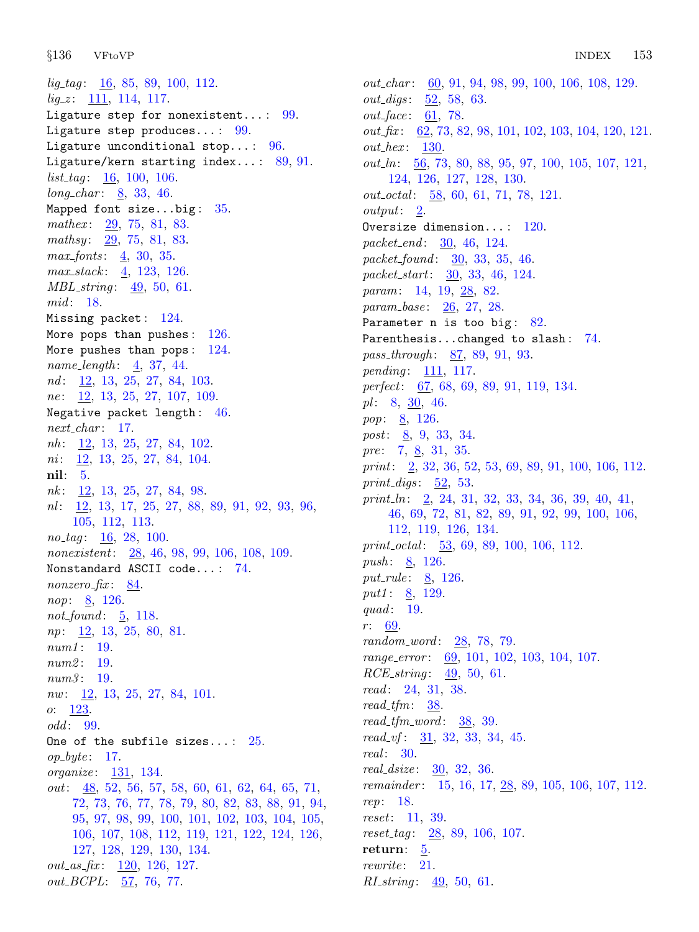$lig\_tag$ : [16,](#page-9-0) [85](#page-30-0), [89](#page-31-0), [100,](#page-34-0) [112.](#page-39-0)  $lig\_z$ : [111](#page-38-0), [114](#page-40-0), [117.](#page-41-0) Ligature step for nonexistent...: [99](#page-34-0). Ligature step produces...: [99.](#page-34-0) Ligature unconditional stop...:  $96$ . Ligature/kern starting index...:  $89, 91$  $89, 91$  $89, 91$ .  $list\_tag: 16, 100, 106.$  $list\_tag: 16, 100, 106.$  $list\_tag: 16, 100, 106.$  $list\_tag: 16, 100, 106.$  $list\_tag: 16, 100, 106.$  $list\_tag: 16, 100, 106.$  $long\_char: 8, 33, 46.$  $long\_char: 8, 33, 46.$  $long\_char: 8, 33, 46.$  $long\_char: 8, 33, 46.$  $long\_char: 8, 33, 46.$  $long\_char: 8, 33, 46.$  $long\_char: 8, 33, 46.$ Mapped font size...big:  $35$ . mathex: [29](#page-14-0), [75,](#page-27-0) [81](#page-28-0), [83.](#page-29-0) mathsy: [29,](#page-14-0) [75](#page-27-0), [81,](#page-28-0) [83](#page-29-0). *max\_fonts*:  $\frac{4}{30}$  $\frac{4}{30}$  $\frac{4}{30}$ , [35](#page-17-0).  $max\_stack: 4, 123, 126.$  $max\_stack: 4, 123, 126.$  $max\_stack: 4, 123, 126.$  $max\_stack: 4, 123, 126.$  $max\_stack: 4, 123, 126.$  $max\_stack: 4, 123, 126.$  $max\_stack: 4, 123, 126.$  $MBL<sub>-</sub>string: \frac{49}{50, 61}.$  $MBL<sub>-</sub>string: \frac{49}{50, 61}.$  $MBL<sub>-</sub>string: \frac{49}{50, 61}.$  $mid:$  [18.](#page-10-0) Missing packet : [124.](#page-44-0) More pops than pushes:  $126$ . More pushes than pops:  $124$ . name\_length:  $\frac{4}{37}$  $\frac{4}{37}$  $\frac{4}{37}$ , [44.](#page-19-0) nd:  $\overline{12}$ , [13](#page-7-0), [25,](#page-13-0) [27,](#page-13-0) [84](#page-29-0), [103](#page-35-0).  $ne: \underline{12}, 13, 25, 27, 107, 109.$  $ne: \underline{12}, 13, 25, 27, 107, 109.$  $ne: \underline{12}, 13, 25, 27, 107, 109.$  $ne: \underline{12}, 13, 25, 27, 107, 109.$  $ne: \underline{12}, 13, 25, 27, 107, 109.$  $ne: \underline{12}, 13, 25, 27, 107, 109.$  $ne: \underline{12}, 13, 25, 27, 107, 109.$  $ne: \underline{12}, 13, 25, 27, 107, 109.$  $ne: \underline{12}, 13, 25, 27, 107, 109.$  $ne: \underline{12}, 13, 25, 27, 107, 109.$  $ne: \underline{12}, 13, 25, 27, 107, 109.$  $ne: \underline{12}, 13, 25, 27, 107, 109.$  $ne: \underline{12}, 13, 25, 27, 107, 109.$ Negative packet length : [46.](#page-20-0)  $next\_char: 17.$  $next\_char: 17.$  $next\_char: 17.$  $nh: \underline{12}, 13, 25, 27, 84, 102.$  $nh: \underline{12}, 13, 25, 27, 84, 102.$  $nh: \underline{12}, 13, 25, 27, 84, 102.$  $nh: \underline{12}, 13, 25, 27, 84, 102.$  $nh: \underline{12}, 13, 25, 27, 84, 102.$  $nh: \underline{12}, 13, 25, 27, 84, 102.$  $nh: \underline{12}, 13, 25, 27, 84, 102.$  $nh: \underline{12}, 13, 25, 27, 84, 102.$  $nh: \underline{12}, 13, 25, 27, 84, 102.$  $nh: \underline{12}, 13, 25, 27, 84, 102.$  $nh: \underline{12}, 13, 25, 27, 84, 102.$  $ni$ :  $\underline{12}$ , [13](#page-7-0), [25](#page-13-0), [27,](#page-13-0) [84](#page-29-0), [104](#page-35-0). nil: [5](#page-2-0).  $nk: \underline{12}, 13, 25, 27, 84, 98.$  $nk: \underline{12}, 13, 25, 27, 84, 98.$  $nk: \underline{12}, 13, 25, 27, 84, 98.$  $nk: \underline{12}, 13, 25, 27, 84, 98.$  $nk: \underline{12}, 13, 25, 27, 84, 98.$  $nk: \underline{12}, 13, 25, 27, 84, 98.$  $nk: \underline{12}, 13, 25, 27, 84, 98.$  $nk: \underline{12}, 13, 25, 27, 84, 98.$  $nk: \underline{12}, 13, 25, 27, 84, 98.$  $nk: \underline{12}, 13, 25, 27, 84, 98.$  $nk: \underline{12}, 13, 25, 27, 84, 98.$  $nk: \underline{12}, 13, 25, 27, 84, 98.$  $nk: \underline{12}, 13, 25, 27, 84, 98.$  $nl: \underline{12}, 13, 17, 25, 27, 88, 89, 91, 92, 93, 96,$  $nl: \underline{12}, 13, 17, 25, 27, 88, 89, 91, 92, 93, 96,$  $nl: \underline{12}, 13, 17, 25, 27, 88, 89, 91, 92, 93, 96,$  $nl: \underline{12}, 13, 17, 25, 27, 88, 89, 91, 92, 93, 96,$  $nl: \underline{12}, 13, 17, 25, 27, 88, 89, 91, 92, 93, 96,$  $nl: \underline{12}, 13, 17, 25, 27, 88, 89, 91, 92, 93, 96,$  $nl: \underline{12}, 13, 17, 25, 27, 88, 89, 91, 92, 93, 96,$  $nl: \underline{12}, 13, 17, 25, 27, 88, 89, 91, 92, 93, 96,$  $nl: \underline{12}, 13, 17, 25, 27, 88, 89, 91, 92, 93, 96,$  $nl: \underline{12}, 13, 17, 25, 27, 88, 89, 91, 92, 93, 96,$  $nl: \underline{12}, 13, 17, 25, 27, 88, 89, 91, 92, 93, 96,$  $nl: \underline{12}, 13, 17, 25, 27, 88, 89, 91, 92, 93, 96,$  $nl: \underline{12}, 13, 17, 25, 27, 88, 89, 91, 92, 93, 96,$  $nl: \underline{12}, 13, 17, 25, 27, 88, 89, 91, 92, 93, 96,$  $nl: \underline{12}, 13, 17, 25, 27, 88, 89, 91, 92, 93, 96,$  $nl: \underline{12}, 13, 17, 25, 27, 88, 89, 91, 92, 93, 96,$  $nl: \underline{12}, 13, 17, 25, 27, 88, 89, 91, 92, 93, 96,$  $nl: \underline{12}, 13, 17, 25, 27, 88, 89, 91, 92, 93, 96,$  $nl: \underline{12}, 13, 17, 25, 27, 88, 89, 91, 92, 93, 96,$  $nl: \underline{12}, 13, 17, 25, 27, 88, 89, 91, 92, 93, 96,$  $nl: \underline{12}, 13, 17, 25, 27, 88, 89, 91, 92, 93, 96,$  $nl: \underline{12}, 13, 17, 25, 27, 88, 89, 91, 92, 93, 96,$ [105,](#page-35-0) [112,](#page-39-0) [113.](#page-39-0)  $no\_tag$ :  $\frac{16}{6}$  $\frac{16}{6}$  $\frac{16}{6}$ , [28](#page-14-0), [100.](#page-34-0) nonexistent: [28,](#page-14-0) [46](#page-20-0), [98,](#page-33-0) [99](#page-34-0), [106,](#page-36-0) [108,](#page-36-0) [109](#page-37-0). Nonstandard ASCII code... : [74.](#page-27-0)  $nonzero$ - $\hat{h}x$  : [84](#page-29-0). nop: [8,](#page-4-0) [126.](#page-45-0) not\_found:  $5, 118$  $5, 118$ . np: [12,](#page-6-0) [13](#page-7-0), [25,](#page-13-0) [80](#page-28-0), [81.](#page-28-0) num1: [19.](#page-11-0) num2: [19.](#page-11-0) num3: [19.](#page-11-0)  $nw: \quad \underline{12}, \; 13, \; 25, \; 27, \; 84, \; 101.$  $nw: \quad \underline{12}, \; 13, \; 25, \; 27, \; 84, \; 101.$  $nw: \quad \underline{12}, \; 13, \; 25, \; 27, \; 84, \; 101.$  $nw: \quad \underline{12}, \; 13, \; 25, \; 27, \; 84, \; 101.$  $nw: \quad \underline{12}, \; 13, \; 25, \; 27, \; 84, \; 101.$  $nw: \quad \underline{12}, \; 13, \; 25, \; 27, \; 84, \; 101.$  $nw: \quad \underline{12}, \; 13, \; 25, \; 27, \; 84, \; 101.$  $nw: \quad \underline{12}, \; 13, \; 25, \; 27, \; 84, \; 101.$  $nw: \quad \underline{12}, \; 13, \; 25, \; 27, \; 84, \; 101.$  $nw: \quad \underline{12}, \; 13, \; 25, \; 27, \; 84, \; 101.$  $nw: \quad \underline{12}, \; 13, \; 25, \; 27, \; 84, \; 101.$  $nw: \quad \underline{12}, \; 13, \; 25, \; 27, \; 84, \; 101.$ o: [123.](#page-43-0) odd: [99.](#page-34-0) One of the subfile sizes...:  $25$ .  $op\_byte: 17.$  $op\_byte: 17.$  $op\_byte: 17.$ *organize*: [131,](#page-47-0) [134](#page-48-0). out:  $\frac{48}{52}$ , [52,](#page-21-0) [56](#page-22-0), [57](#page-22-0), [58](#page-22-0), [60](#page-23-0), [61](#page-23-0), [62,](#page-24-0) [64,](#page-24-0) [65,](#page-24-0) [71,](#page-26-0) [72,](#page-26-0) [73,](#page-26-0) [76](#page-27-0), [77,](#page-27-0) [78,](#page-27-0) [79](#page-28-0), [80](#page-28-0), [82,](#page-28-0) [83](#page-29-0), [88](#page-30-0), [91,](#page-31-0) [94,](#page-32-0) [95,](#page-32-0) [97,](#page-33-0) [98,](#page-33-0) [99](#page-34-0), [100](#page-34-0), [101](#page-35-0), [102](#page-35-0), [103,](#page-35-0) [104,](#page-35-0) [105,](#page-35-0) [106,](#page-36-0) [107,](#page-36-0) [108,](#page-36-0) [112,](#page-39-0) [119,](#page-42-0) [121,](#page-43-0) [122,](#page-43-0) [124](#page-44-0), [126](#page-45-0), [127,](#page-45-0) [128](#page-45-0), [129](#page-46-0), [130,](#page-46-0) [134](#page-48-0).  $out\_as\_fix: 120, 126, 127.$  $out\_as\_fix: 120, 126, 127.$  $out\_as\_fix: 120, 126, 127.$  $out\_as\_fix: 120, 126, 127.$  $out\_as\_fix: 120, 126, 127.$  $out\_as\_fix: 120, 126, 127.$  $out\_BCPL: \underline{57}, 76, 77.$  $out\_BCPL: \underline{57}, 76, 77.$  $out\_BCPL: \underline{57}, 76, 77.$  $out\_BCPL: \underline{57}, 76, 77.$ 

 $out\_char: 60, 91, 94, 98, 99, 100, 106, 108, 129.$  $out\_char: 60, 91, 94, 98, 99, 100, 106, 108, 129.$  $out\_char: 60, 91, 94, 98, 99, 100, 106, 108, 129.$  $out\_char: 60, 91, 94, 98, 99, 100, 106, 108, 129.$  $out\_char: 60, 91, 94, 98, 99, 100, 106, 108, 129.$  $out\_char: 60, 91, 94, 98, 99, 100, 106, 108, 129.$  $out\_char: 60, 91, 94, 98, 99, 100, 106, 108, 129.$  $out\_char: 60, 91, 94, 98, 99, 100, 106, 108, 129.$  $out\_char: 60, 91, 94, 98, 99, 100, 106, 108, 129.$  $out\_char: 60, 91, 94, 98, 99, 100, 106, 108, 129.$  $out\_char: 60, 91, 94, 98, 99, 100, 106, 108, 129.$  $out\_char: 60, 91, 94, 98, 99, 100, 106, 108, 129.$  $out\_char: 60, 91, 94, 98, 99, 100, 106, 108, 129.$  $out\_char: 60, 91, 94, 98, 99, 100, 106, 108, 129.$  $out\_char: 60, 91, 94, 98, 99, 100, 106, 108, 129.$  $out\_char: 60, 91, 94, 98, 99, 100, 106, 108, 129.$  $out\_char: 60, 91, 94, 98, 99, 100, 106, 108, 129.$  $out\_char: 60, 91, 94, 98, 99, 100, 106, 108, 129.$  $out\_char: 60, 91, 94, 98, 99, 100, 106, 108, 129.$  $out\_digs: 52, 58, 63.$  $out\_digs: 52, 58, 63.$  $out\_digs: 52, 58, 63.$  $out\_digs: 52, 58, 63.$  $out\_digs: 52, 58, 63.$  $out\_digs: 52, 58, 63.$  $out\_face: 61, 78.$  $out\_face: 61, 78.$  $out\_face: 61, 78.$  $out\_face: 61, 78.$  $out\_face: 61, 78.$ out fix : [62](#page-24-0), [73](#page-26-0), [82,](#page-28-0) [98](#page-33-0), [101,](#page-35-0) [102](#page-35-0), [103,](#page-35-0) [104](#page-35-0), [120,](#page-42-0) [121](#page-43-0).  $out\_hex: 130.$  $out\_hex: 130.$  $out\_hex: 130.$  $out\_ln: 56, 73, 80, 88, 95, 97, 100, 105, 107, 121,$  $out\_ln: 56, 73, 80, 88, 95, 97, 100, 105, 107, 121,$  $out\_ln: 56, 73, 80, 88, 95, 97, 100, 105, 107, 121,$  $out\_ln: 56, 73, 80, 88, 95, 97, 100, 105, 107, 121,$  $out\_ln: 56, 73, 80, 88, 95, 97, 100, 105, 107, 121,$  $out\_ln: 56, 73, 80, 88, 95, 97, 100, 105, 107, 121,$  $out\_ln: 56, 73, 80, 88, 95, 97, 100, 105, 107, 121,$  $out\_ln: 56, 73, 80, 88, 95, 97, 100, 105, 107, 121,$  $out\_ln: 56, 73, 80, 88, 95, 97, 100, 105, 107, 121,$  $out\_ln: 56, 73, 80, 88, 95, 97, 100, 105, 107, 121,$  $out\_ln: 56, 73, 80, 88, 95, 97, 100, 105, 107, 121,$  $out\_ln: 56, 73, 80, 88, 95, 97, 100, 105, 107, 121,$  $out\_ln: 56, 73, 80, 88, 95, 97, 100, 105, 107, 121,$  $out\_ln: 56, 73, 80, 88, 95, 97, 100, 105, 107, 121,$  $out\_ln: 56, 73, 80, 88, 95, 97, 100, 105, 107, 121,$  $out\_ln: 56, 73, 80, 88, 95, 97, 100, 105, 107, 121,$  $out\_ln: 56, 73, 80, 88, 95, 97, 100, 105, 107, 121,$  $out\_ln: 56, 73, 80, 88, 95, 97, 100, 105, 107, 121,$  $out\_ln: 56, 73, 80, 88, 95, 97, 100, 105, 107, 121,$  $out\_ln: 56, 73, 80, 88, 95, 97, 100, 105, 107, 121,$  $out\_ln: 56, 73, 80, 88, 95, 97, 100, 105, 107, 121,$ [124,](#page-44-0) [126](#page-45-0), [127](#page-45-0), [128,](#page-45-0) [130](#page-46-0).  $out\_octal$ :  $\frac{58}{60}$ , [61,](#page-23-0) [71,](#page-26-0) [78,](#page-27-0) [121.](#page-43-0)  $output: \quad \underline{2}.$ Oversize dimension... : [120.](#page-42-0) packet\_end: [30,](#page-15-0) [46](#page-20-0), [124.](#page-44-0) packet\_found: [30,](#page-15-0) [33](#page-16-0), [35](#page-17-0), [46](#page-20-0). packet\_start: [30](#page-15-0), [33,](#page-16-0) [46,](#page-20-0) [124](#page-44-0). param: [14,](#page-8-0) [19](#page-11-0), [28,](#page-14-0) [82](#page-28-0). param\_base: [26](#page-13-0), [27,](#page-13-0) [28](#page-14-0). Parameter n is too big: [82.](#page-28-0) Parenthesis...changed to slash: [74.](#page-27-0) pass\_through: [87,](#page-30-0) [89,](#page-31-0) [91](#page-31-0), [93](#page-32-0). pending: [111](#page-38-0), [117.](#page-41-0) perfect: [67](#page-25-0), [68](#page-25-0), [69](#page-25-0), [89,](#page-31-0) [91,](#page-31-0) [119,](#page-42-0) [134](#page-48-0). pl: [8,](#page-4-0)  $30, 46$  $30, 46$  $30, 46$ . pop: [8,](#page-4-0) [126.](#page-45-0) post: [8](#page-4-0), [9](#page-5-0), [33,](#page-16-0) [34.](#page-17-0) pre:  $7, 8, 31, 35.$  $7, 8, 31, 35.$  $7, 8, 31, 35.$  $7, 8, 31, 35.$  $7, 8, 31, 35.$  $7, 8, 31, 35.$  $7, 8, 31, 35.$ print: [2](#page-1-0), [32](#page-16-0), [36,](#page-17-0) [52,](#page-21-0) [53,](#page-21-0) [69,](#page-25-0) [89](#page-31-0), [91](#page-31-0), [100](#page-34-0), [106](#page-36-0), [112](#page-39-0). print\_digs:  $\underline{52}$ , [53.](#page-21-0) print<sub>-</sub>ln: [2](#page-1-0), [24](#page-12-0), [31](#page-15-0), [32,](#page-16-0) [33,](#page-16-0) [34](#page-17-0), [36](#page-17-0), [39,](#page-18-0) [40,](#page-18-0) [41](#page-19-0), [46,](#page-20-0) [69,](#page-25-0) [72,](#page-26-0) [81,](#page-28-0) [82,](#page-28-0) [89,](#page-31-0) [91,](#page-31-0) [92,](#page-32-0) [99,](#page-34-0) [100,](#page-34-0) [106,](#page-36-0) [112,](#page-39-0) [119](#page-42-0), [126,](#page-45-0) [134.](#page-48-0) print octal:  $\frac{53}{69}$  $\frac{53}{69}$  $\frac{53}{69}$ ,  $\frac{69}{69}$ ,  $\frac{100}{106}$  $\frac{100}{106}$  $\frac{100}{106}$  $\frac{100}{106}$  $\frac{100}{106}$ ,  $\frac{112}{60}$ . push: [8,](#page-4-0) [126.](#page-45-0) put\_rule:  $8, 126$  $8, 126$ . put1:  $8, 129$  $8, 129$  $8, 129$ . quad: [19](#page-11-0). r: [69](#page-25-0). random\_word: [28](#page-14-0), [78](#page-27-0), [79.](#page-28-0) range\_error: [69](#page-25-0), [101,](#page-35-0) [102](#page-35-0), [103,](#page-35-0) [104](#page-35-0), [107](#page-36-0).  $RCE\_string: 49, 50, 61.$  $RCE\_string: 49, 50, 61.$  $RCE\_string: 49, 50, 61.$  $RCE\_string: 49, 50, 61.$  $RCE\_string: 49, 50, 61.$  $RCE\_string: 49, 50, 61.$  $RCE\_string: 49, 50, 61.$ read: [24](#page-12-0), [31](#page-15-0), [38.](#page-18-0) read\_tfm: [38](#page-18-0).  $read\_tfm\_word: 38, 39.$  $read\_tfm\_word: 38, 39.$  $read\_tfm\_word: 38, 39.$  $read\_tfm\_word: 38, 39.$  $read\_tfm\_word: 38, 39.$  $read\_vf$ :  $\frac{31}{32}$ , [32,](#page-16-0) [33](#page-16-0), [34](#page-17-0), [45.](#page-20-0) real: [30.](#page-15-0)  $real\_disize: \frac{30}{30}, 32, 36.$  $real\_disize: \frac{30}{30}, 32, 36.$  $real\_disize: \frac{30}{30}, 32, 36.$  $real\_disize: \frac{30}{30}, 32, 36.$  $real\_disize: \frac{30}{30}, 32, 36.$ remainder: [15](#page-9-0), [16](#page-9-0), [17](#page-10-0), <u>28</u>, [89,](#page-31-0) [105,](#page-35-0) [106,](#page-36-0) [107,](#page-36-0) [112](#page-39-0). rep: [18](#page-10-0). reset: [11](#page-6-0), [39](#page-18-0). reset\_tag:  $28, 89, 106, 107$  $28, 89, 106, 107$  $28, 89, 106, 107$  $28, 89, 106, 107$  $28, 89, 106, 107$  $28, 89, 106, 107$ . return:  $5$ . rewrite: [21.](#page-11-0) *RI string*:  $49, 50, 61$  $49, 50, 61$  $49, 50, 61$  $49, 50, 61$ .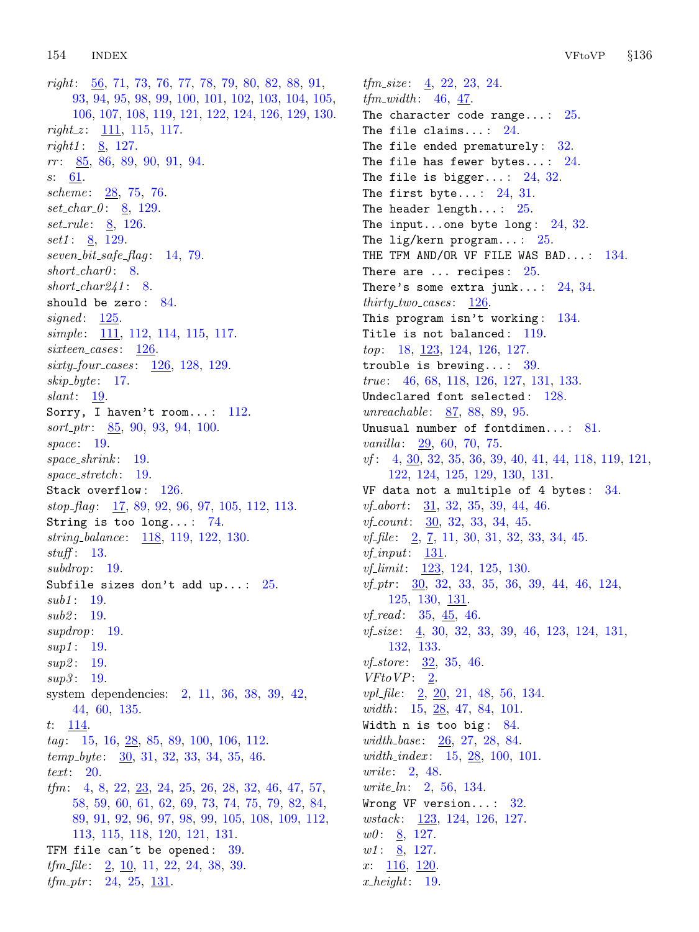right: [56](#page-22-0), [71](#page-26-0), [73,](#page-26-0) [76,](#page-27-0) [77,](#page-27-0) [78](#page-27-0), [79](#page-28-0), [80,](#page-28-0) [82,](#page-28-0) [88,](#page-30-0) [91](#page-31-0), [93,](#page-32-0) [94,](#page-32-0) [95](#page-32-0), [98](#page-33-0), [99](#page-34-0), [100](#page-34-0), [101](#page-35-0), [102,](#page-35-0) [103,](#page-35-0) [104,](#page-35-0) [105,](#page-35-0) [106,](#page-36-0) [107,](#page-36-0) [108](#page-36-0), [119](#page-42-0), [121,](#page-43-0) [122](#page-43-0), [124](#page-44-0), [126,](#page-45-0) [129,](#page-46-0) [130](#page-46-0).  $right z: 111, 115, 117.$  $right z: 111, 115, 117.$  $right z: 111, 115, 117.$  $right z: 111, 115, 117.$  $right z: 111, 115, 117.$  $right z: 111, 115, 117.$  $right1: 8, 127.$  $right1: 8, 127.$  $right1: 8, 127.$  $right1: 8, 127.$  $rr: 85, 86, 89, 90, 91, 94.$  $rr: 85, 86, 89, 90, 91, 94.$  $rr: 85, 86, 89, 90, 91, 94.$  $rr: 85, 86, 89, 90, 91, 94.$  $rr: 85, 86, 89, 90, 91, 94.$  $rr: 85, 86, 89, 90, 91, 94.$  $rr: 85, 86, 89, 90, 91, 94.$  $rr: 85, 86, 89, 90, 91, 94.$  $rr: 85, 86, 89, 90, 91, 94.$  $rr: 85, 86, 89, 90, 91, 94.$  $rr: 85, 86, 89, 90, 91, 94.$  $rr: 85, 86, 89, 90, 91, 94.$ s: [61](#page-23-0). scheme:  $28, 75, 76$  $28, 75, 76$  $28, 75, 76$  $28, 75, 76$ . set\_char\_0:  $8, 129$  $8, 129$ . set\_rule: [8](#page-4-0), [126](#page-45-0).  $set1: 8, 129.$  $set1: 8, 129.$  $set1: 8, 129.$  $set1: 8, 129.$  $seven\_bit\_safe\_flag:$  [14,](#page-8-0) [79](#page-28-0).  $short\_char0:8$  $short\_char0:8$ . short\_char2 $41:8$  $41:8$ . should be zero: [84](#page-29-0). signed:  $125$ .  $simple: \quad 111, \quad 112, \quad 114, \quad 115, \quad 117.$  $simple: \quad 111, \quad 112, \quad 114, \quad 115, \quad 117.$  $simple: \quad 111, \quad 112, \quad 114, \quad 115, \quad 117.$  $simple: \quad 111, \quad 112, \quad 114, \quad 115, \quad 117.$  $simple: \quad 111, \quad 112, \quad 114, \quad 115, \quad 117.$  $simple: \quad 111, \quad 112, \quad 114, \quad 115, \quad 117.$  $simple: \quad 111, \quad 112, \quad 114, \quad 115, \quad 117.$  $simple: \quad 111, \quad 112, \quad 114, \quad 115, \quad 117.$  $simple: \quad 111, \quad 112, \quad 114, \quad 115, \quad 117.$  $simple: \quad 111, \quad 112, \quad 114, \quad 115, \quad 117.$ sixteen\_cases: [126.](#page-45-0) sixty\_four\_cases: [126,](#page-45-0) [128,](#page-45-0) [129](#page-46-0).  $skip\_byte: 17.$  $skip\_byte: 17.$ slant: [19.](#page-11-0) Sorry, I haven't room...: [112](#page-39-0).  $sort\_ptr$ :  $85, 90, 93, 94, 100$  $85, 90, 93, 94, 100$  $85, 90, 93, 94, 100$  $85, 90, 93, 94, 100$  $85, 90, 93, 94, 100$  $85, 90, 93, 94, 100$  $85, 90, 93, 94, 100$  $85, 90, 93, 94, 100$  $85, 90, 93, 94, 100$ . space: **[19](#page-11-0).** space\_shrink: [19.](#page-11-0) space\_stretch: [19.](#page-11-0) Stack overflow: [126.](#page-45-0)  $stop\_flag: \quad \underline{17}, 89, 92, 96, 97, 105, 112, 113.$  $stop\_flag: \quad \underline{17}, 89, 92, 96, 97, 105, 112, 113.$  $stop\_flag: \quad \underline{17}, 89, 92, 96, 97, 105, 112, 113.$  $stop\_flag: \quad \underline{17}, 89, 92, 96, 97, 105, 112, 113.$  $stop\_flag: \quad \underline{17}, 89, 92, 96, 97, 105, 112, 113.$  $stop\_flag: \quad \underline{17}, 89, 92, 96, 97, 105, 112, 113.$  $stop\_flag: \quad \underline{17}, 89, 92, 96, 97, 105, 112, 113.$  $stop\_flag: \quad \underline{17}, 89, 92, 96, 97, 105, 112, 113.$  $stop\_flag: \quad \underline{17}, 89, 92, 96, 97, 105, 112, 113.$  $stop\_flag: \quad \underline{17}, 89, 92, 96, 97, 105, 112, 113.$  $stop\_flag: \quad \underline{17}, 89, 92, 96, 97, 105, 112, 113.$  $stop\_flag: \quad \underline{17}, 89, 92, 96, 97, 105, 112, 113.$  $stop\_flag: \quad \underline{17}, 89, 92, 96, 97, 105, 112, 113.$  $stop\_flag: \quad \underline{17}, 89, 92, 96, 97, 105, 112, 113.$ String is too long... : [74.](#page-27-0) string\_balance: [118](#page-42-0), [119](#page-42-0), [122](#page-43-0), [130](#page-46-0). stuff:  $13$ . subdrop: [19](#page-11-0). Subfile sizes don't add up...:  $25$ .  $sub1: 19.$  $sub1: 19.$ sub2: [19.](#page-11-0) supdrop: [19.](#page-11-0) sup1: [19](#page-11-0). sup2: [19](#page-11-0).  $sup3: 19.$  $sup3: 19.$  $sup3: 19.$ system dependencies: [2](#page-1-0), [11,](#page-6-0) [36,](#page-17-0) [38,](#page-18-0) [39,](#page-18-0) [42,](#page-19-0) [44,](#page-19-0) [60,](#page-23-0) [135.](#page-49-0)  $t: \quad \underline{114}.$  $t: \quad \underline{114}.$  $t: \quad \underline{114}.$ tag: [15](#page-9-0), [16,](#page-9-0) [28,](#page-14-0) [85](#page-30-0), [89,](#page-31-0) [100,](#page-34-0) [106](#page-36-0), [112](#page-39-0). temp\_byte: [30](#page-15-0), [31,](#page-15-0) [32,](#page-16-0) [33](#page-16-0), [34](#page-17-0), [35,](#page-17-0) [46.](#page-20-0) text: [20.](#page-11-0)  $tfm: \quad 4, 8, 22, \underline{23}, 24, 25, 26, 28, 32, 46, 47, 57,$  $tfm: \quad 4, 8, 22, \underline{23}, 24, 25, 26, 28, 32, 46, 47, 57,$  $tfm: \quad 4, 8, 22, \underline{23}, 24, 25, 26, 28, 32, 46, 47, 57,$  $tfm: \quad 4, 8, 22, \underline{23}, 24, 25, 26, 28, 32, 46, 47, 57,$  $tfm: \quad 4, 8, 22, \underline{23}, 24, 25, 26, 28, 32, 46, 47, 57,$  $tfm: \quad 4, 8, 22, \underline{23}, 24, 25, 26, 28, 32, 46, 47, 57,$  $tfm: \quad 4, 8, 22, \underline{23}, 24, 25, 26, 28, 32, 46, 47, 57,$  $tfm: \quad 4, 8, 22, \underline{23}, 24, 25, 26, 28, 32, 46, 47, 57,$  $tfm: \quad 4, 8, 22, \underline{23}, 24, 25, 26, 28, 32, 46, 47, 57,$  $tfm: \quad 4, 8, 22, \underline{23}, 24, 25, 26, 28, 32, 46, 47, 57,$  $tfm: \quad 4, 8, 22, \underline{23}, 24, 25, 26, 28, 32, 46, 47, 57,$  $tfm: \quad 4, 8, 22, \underline{23}, 24, 25, 26, 28, 32, 46, 47, 57,$  $tfm: \quad 4, 8, 22, \underline{23}, 24, 25, 26, 28, 32, 46, 47, 57,$  $tfm: \quad 4, 8, 22, \underline{23}, 24, 25, 26, 28, 32, 46, 47, 57,$  $tfm: \quad 4, 8, 22, \underline{23}, 24, 25, 26, 28, 32, 46, 47, 57,$  $tfm: \quad 4, 8, 22, \underline{23}, 24, 25, 26, 28, 32, 46, 47, 57,$  $tfm: \quad 4, 8, 22, \underline{23}, 24, 25, 26, 28, 32, 46, 47, 57,$  $tfm: \quad 4, 8, 22, \underline{23}, 24, 25, 26, 28, 32, 46, 47, 57,$  $tfm: \quad 4, 8, 22, \underline{23}, 24, 25, 26, 28, 32, 46, 47, 57,$  $tfm: \quad 4, 8, 22, \underline{23}, 24, 25, 26, 28, 32, 46, 47, 57,$  $tfm: \quad 4, 8, 22, \underline{23}, 24, 25, 26, 28, 32, 46, 47, 57,$  $tfm: \quad 4, 8, 22, \underline{23}, 24, 25, 26, 28, 32, 46, 47, 57,$ [58,](#page-22-0) [59,](#page-23-0) [60](#page-23-0), [61,](#page-23-0) [62,](#page-24-0) [69](#page-25-0), [73](#page-26-0), [74,](#page-27-0) [75](#page-27-0), [79](#page-28-0), [82,](#page-28-0) [84,](#page-29-0) [89,](#page-31-0) [91](#page-31-0), [92,](#page-32-0) [96,](#page-33-0) [97](#page-33-0), [98,](#page-33-0) [99](#page-34-0), [105,](#page-35-0) [108](#page-36-0), [109,](#page-37-0) [112](#page-39-0), [113,](#page-39-0) [115,](#page-40-0) [118,](#page-42-0) [120,](#page-42-0) [121,](#page-43-0) [131.](#page-47-0) TFM file can't be opened:  $39.$  $39.$  $tfm_{\text{m}}$ file:  $2, 10, 11, 22, 24, 38, 39$  $2, 10, 11, 22, 24, 38, 39$  $2, 10, 11, 22, 24, 38, 39$  $2, 10, 11, 22, 24, 38, 39$  $2, 10, 11, 22, 24, 38, 39$  $2, 10, 11, 22, 24, 38, 39$  $2, 10, 11, 22, 24, 38, 39$  $2, 10, 11, 22, 24, 38, 39$  $2, 10, 11, 22, 24, 38, 39$  $2, 10, 11, 22, 24, 38, 39$  $2, 10, 11, 22, 24, 38, 39$  $2, 10, 11, 22, 24, 38, 39$ .  $tfm\_ptr$ : [24](#page-12-0), [25,](#page-13-0) [131](#page-47-0).

 $tfm\_size: 4, 22, 23, 24.$  $tfm\_size: 4, 22, 23, 24.$  $tfm\_size: 4, 22, 23, 24.$  $tfm\_size: 4, 22, 23, 24.$  $tfm\_size: 4, 22, 23, 24.$  $tfm\_size: 4, 22, 23, 24.$  $tfm\_size: 4, 22, 23, 24.$  $tfm\_size: 4, 22, 23, 24.$  $tfm_width$ : [46](#page-20-0), [47](#page-20-0). The character code range...:  $25$ . The file claims...:  $24$ . The file ended prematurely:  $32.$ The file has fewer bytes...:  $24$ . The file is bigger...:  $24, 32$  $24, 32$ . The first byte...:  $24, 31$  $24, 31$ . The header length...:  $25$ . The input...one byte long:  $24, 32$  $24, 32$  $24, 32$ . The lig/kern program...:  $25$ . THE TFM AND/OR VF FILE WAS BAD...: [134](#page-48-0). There are  $\ldots$  recipes:  $25$ . There's some extra junk...:  $24, 34$  $24, 34$  $24, 34$ .  $thirty\_two\_cases:$  [126](#page-45-0). This program isn't working:  $134$ . Title is not balanced: [119.](#page-42-0) top: [18](#page-10-0), [123,](#page-43-0) [124,](#page-44-0) [126](#page-45-0), [127](#page-45-0). trouble is brewing... : [39.](#page-18-0) true: [46](#page-20-0), [68](#page-25-0), [118,](#page-42-0) [126,](#page-45-0) [127](#page-45-0), [131](#page-47-0), [133.](#page-48-0) Undeclared font selected: [128](#page-45-0). unreachable:  $87, 88, 89, 95$  $87, 88, 89, 95$  $87, 88, 89, 95$  $87, 88, 89, 95$  $87, 88, 89, 95$  $87, 88, 89, 95$  $87, 88, 89, 95$ . Unusual number of fontdimen...: [81.](#page-28-0) vanilla: [29,](#page-14-0) [60,](#page-23-0) [70](#page-26-0), [75.](#page-27-0)  $vf: \quad 4, \underline{30}, \underline{32}, \underline{35}, \underline{36}, \underline{39}, \underline{40}, \underline{41}, \underline{44}, \underline{118}, \underline{119}, \underline{121},$  $vf: \quad 4, \underline{30}, \underline{32}, \underline{35}, \underline{36}, \underline{39}, \underline{40}, \underline{41}, \underline{44}, \underline{118}, \underline{119}, \underline{121},$  $vf: \quad 4, \underline{30}, \underline{32}, \underline{35}, \underline{36}, \underline{39}, \underline{40}, \underline{41}, \underline{44}, \underline{118}, \underline{119}, \underline{121},$  $vf: \quad 4, \underline{30}, \underline{32}, \underline{35}, \underline{36}, \underline{39}, \underline{40}, \underline{41}, \underline{44}, \underline{118}, \underline{119}, \underline{121},$  $vf: \quad 4, \underline{30}, \underline{32}, \underline{35}, \underline{36}, \underline{39}, \underline{40}, \underline{41}, \underline{44}, \underline{118}, \underline{119}, \underline{121},$  $vf: \quad 4, \underline{30}, \underline{32}, \underline{35}, \underline{36}, \underline{39}, \underline{40}, \underline{41}, \underline{44}, \underline{118}, \underline{119}, \underline{121},$  $vf: \quad 4, \underline{30}, \underline{32}, \underline{35}, \underline{36}, \underline{39}, \underline{40}, \underline{41}, \underline{44}, \underline{118}, \underline{119}, \underline{121},$  $vf: \quad 4, \underline{30}, \underline{32}, \underline{35}, \underline{36}, \underline{39}, \underline{40}, \underline{41}, \underline{44}, \underline{118}, \underline{119}, \underline{121},$  $vf: \quad 4, \underline{30}, \underline{32}, \underline{35}, \underline{36}, \underline{39}, \underline{40}, \underline{41}, \underline{44}, \underline{118}, \underline{119}, \underline{121},$  $vf: \quad 4, \underline{30}, \underline{32}, \underline{35}, \underline{36}, \underline{39}, \underline{40}, \underline{41}, \underline{44}, \underline{118}, \underline{119}, \underline{121},$  $vf: \quad 4, \underline{30}, \underline{32}, \underline{35}, \underline{36}, \underline{39}, \underline{40}, \underline{41}, \underline{44}, \underline{118}, \underline{119}, \underline{121},$  $vf: \quad 4, \underline{30}, \underline{32}, \underline{35}, \underline{36}, \underline{39}, \underline{40}, \underline{41}, \underline{44}, \underline{118}, \underline{119}, \underline{121},$  $vf: \quad 4, \underline{30}, \underline{32}, \underline{35}, \underline{36}, \underline{39}, \underline{40}, \underline{41}, \underline{44}, \underline{118}, \underline{119}, \underline{121},$  $vf: \quad 4, \underline{30}, \underline{32}, \underline{35}, \underline{36}, \underline{39}, \underline{40}, \underline{41}, \underline{44}, \underline{118}, \underline{119}, \underline{121},$  $vf: \quad 4, \underline{30}, \underline{32}, \underline{35}, \underline{36}, \underline{39}, \underline{40}, \underline{41}, \underline{44}, \underline{118}, \underline{119}, \underline{121},$  $vf: \quad 4, \underline{30}, \underline{32}, \underline{35}, \underline{36}, \underline{39}, \underline{40}, \underline{41}, \underline{44}, \underline{118}, \underline{119}, \underline{121},$  $vf: \quad 4, \underline{30}, \underline{32}, \underline{35}, \underline{36}, \underline{39}, \underline{40}, \underline{41}, \underline{44}, \underline{118}, \underline{119}, \underline{121},$ [122,](#page-43-0) [124,](#page-44-0) [125,](#page-44-0) [129,](#page-46-0) [130,](#page-46-0) [131.](#page-47-0) VF data not a multiple of 4 bytes:  $34$ .  $vf_4$ *bort*:  $\frac{31}{32}$  $\frac{31}{32}$  $\frac{31}{32}$  $\frac{31}{32}$  $\frac{31}{32}$ ,  $\frac{32}{35}$  $\frac{32}{35}$  $\frac{32}{35}$ ,  $\frac{39}{44}$  $\frac{39}{44}$  $\frac{39}{44}$  $\frac{39}{44}$  $\frac{39}{44}$ ,  $\frac{46}{54}$ .  $vf_{\text{-}}count: 30, 32, 33, 34, 45.$  $vf_{\text{-}}count: 30, 32, 33, 34, 45.$  $vf_{\text{-}}count: 30, 32, 33, 34, 45.$  $vf_{\text{-}}count: 30, 32, 33, 34, 45.$  $vf_{\text{-}}count: 30, 32, 33, 34, 45.$  $vf_{\text{-}}count: 30, 32, 33, 34, 45.$  $vf_{\text{-}}count: 30, 32, 33, 34, 45.$  $vf_{\text{-}}count: 30, 32, 33, 34, 45.$  $vf_{\text{-}}count: 30, 32, 33, 34, 45.$  $vf_{\text{-}}count: 30, 32, 33, 34, 45.$ *vf*  $file: \underline{2}, \underline{7}, 11, 30, 31, 32, 33, 34, 45.$  $file: \underline{2}, \underline{7}, 11, 30, 31, 32, 33, 34, 45.$  $file: \underline{2}, \underline{7}, 11, 30, 31, 32, 33, 34, 45.$  $file: \underline{2}, \underline{7}, 11, 30, 31, 32, 33, 34, 45.$  $file: \underline{2}, \underline{7}, 11, 30, 31, 32, 33, 34, 45.$  $file: \underline{2}, \underline{7}, 11, 30, 31, 32, 33, 34, 45.$  $file: \underline{2}, \underline{7}, 11, 30, 31, 32, 33, 34, 45.$  $file: \underline{2}, \underline{7}, 11, 30, 31, 32, 33, 34, 45.$  $v$ *f\_input*: [131.](#page-47-0)  $vf\_limit: \quad \underline{123}, \; 124, \; 125, \; 130.$  $vf\_limit: \quad \underline{123}, \; 124, \; 125, \; 130.$  $vf\_limit: \quad \underline{123}, \; 124, \; 125, \; 130.$  $vf\_limit: \quad \underline{123}, \; 124, \; 125, \; 130.$  $vf\_limit: \quad \underline{123}, \; 124, \; 125, \; 130.$  $vf\_limit: \quad \underline{123}, \; 124, \; 125, \; 130.$  $vf\_limit: \quad \underline{123}, \; 124, \; 125, \; 130.$  $vf_ptr: 30, 32, 33, 35, 36, 39, 44, 46, 124,$  $vf_ptr: 30, 32, 33, 35, 36, 39, 44, 46, 124,$  $vf_ptr: 30, 32, 33, 35, 36, 39, 44, 46, 124,$  $vf_ptr: 30, 32, 33, 35, 36, 39, 44, 46, 124,$  $vf_ptr: 30, 32, 33, 35, 36, 39, 44, 46, 124,$  $vf_ptr: 30, 32, 33, 35, 36, 39, 44, 46, 124,$  $vf_ptr: 30, 32, 33, 35, 36, 39, 44, 46, 124,$  $vf_ptr: 30, 32, 33, 35, 36, 39, 44, 46, 124,$  $vf_ptr: 30, 32, 33, 35, 36, 39, 44, 46, 124,$  $vf_ptr: 30, 32, 33, 35, 36, 39, 44, 46, 124,$  $vf_ptr: 30, 32, 33, 35, 36, 39, 44, 46, 124,$  $vf_ptr: 30, 32, 33, 35, 36, 39, 44, 46, 124,$  $vf_ptr: 30, 32, 33, 35, 36, 39, 44, 46, 124,$  $vf_ptr: 30, 32, 33, 35, 36, 39, 44, 46, 124,$  $vf_ptr: 30, 32, 33, 35, 36, 39, 44, 46, 124,$  $vf_ptr: 30, 32, 33, 35, 36, 39, 44, 46, 124,$  $vf_ptr: 30, 32, 33, 35, 36, 39, 44, 46, 124,$  $vf_ptr: 30, 32, 33, 35, 36, 39, 44, 46, 124,$  $vf_ptr: 30, 32, 33, 35, 36, 39, 44, 46, 124,$ [125,](#page-44-0) [130,](#page-46-0) [131.](#page-47-0) *vf\_read*:  $35, 45, 46$  $35, 45, 46$  $35, 45, 46$  $35, 45, 46$ .  $\textit{vf}_\textit{-size}:$  [4](#page-1-0), [30,](#page-15-0) [32](#page-16-0), [33,](#page-16-0) [39,](#page-18-0) [46](#page-20-0), [123,](#page-43-0) [124](#page-44-0), [131](#page-47-0), [132,](#page-47-0) [133.](#page-48-0) *vf\_store*:  $32, 35, 46$  $32, 35, 46$  $32, 35, 46$  $32, 35, 46$  $32, 35, 46$ . VFtoVP: [2.](#page-1-0) *vpl\_file*:  $2, 20, 21, 48, 56, 134.$  $2, 20, 21, 48, 56, 134.$  $2, 20, 21, 48, 56, 134.$  $2, 20, 21, 48, 56, 134.$  $2, 20, 21, 48, 56, 134.$  $2, 20, 21, 48, 56, 134.$  $2, 20, 21, 48, 56, 134.$  $2, 20, 21, 48, 56, 134.$  $2, 20, 21, 48, 56, 134.$  $2, 20, 21, 48, 56, 134.$  $2, 20, 21, 48, 56, 134.$  $2, 20, 21, 48, 56, 134.$ width:  $15, 28, 47, 84, 101$  $15, 28, 47, 84, 101$  $15, 28, 47, 84, 101$  $15, 28, 47, 84, 101$  $15, 28, 47, 84, 101$  $15, 28, 47, 84, 101$  $15, 28, 47, 84, 101$  $15, 28, 47, 84, 101$  $15, 28, 47, 84, 101$ . Width n is too big:  $84$ . width\_base: [26,](#page-13-0) [27,](#page-13-0) [28](#page-14-0), [84.](#page-29-0) width index:  $15, 28, 100, 101$  $15, 28, 100, 101$  $15, 28, 100, 101$  $15, 28, 100, 101$  $15, 28, 100, 101$  $15, 28, 100, 101$ . write: [2,](#page-1-0) [48.](#page-21-0) write ln: [2,](#page-1-0) [56](#page-22-0), [134.](#page-48-0) Wrong VF version...: [32](#page-16-0). wstack: [123](#page-43-0), [124,](#page-44-0) [126](#page-45-0), [127](#page-45-0).  $w0: 8, 127.$  $w0: 8, 127.$  $w0: 8, 127.$  $w0: 8, 127.$  $w0: 8, 127.$  $w1: 8, 127.$  $w1: 8, 127.$  $w1: 8, 127.$  $w1: 8, 127.$  $w1: 8, 127.$ x: [116](#page-40-0), [120.](#page-42-0)  $x \text{.} height: 19.$  $x \text{.} height: 19.$  $x \text{.} height: 19.$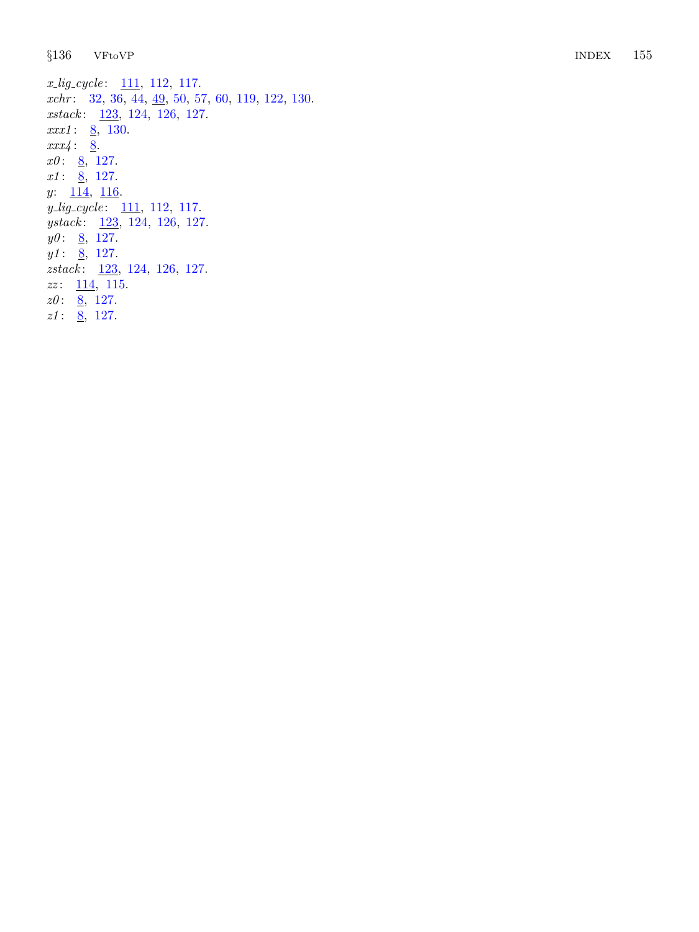```
111112,117.32364449505760119122130.123124126127.
8130.8.
8127.8127.114116}.111112117.123124126127.
8127.8127.123124126127.
114115.8127.8127.
```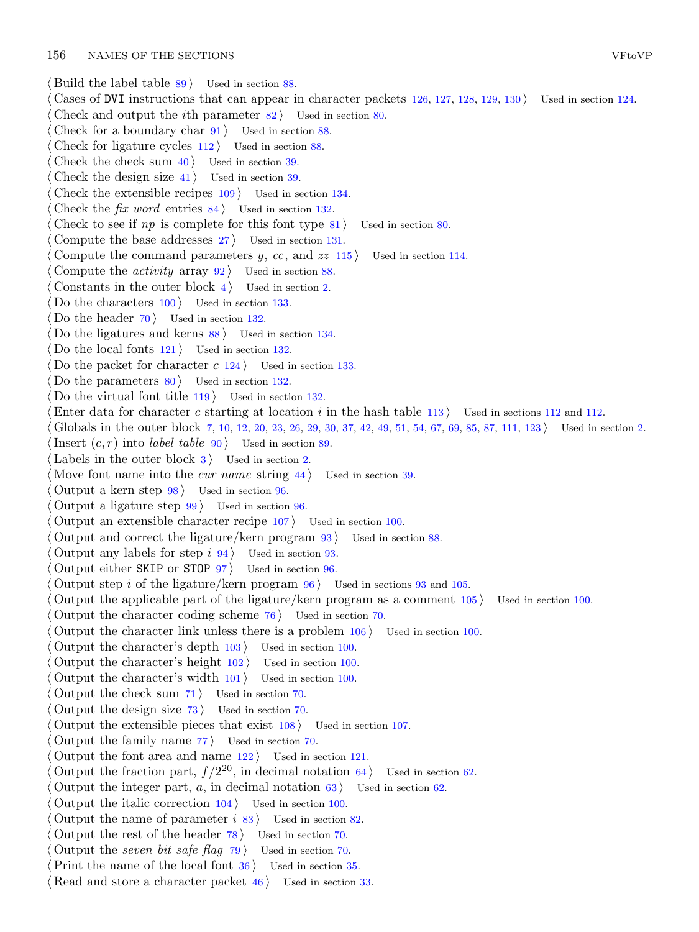$\langle$  Build the label table  $89$  ised in section [88](#page-30-0). Cases of DVI instructions that can appear in character packets  $126, 127, 128, 129, 130$  $126, 127, 128, 129, 130$  $126, 127, 128, 129, 130$  $126, 127, 128, 129, 130$  $126, 127, 128, 129, 130$  $126, 127, 128, 129, 130$  $126, 127, 128, 129, 130$  $126, 127, 128, 129, 130$  $126, 127, 128, 129, 130$  Used in section  $124$ . Check and output the *i*<sup>th</sup> parameter  $82$  ised in section [80.](#page-28-0) Check for a boundary char Used in section [88](#page-30-0). Check for ligature cycles Used in section [88](#page-30-0). Check the check sum in section [39.](#page-18-0) Check the design size Used in section [39](#page-18-0). Check the extensible recipes / Used in section [134.](#page-48-0) Check the  $fix\_word$  entries  $84$  Used in section [132](#page-47-0). Check to see if np is complete for this font type Used in section  $80$ . Compute the base addresses Used in section [131.](#page-47-0) Compute the command parameters y, cc, and  $zz$  [115](#page-40-0)) Used in section [114.](#page-40-0) Compute the *activity* array Used in section [88.](#page-30-0) Constants in the outer block Used in section [2.](#page-1-0) Do the characters Used in section [133.](#page-48-0) Do the header Used in section [132](#page-47-0). Do the ligatures and kerns Used in section [134](#page-48-0). Do the local fonts Used in section [132](#page-47-0). Do the packet for character c Used in section [133](#page-48-0). Do the parameters Used in section [132.](#page-47-0) Do the virtual font title Used in section [132](#page-47-0). Enter data for character c starting at location i in the hash table [113](#page-39-0) is Used in sections [112](#page-39-0) and 112. Globals in the outer block [7,](#page-3-0) [10,](#page-6-0) [12](#page-6-0), [20,](#page-11-0) [23](#page-12-0), [26](#page-13-0), [29,](#page-14-0) [30](#page-15-0), [37](#page-17-0), [42,](#page-19-0) [49](#page-21-0), [51,](#page-21-0) [54,](#page-22-0) [67](#page-25-0), [69,](#page-25-0) [85,](#page-30-0) [87](#page-30-0), [111](#page-38-0), [123](#page-43-0) Used in section [2.](#page-1-0) Insert  $(c, r)$  into *label\_table*  $90$  Used in section [89.](#page-31-0) Labels in the outer block Used in section [2](#page-1-0). Move font name into the *cur name* string Used in section [39](#page-18-0). Output a kern step Used in section [96.](#page-33-0) Output a ligature step ised in section [96](#page-33-0). Output an extensible character recipe Used in section [100.](#page-34-0) Output and correct the ligature/kern program Used in section [88.](#page-30-0) Output any labels for step  $i$  [94](#page-32-0) in section [93](#page-32-0). Output either SKIP or STOP Used in section [96](#page-33-0). Output step i of the ligature/kern program Used in sections [93](#page-32-0) and [105](#page-35-0). Output the applicable part of the ligature/kern program as a comment Used in section [100.](#page-34-0) Output the character coding scheme Used in section [70](#page-26-0). Output the character link unless there is a problem Used in section [100](#page-34-0). Output the character's depth Used in section [100](#page-34-0). Output the character's height Used in section [100](#page-34-0). Output the character's width Used in section [100](#page-34-0). Output the check sum Used in section [70.](#page-26-0) Output the design size Used in section [70.](#page-26-0) Output the extensible pieces that exist Used in section [107](#page-36-0). Output the family name Used in section [70.](#page-26-0) Output the font area and name Used in section [121](#page-43-0).  $\langle$  Output the fraction part,  $f / 2^{20}$ , in decimal notation [64](#page-24-0)) Used in section [62](#page-24-0). Output the integer part, a, in decimal notation Used in section [62](#page-24-0). Output the italic correction Used in section [100.](#page-34-0) Output the name of parameter  $i \, 83$  $i \, 83$  Used in section [82.](#page-28-0) Output the rest of the header Used in section [70.](#page-26-0) Output the seven bit safe flag Used in section [70](#page-26-0). Print the name of the local font Used in section [35](#page-17-0). Read and store a character packet Used in section [33](#page-16-0).